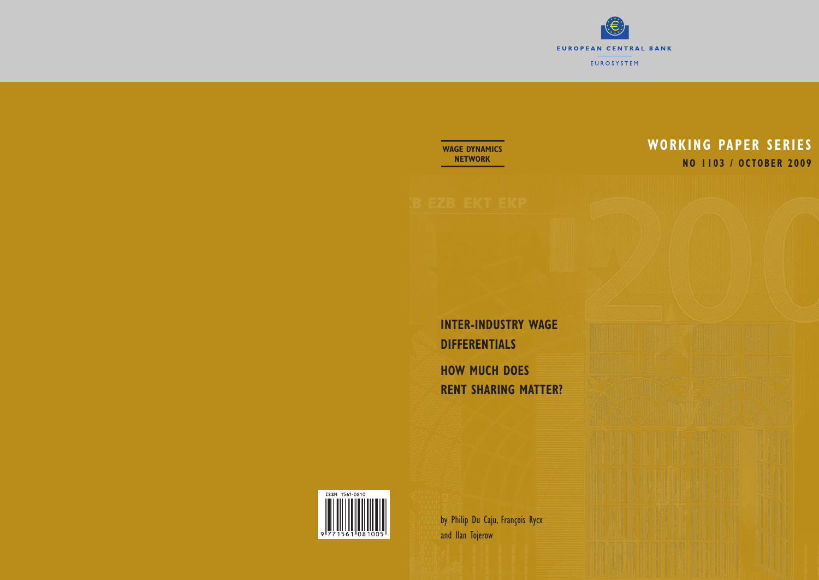

### **WAGE DYNAMICS NETWORK**

# **WORKING PAPER SERIES no 1103 / october 2009**

**inter-induStry Wage differentialS**

**HoW MucH doeS rent SHaring Matter?**

by Philip Du Caju, François Rycx and Ilan Tojerow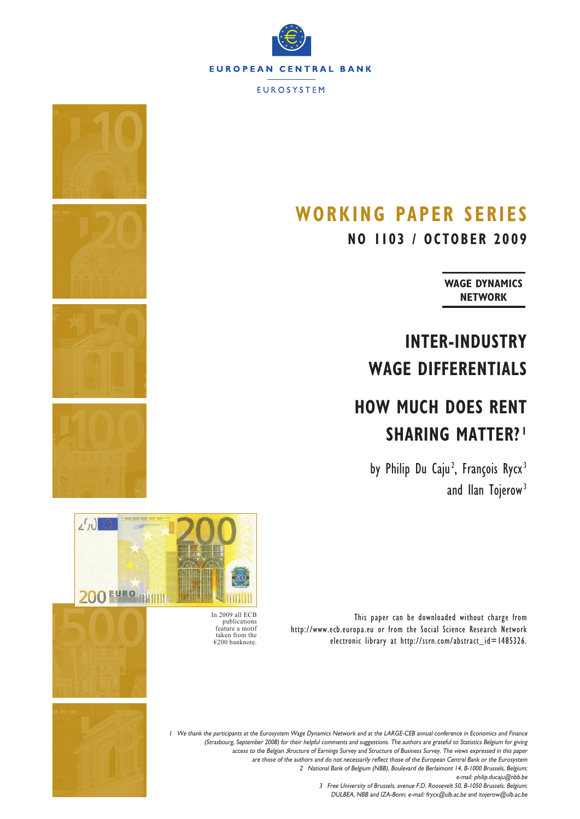



**NO 1103 / OCTOBER 2009**

**WAGE DYNAMICS NETWORK**

# **INTER-INDUSTRY WAGE DIFFERENTIALS**

# **HOW MUCH DOES RENT SHARING MATTER? 1**

by Philip Du Caju<sup>2</sup>, François Rycx<sup>3</sup> and Ilan Tojerow<sup>3</sup>

This paper can be downloaded without charge from

electronic library at http://ssrn.com/abstract\_id=1485326.

http://www.ecb.europa.eu or from the Social Science Research Network



In 2009 all ECB publications feature a motif taken from the  $€200$  banknote.



1 We thank the participants at the Eurosystem Wage Dynamics Network and at the LARGE-CEB annual conference in Economics and Finance (Strasbourg, September 2008) for their helpful comments and suggestions. The authors are grateful to Statistics Belgium for giving access to the Belgian Structure of Earnings Survey and Structure of Business Survey. The views expressed in this paper are those of the authors and do not necessarily reflect those of the European Central Bank or the Eurosystem 2 National Bank of Belgium (NBB), Boulevard de Berlaimont 14, B-1000 Brussels, Belgium; e-mail: philip.ducaju@nbb.be

3 Free University of Brussels, avenue F.D. Roosevelt 50, B-1050 Brussels, Belgium; DULBEA, NBB and IZA-Bonn; e-mail: frycx@ulb.ac.be and itojerow@ulb.ac.be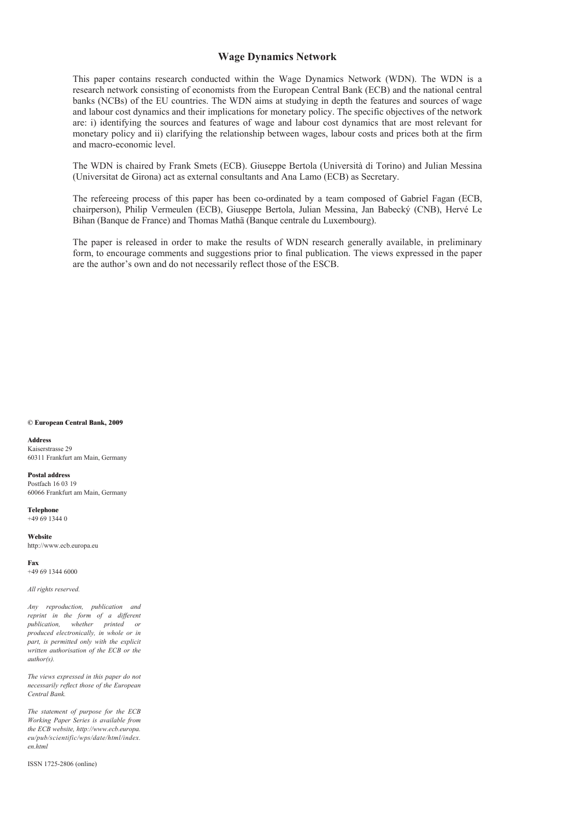#### **Wage Dynamics Network**

This paper contains research conducted within the Wage Dynamics Network (WDN). The WDN is a research network consisting of economists from the European Central Bank (ECB) and the national central banks (NCBs) of the EU countries. The WDN aims at studying in depth the features and sources of wage and labour cost dynamics and their implications for monetary policy. The specific objectives of the network are: i) identifying the sources and features of wage and labour cost dynamics that are most relevant for monetary policy and ii) clarifying the relationship between wages, labour costs and prices both at the firm and macro-economic level.

The WDN is chaired by Frank Smets (ECB). Giuseppe Bertola (Università di Torino) and Julian Messina (Universitat de Girona) act as external consultants and Ana Lamo (ECB) as Secretary.

The refereeing process of this paper has been co-ordinated by a team composed of Gabriel Fagan (ECB, chairperson), Philip Vermeulen (ECB), Giuseppe Bertola, Julian Messina, Jan Babecký (CNB), Hervé Le Bihan (Banque de France) and Thomas Mathä (Banque centrale du Luxembourg).

The paper is released in order to make the results of WDN research generally available, in preliminary form, to encourage comments and suggestions prior to final publication. The views expressed in the paper are the author's own and do not necessarily reflect those of the ESCB.

#### **© European Central Bank, 2009**

**Address** 

Kaiserstrasse 29 60311 Frankfurt am Main, Germany

#### **Postal address**

Postfach 16 03 19 60066 Frankfurt am Main, Germany

#### **Telephone**

+49 69 1344 0

**Website**  http://www.ecb.europa.eu

**Fax**  +49 69 1344 6000

*All rights reserved.* 

*Any reproduction, publication and reprint in the form of a different publication, whether printed or produced electronically, in whole or in part, is permitted only with the explicit written authorisation of the ECB or the author(s).* 

*The views expressed in this paper do not necessarily reflect those of the European Central Bank.*

*The statement of purpose for the ECB Working Paper Series is available from the ECB website, http://www.ecb.europa. eu/pub/scientific/wps/date/html/index. en.html*

ISSN 1725-2806 (online)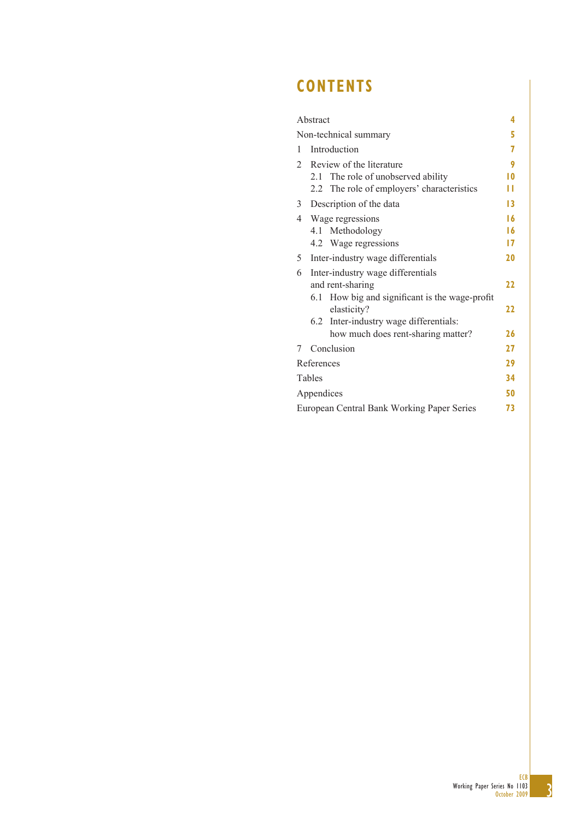### **CONTENTS**

| Abstract                                   |                                                               |    |    |  |  |  |
|--------------------------------------------|---------------------------------------------------------------|----|----|--|--|--|
| Non-technical summary                      |                                                               |    |    |  |  |  |
| 1                                          | Introduction                                                  |    |    |  |  |  |
| $\mathfrak{D}$                             | Review of the literature                                      |    |    |  |  |  |
|                                            | 2.1 The role of unobserved ability                            | 10 |    |  |  |  |
|                                            | 2.2 The role of employers' characteristics                    |    |    |  |  |  |
| 3                                          | Description of the data                                       | 13 |    |  |  |  |
| 4                                          | Wage regressions                                              | 16 |    |  |  |  |
|                                            | 4.1 Methodology                                               | 16 |    |  |  |  |
|                                            | 4.2 Wage regressions                                          | 17 |    |  |  |  |
| 5                                          | Inter-industry wage differentials                             |    | 20 |  |  |  |
| 6                                          | Inter-industry wage differentials                             |    |    |  |  |  |
|                                            | and rent-sharing                                              |    |    |  |  |  |
|                                            | 6.1 How big and significant is the wage-profit<br>elasticity? | 22 |    |  |  |  |
|                                            | Inter-industry wage differentials:<br>6.2                     |    |    |  |  |  |
|                                            | how much does rent-sharing matter?                            | 26 |    |  |  |  |
| 7                                          | Conclusion                                                    | 27 |    |  |  |  |
| References                                 |                                                               |    |    |  |  |  |
| Tables                                     |                                                               |    |    |  |  |  |
| Appendices                                 |                                                               |    |    |  |  |  |
| European Central Bank Working Paper Series |                                                               |    |    |  |  |  |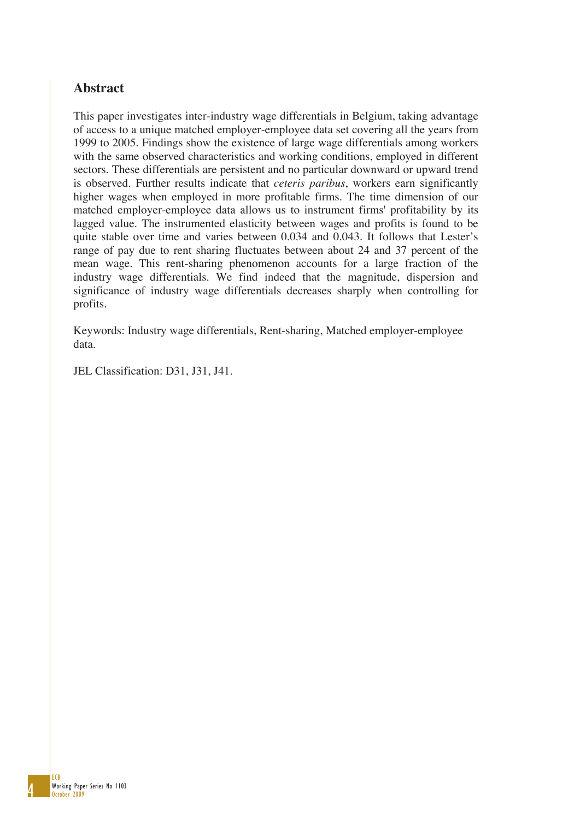### **Abstract**

This paper investigates inter-industry wage differentials in Belgium, taking advantage of access to a unique matched employer-employee data set covering all the years from 1999 to 2005. Findings show the existence of large wage differentials among workers with the same observed characteristics and working conditions, employed in different sectors. These differentials are persistent and no particular downward or upward trend is observed. Further results indicate that *ceteris paribus*, workers earn significantly higher wages when employed in more profitable firms. The time dimension of our matched employer-employee data allows us to instrument firms' profitability by its lagged value. The instrumented elasticity between wages and profits is found to be quite stable over time and varies between 0.034 and 0.043. It follows that Lester's range of pay due to rent sharing fluctuates between about 24 and 37 percent of the mean wage. This rent-sharing phenomenon accounts for a large fraction of the industry wage differentials. We find indeed that the magnitude, dispersion and significance of industry wage differentials decreases sharply when controlling for profits.

Keywords: Industry wage differentials, Rent-sharing, Matched employer-employee data.

JEL Classification: D31, J31, J41.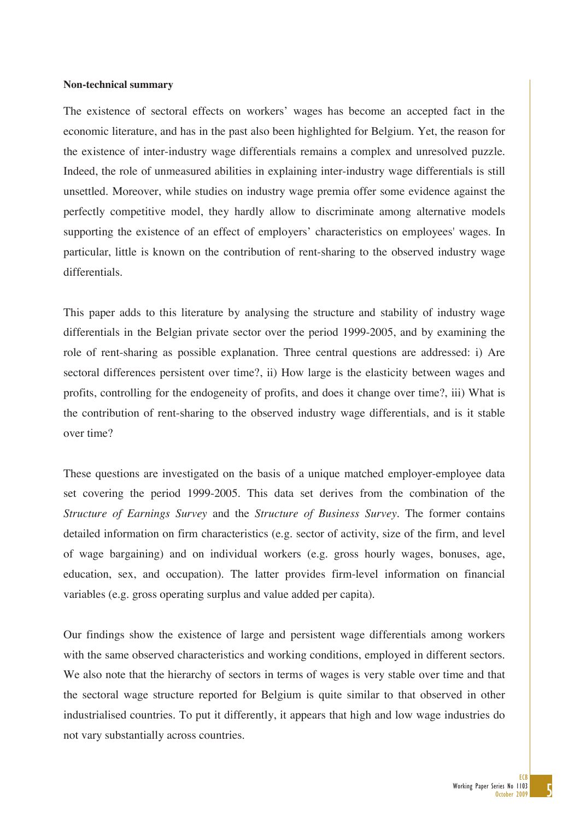#### **Non-technical summary**

The existence of sectoral effects on workers' wages has become an accepted fact in the economic literature, and has in the past also been highlighted for Belgium. Yet, the reason for the existence of inter-industry wage differentials remains a complex and unresolved puzzle. Indeed, the role of unmeasured abilities in explaining inter-industry wage differentials is still unsettled. Moreover, while studies on industry wage premia offer some evidence against the perfectly competitive model, they hardly allow to discriminate among alternative models supporting the existence of an effect of employers' characteristics on employees' wages. In particular, little is known on the contribution of rent-sharing to the observed industry wage differentials.

This paper adds to this literature by analysing the structure and stability of industry wage differentials in the Belgian private sector over the period 1999-2005, and by examining the role of rent-sharing as possible explanation. Three central questions are addressed: i) Are sectoral differences persistent over time?, ii) How large is the elasticity between wages and profits, controlling for the endogeneity of profits, and does it change over time?, iii) What is the contribution of rent-sharing to the observed industry wage differentials, and is it stable over time?

These questions are investigated on the basis of a unique matched employer-employee data set covering the period 1999-2005. This data set derives from the combination of the *Structure of Earnings Survey* and the *Structure of Business Survey*. The former contains detailed information on firm characteristics (e.g. sector of activity, size of the firm, and level of wage bargaining) and on individual workers (e.g. gross hourly wages, bonuses, age, education, sex, and occupation). The latter provides firm-level information on financial variables (e.g. gross operating surplus and value added per capita).

Our findings show the existence of large and persistent wage differentials among workers with the same observed characteristics and working conditions, employed in different sectors. We also note that the hierarchy of sectors in terms of wages is very stable over time and that the sectoral wage structure reported for Belgium is quite similar to that observed in other industrialised countries. To put it differently, it appears that high and low wage industries do not vary substantially across countries.

> 5 ECB Working Paper Series No 1103 October 2009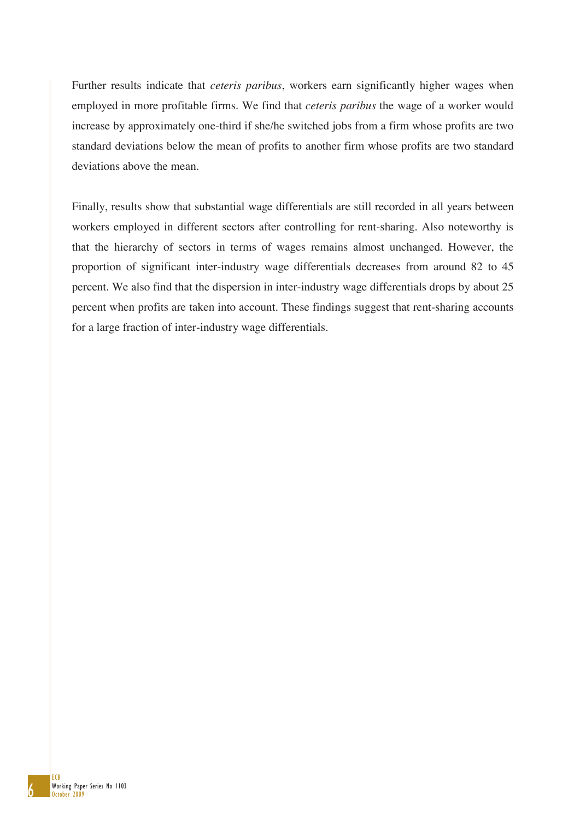Further results indicate that *ceteris paribus*, workers earn significantly higher wages when employed in more profitable firms. We find that *ceteris paribus* the wage of a worker would increase by approximately one-third if she/he switched jobs from a firm whose profits are two standard deviations below the mean of profits to another firm whose profits are two standard deviations above the mean.

Finally, results show that substantial wage differentials are still recorded in all years between workers employed in different sectors after controlling for rent-sharing. Also noteworthy is that the hierarchy of sectors in terms of wages remains almost unchanged. However, the proportion of significant inter-industry wage differentials decreases from around 82 to 45 percent. We also find that the dispersion in inter-industry wage differentials drops by about 25 percent when profits are taken into account. These findings suggest that rent-sharing accounts for a large fraction of inter-industry wage differentials.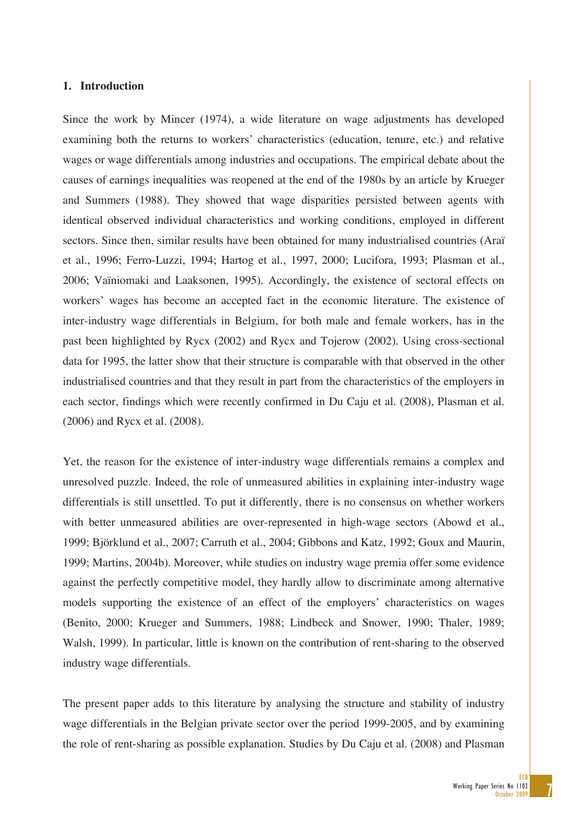#### **1. Introduction**

Since the work by Mincer (1974), a wide literature on wage adjustments has developed examining both the returns to workers' characteristics (education, tenure, etc.) and relative wages or wage differentials among industries and occupations. The empirical debate about the causes of earnings inequalities was reopened at the end of the 1980s by an article by Krueger and Summers (1988). They showed that wage disparities persisted between agents with identical observed individual characteristics and working conditions, employed in different sectors. Since then, similar results have been obtained for many industrialised countries (Araï et al., 1996; Ferro-Luzzi, 1994; Hartog et al., 1997, 2000; Lucifora, 1993; Plasman et al., 2006; Vaïniomaki and Laaksonen, 1995). Accordingly, the existence of sectoral effects on workers' wages has become an accepted fact in the economic literature. The existence of inter-industry wage differentials in Belgium, for both male and female workers, has in the past been highlighted by Rycx (2002) and Rycx and Tojerow (2002). Using cross-sectional data for 1995, the latter show that their structure is comparable with that observed in the other industrialised countries and that they result in part from the characteristics of the employers in each sector, findings which were recently confirmed in Du Caju et al. (2008), Plasman et al. (2006) and Rycx et al. (2008).

Yet, the reason for the existence of inter-industry wage differentials remains a complex and unresolved puzzle. Indeed, the role of unmeasured abilities in explaining inter-industry wage differentials is still unsettled. To put it differently, there is no consensus on whether workers with better unmeasured abilities are over-represented in high-wage sectors (Abowd et al., 1999; Björklund et al., 2007; Carruth et al., 2004; Gibbons and Katz, 1992; Goux and Maurin, 1999; Martins, 2004b). Moreover, while studies on industry wage premia offer some evidence against the perfectly competitive model, they hardly allow to discriminate among alternative models supporting the existence of an effect of the employers' characteristics on wages (Benito, 2000; Krueger and Summers, 1988; Lindbeck and Snower, 1990; Thaler, 1989; Walsh, 1999). In particular, little is known on the contribution of rent-sharing to the observed industry wage differentials.

The present paper adds to this literature by analysing the structure and stability of industry wage differentials in the Belgian private sector over the period 1999-2005, and by examining the role of rent-sharing as possible explanation. Studies by Du Caju et al. (2008) and Plasman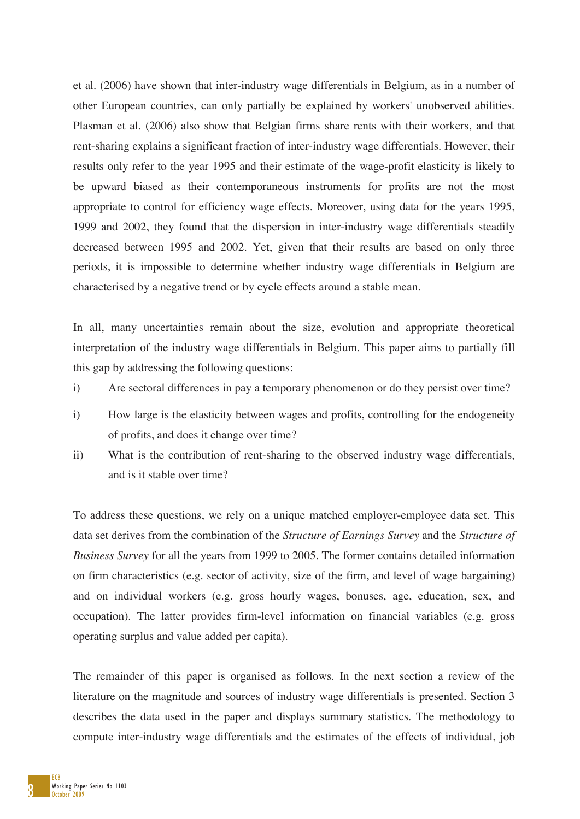et al. (2006) have shown that inter-industry wage differentials in Belgium, as in a number of other European countries, can only partially be explained by workers' unobserved abilities. Plasman et al. (2006) also show that Belgian firms share rents with their workers, and that rent-sharing explains a significant fraction of inter-industry wage differentials. However, their results only refer to the year 1995 and their estimate of the wage-profit elasticity is likely to be upward biased as their contemporaneous instruments for profits are not the most appropriate to control for efficiency wage effects. Moreover, using data for the years 1995, 1999 and 2002, they found that the dispersion in inter-industry wage differentials steadily decreased between 1995 and 2002. Yet, given that their results are based on only three periods, it is impossible to determine whether industry wage differentials in Belgium are characterised by a negative trend or by cycle effects around a stable mean.

In all, many uncertainties remain about the size, evolution and appropriate theoretical interpretation of the industry wage differentials in Belgium. This paper aims to partially fill this gap by addressing the following questions:

- i) Are sectoral differences in pay a temporary phenomenon or do they persist over time?
- i) How large is the elasticity between wages and profits, controlling for the endogeneity of profits, and does it change over time?
- ii) What is the contribution of rent-sharing to the observed industry wage differentials, and is it stable over time?

To address these questions, we rely on a unique matched employer-employee data set. This data set derives from the combination of the *Structure of Earnings Survey* and the *Structure of Business Survey* for all the years from 1999 to 2005. The former contains detailed information on firm characteristics (e.g. sector of activity, size of the firm, and level of wage bargaining) and on individual workers (e.g. gross hourly wages, bonuses, age, education, sex, and occupation). The latter provides firm-level information on financial variables (e.g. gross operating surplus and value added per capita).

The remainder of this paper is organised as follows. In the next section a review of the literature on the magnitude and sources of industry wage differentials is presented. Section 3 describes the data used in the paper and displays summary statistics. The methodology to compute inter-industry wage differentials and the estimates of the effects of individual, job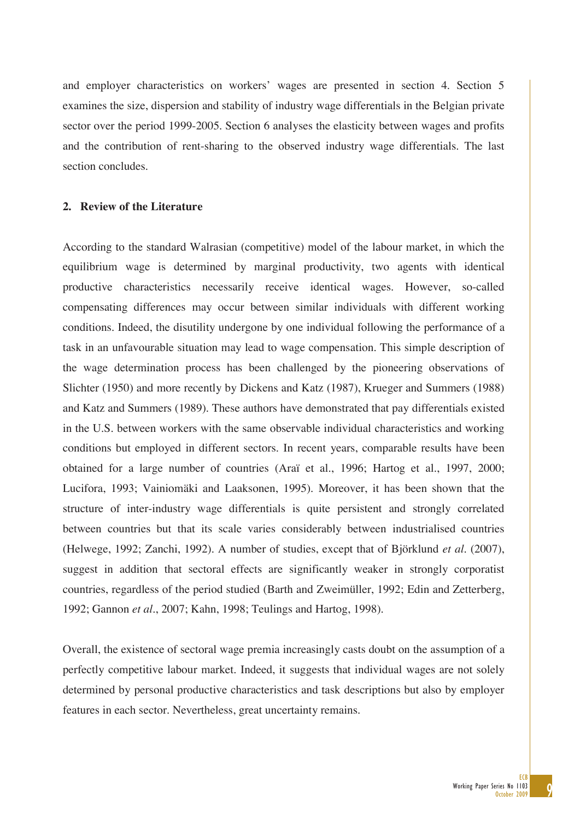and employer characteristics on workers' wages are presented in section 4. Section 5 examines the size, dispersion and stability of industry wage differentials in the Belgian private sector over the period 1999-2005. Section 6 analyses the elasticity between wages and profits and the contribution of rent-sharing to the observed industry wage differentials. The last section concludes.

#### **2. Review of the Literature**

According to the standard Walrasian (competitive) model of the labour market, in which the equilibrium wage is determined by marginal productivity, two agents with identical productive characteristics necessarily receive identical wages. However, so-called compensating differences may occur between similar individuals with different working conditions. Indeed, the disutility undergone by one individual following the performance of a task in an unfavourable situation may lead to wage compensation. This simple description of the wage determination process has been challenged by the pioneering observations of Slichter (1950) and more recently by Dickens and Katz (1987), Krueger and Summers (1988) and Katz and Summers (1989). These authors have demonstrated that pay differentials existed in the U.S. between workers with the same observable individual characteristics and working conditions but employed in different sectors. In recent years, comparable results have been obtained for a large number of countries (Araï et al., 1996; Hartog et al., 1997, 2000; Lucifora, 1993; Vainiomäki and Laaksonen, 1995). Moreover, it has been shown that the structure of inter-industry wage differentials is quite persistent and strongly correlated between countries but that its scale varies considerably between industrialised countries (Helwege, 1992; Zanchi, 1992). A number of studies, except that of Björklund *et al.* (2007), suggest in addition that sectoral effects are significantly weaker in strongly corporatist countries, regardless of the period studied (Barth and Zweimüller, 1992; Edin and Zetterberg, 1992; Gannon *et al.*, 2007; Kahn, 1998; Teulings and Hartog, 1998).

Overall, the existence of sectoral wage premia increasingly casts doubt on the assumption of a perfectly competitive labour market. Indeed, it suggests that individual wages are not solely determined by personal productive characteristics and task descriptions but also by employer features in each sector. Nevertheless, great uncertainty remains.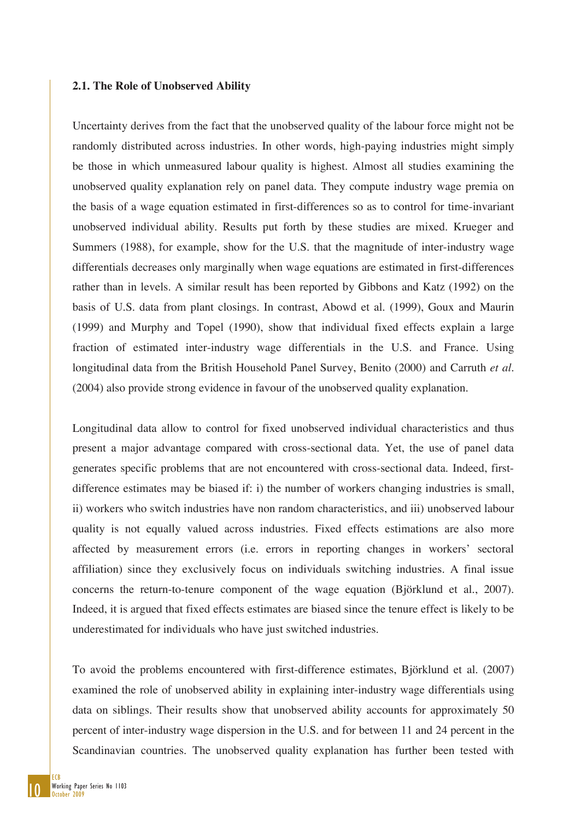#### **2.1. The Role of Unobserved Ability**

Uncertainty derives from the fact that the unobserved quality of the labour force might not be randomly distributed across industries. In other words, high-paying industries might simply be those in which unmeasured labour quality is highest. Almost all studies examining the unobserved quality explanation rely on panel data. They compute industry wage premia on the basis of a wage equation estimated in first-differences so as to control for time-invariant unobserved individual ability. Results put forth by these studies are mixed. Krueger and Summers (1988), for example, show for the U.S. that the magnitude of inter-industry wage differentials decreases only marginally when wage equations are estimated in first-differences rather than in levels. A similar result has been reported by Gibbons and Katz (1992) on the basis of U.S. data from plant closings. In contrast, Abowd et al. (1999), Goux and Maurin (1999) and Murphy and Topel (1990), show that individual fixed effects explain a large fraction of estimated inter-industry wage differentials in the U.S. and France. Using longitudinal data from the British Household Panel Survey, Benito (2000) and Carruth *et al.* (2004) also provide strong evidence in favour of the unobserved quality explanation.

Longitudinal data allow to control for fixed unobserved individual characteristics and thus present a major advantage compared with cross-sectional data. Yet, the use of panel data generates specific problems that are not encountered with cross-sectional data. Indeed, firstdifference estimates may be biased if: i) the number of workers changing industries is small, ii) workers who switch industries have non random characteristics, and iii) unobserved labour quality is not equally valued across industries. Fixed effects estimations are also more affected by measurement errors (i.e. errors in reporting changes in workers' sectoral affiliation) since they exclusively focus on individuals switching industries. A final issue concerns the return-to-tenure component of the wage equation (Björklund et al., 2007). Indeed, it is argued that fixed effects estimates are biased since the tenure effect is likely to be underestimated for individuals who have just switched industries.

To avoid the problems encountered with first-difference estimates, Björklund et al. (2007) examined the role of unobserved ability in explaining inter-industry wage differentials using data on siblings. Their results show that unobserved ability accounts for approximately 50 percent of inter-industry wage dispersion in the U.S. and for between 11 and 24 percent in the Scandinavian countries. The unobserved quality explanation has further been tested with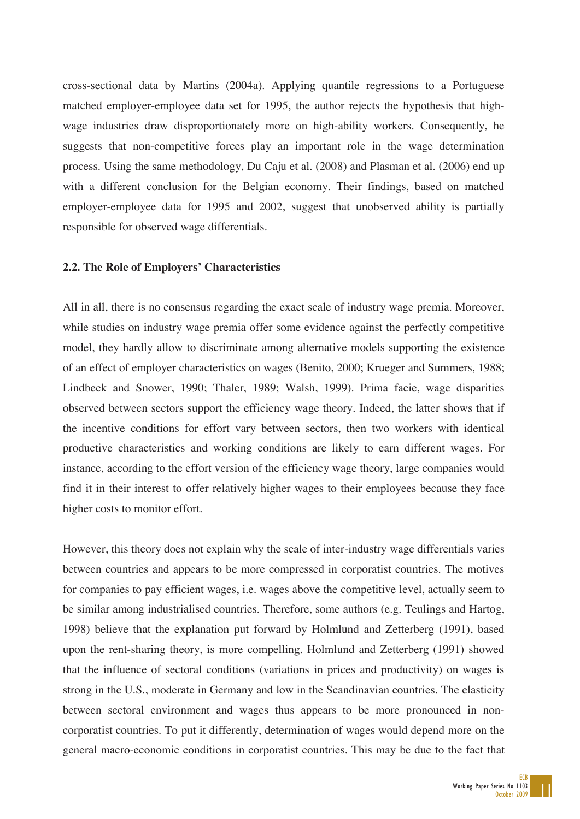cross-sectional data by Martins (2004a). Applying quantile regressions to a Portuguese matched employer-employee data set for 1995, the author rejects the hypothesis that highwage industries draw disproportionately more on high-ability workers. Consequently, he suggests that non-competitive forces play an important role in the wage determination process. Using the same methodology, Du Caju et al. (2008) and Plasman et al. (2006) end up with a different conclusion for the Belgian economy. Their findings, based on matched employer-employee data for 1995 and 2002, suggest that unobserved ability is partially responsible for observed wage differentials.

#### **2.2. The Role of Employers' Characteristics**

All in all, there is no consensus regarding the exact scale of industry wage premia. Moreover, while studies on industry wage premia offer some evidence against the perfectly competitive model, they hardly allow to discriminate among alternative models supporting the existence of an effect of employer characteristics on wages (Benito, 2000; Krueger and Summers, 1988; Lindbeck and Snower, 1990; Thaler, 1989; Walsh, 1999). Prima facie, wage disparities observed between sectors support the efficiency wage theory. Indeed, the latter shows that if the incentive conditions for effort vary between sectors, then two workers with identical productive characteristics and working conditions are likely to earn different wages. For instance, according to the effort version of the efficiency wage theory, large companies would find it in their interest to offer relatively higher wages to their employees because they face higher costs to monitor effort.

However, this theory does not explain why the scale of inter-industry wage differentials varies between countries and appears to be more compressed in corporatist countries. The motives for companies to pay efficient wages, i.e. wages above the competitive level, actually seem to be similar among industrialised countries. Therefore, some authors (e.g. Teulings and Hartog, 1998) believe that the explanation put forward by Holmlund and Zetterberg (1991), based upon the rent-sharing theory, is more compelling. Holmlund and Zetterberg (1991) showed that the influence of sectoral conditions (variations in prices and productivity) on wages is strong in the U.S., moderate in Germany and low in the Scandinavian countries. The elasticity between sectoral environment and wages thus appears to be more pronounced in noncorporatist countries. To put it differently, determination of wages would depend more on the general macro-economic conditions in corporatist countries. This may be due to the fact that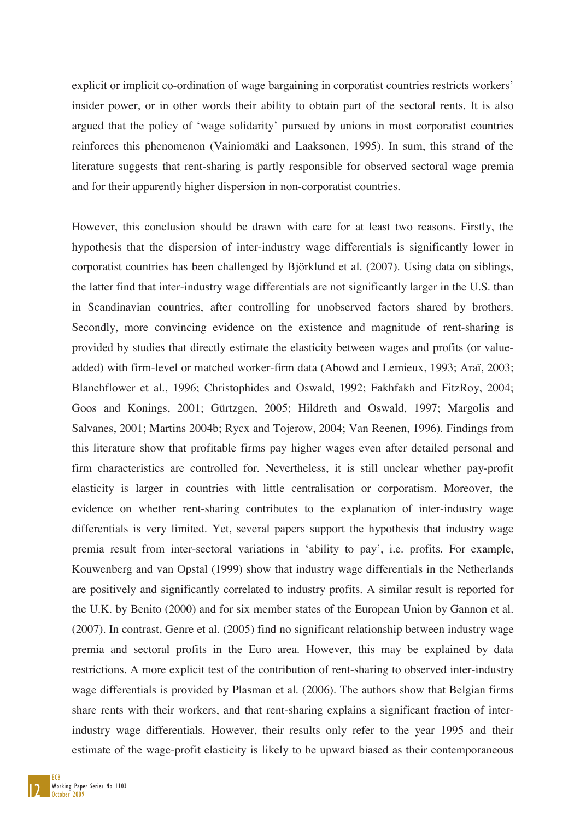explicit or implicit co-ordination of wage bargaining in corporatist countries restricts workers' insider power, or in other words their ability to obtain part of the sectoral rents. It is also argued that the policy of 'wage solidarity' pursued by unions in most corporatist countries reinforces this phenomenon (Vainiomäki and Laaksonen, 1995). In sum, this strand of the literature suggests that rent-sharing is partly responsible for observed sectoral wage premia and for their apparently higher dispersion in non-corporatist countries.

However, this conclusion should be drawn with care for at least two reasons. Firstly, the hypothesis that the dispersion of inter-industry wage differentials is significantly lower in corporatist countries has been challenged by Björklund et al. (2007). Using data on siblings, the latter find that inter-industry wage differentials are not significantly larger in the U.S. than in Scandinavian countries, after controlling for unobserved factors shared by brothers. Secondly, more convincing evidence on the existence and magnitude of rent-sharing is provided by studies that directly estimate the elasticity between wages and profits (or valueadded) with firm-level or matched worker-firm data (Abowd and Lemieux, 1993; Araï, 2003; Blanchflower et al., 1996; Christophides and Oswald, 1992; Fakhfakh and FitzRoy, 2004; Goos and Konings, 2001; Gürtzgen, 2005; Hildreth and Oswald, 1997; Margolis and Salvanes, 2001; Martins 2004b; Rycx and Tojerow, 2004; Van Reenen, 1996). Findings from this literature show that profitable firms pay higher wages even after detailed personal and firm characteristics are controlled for. Nevertheless, it is still unclear whether pay-profit elasticity is larger in countries with little centralisation or corporatism. Moreover, the evidence on whether rent-sharing contributes to the explanation of inter-industry wage differentials is very limited. Yet, several papers support the hypothesis that industry wage premia result from inter-sectoral variations in 'ability to pay', i.e. profits. For example, Kouwenberg and van Opstal (1999) show that industry wage differentials in the Netherlands are positively and significantly correlated to industry profits. A similar result is reported for the U.K. by Benito (2000) and for six member states of the European Union by Gannon et al. (2007). In contrast, Genre et al. (2005) find no significant relationship between industry wage premia and sectoral profits in the Euro area. However, this may be explained by data restrictions. A more explicit test of the contribution of rent-sharing to observed inter-industry wage differentials is provided by Plasman et al. (2006). The authors show that Belgian firms share rents with their workers, and that rent-sharing explains a significant fraction of interindustry wage differentials. However, their results only refer to the year 1995 and their estimate of the wage-profit elasticity is likely to be upward biased as their contemporaneous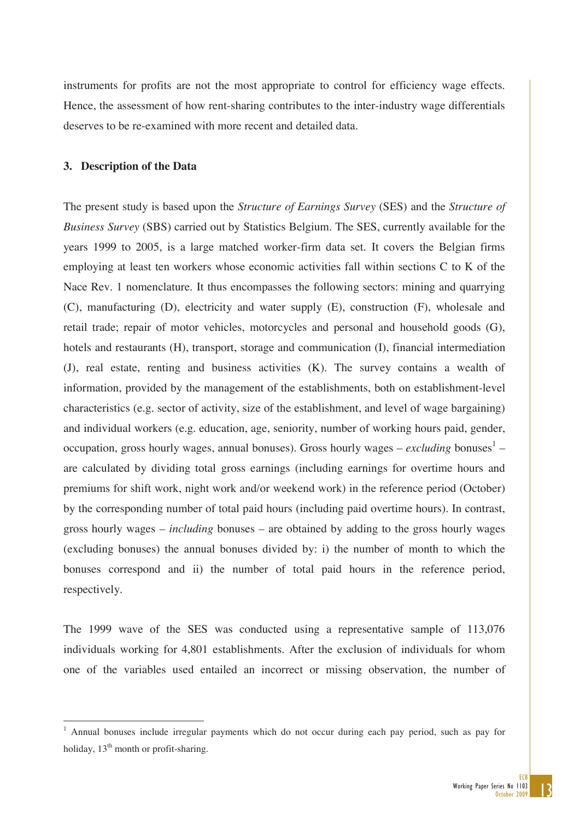instruments for profits are not the most appropriate to control for efficiency wage effects. Hence, the assessment of how rent-sharing contributes to the inter-industry wage differentials deserves to be re-examined with more recent and detailed data.

#### **3. Description of the Data**

The present study is based upon the *Structure of Earnings Survey* (SES) and the *Structure of Business Survey* (SBS) carried out by Statistics Belgium. The SES, currently available for the years 1999 to 2005, is a large matched worker-firm data set. It covers the Belgian firms employing at least ten workers whose economic activities fall within sections C to K of the Nace Rev. 1 nomenclature. It thus encompasses the following sectors: mining and quarrying (C), manufacturing (D), electricity and water supply (E), construction (F), wholesale and retail trade; repair of motor vehicles, motorcycles and personal and household goods (G), hotels and restaurants (H), transport, storage and communication (I), financial intermediation (J), real estate, renting and business activities (K). The survey contains a wealth of information, provided by the management of the establishments, both on establishment-level characteristics (e.g. sector of activity, size of the establishment, and level of wage bargaining) and individual workers (e.g. education, age, seniority, number of working hours paid, gender, occupation, gross hourly wages, annual bonuses). Gross hourly wages – *excluding* bonuses<sup>1</sup> – are calculated by dividing total gross earnings (including earnings for overtime hours and premiums for shift work, night work and/or weekend work) in the reference period (October) by the corresponding number of total paid hours (including paid overtime hours). In contrast, gross hourly wages – *including* bonuses – are obtained by adding to the gross hourly wages (excluding bonuses) the annual bonuses divided by: i) the number of month to which the bonuses correspond and ii) the number of total paid hours in the reference period, respectively.

The 1999 wave of the SES was conducted using a representative sample of 113,076 individuals working for 4,801 establishments. After the exclusion of individuals for whom one of the variables used entailed an incorrect or missing observation, the number of

<sup>1</sup> Annual bonuses include irregular payments which do not occur during each pay period, such as pay for holiday,  $13^{th}$  month or profit-sharing.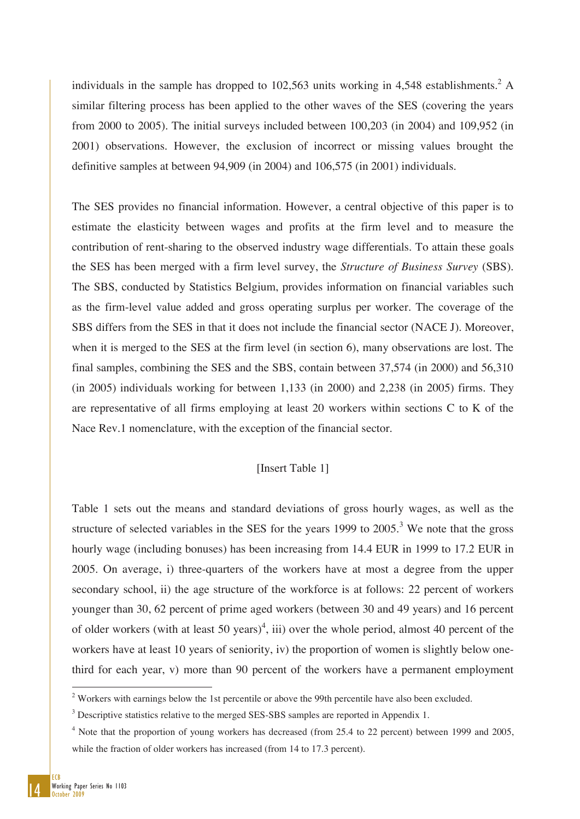individuals in the sample has dropped to 102,563 units working in 4,548 establishments.<sup>2</sup> A similar filtering process has been applied to the other waves of the SES (covering the years from 2000 to 2005). The initial surveys included between 100,203 (in 2004) and 109,952 (in 2001) observations. However, the exclusion of incorrect or missing values brought the definitive samples at between 94,909 (in 2004) and 106,575 (in 2001) individuals.

The SES provides no financial information. However, a central objective of this paper is to estimate the elasticity between wages and profits at the firm level and to measure the contribution of rent-sharing to the observed industry wage differentials. To attain these goals the SES has been merged with a firm level survey, the *Structure of Business Survey* (SBS). The SBS, conducted by Statistics Belgium, provides information on financial variables such as the firm-level value added and gross operating surplus per worker. The coverage of the SBS differs from the SES in that it does not include the financial sector (NACE J). Moreover, when it is merged to the SES at the firm level (in section 6), many observations are lost. The final samples, combining the SES and the SBS, contain between 37,574 (in 2000) and 56,310 (in 2005) individuals working for between 1,133 (in 2000) and 2,238 (in 2005) firms. They are representative of all firms employing at least 20 workers within sections C to K of the Nace Rev.1 nomenclature, with the exception of the financial sector.

#### [Insert Table 1]

Table 1 sets out the means and standard deviations of gross hourly wages, as well as the structure of selected variables in the SES for the years 1999 to  $2005$ .<sup>3</sup> We note that the gross hourly wage (including bonuses) has been increasing from 14.4 EUR in 1999 to 17.2 EUR in 2005. On average, i) three-quarters of the workers have at most a degree from the upper secondary school, ii) the age structure of the workforce is at follows: 22 percent of workers younger than 30, 62 percent of prime aged workers (between 30 and 49 years) and 16 percent of older workers (with at least 50 years)<sup>4</sup>, iii) over the whole period, almost 40 percent of the workers have at least 10 years of seniority, iv) the proportion of women is slightly below onethird for each year, v) more than 90 percent of the workers have a permanent employment

 $2$  Workers with earnings below the 1st percentile or above the 99th percentile have also been excluded.

 $3$  Descriptive statistics relative to the merged SES-SBS samples are reported in Appendix 1.

<sup>&</sup>lt;sup>4</sup> Note that the proportion of young workers has decreased (from 25.4 to 22 percent) between 1999 and 2005, while the fraction of older workers has increased (from 14 to 17.3 percent).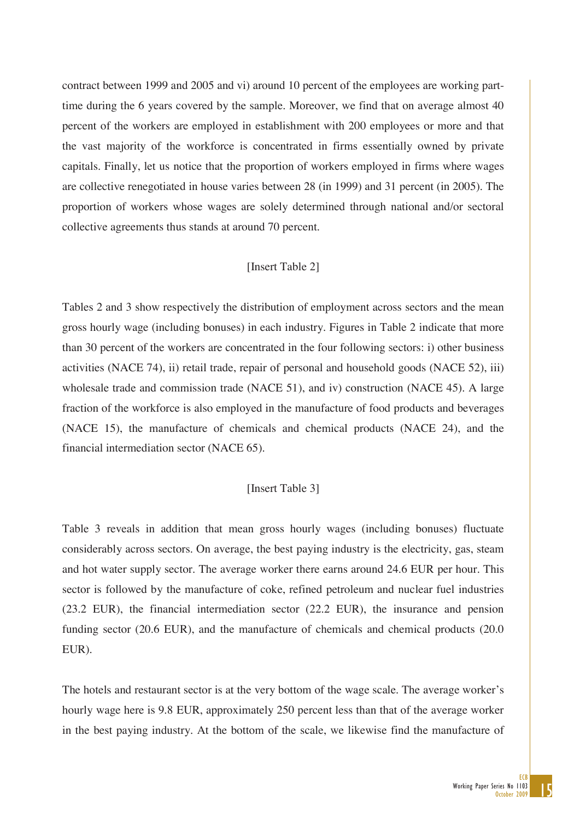contract between 1999 and 2005 and vi) around 10 percent of the employees are working parttime during the 6 years covered by the sample. Moreover, we find that on average almost 40 percent of the workers are employed in establishment with 200 employees or more and that the vast majority of the workforce is concentrated in firms essentially owned by private capitals. Finally, let us notice that the proportion of workers employed in firms where wages are collective renegotiated in house varies between 28 (in 1999) and 31 percent (in 2005). The proportion of workers whose wages are solely determined through national and/or sectoral collective agreements thus stands at around 70 percent.

#### [Insert Table 2]

Tables 2 and 3 show respectively the distribution of employment across sectors and the mean gross hourly wage (including bonuses) in each industry. Figures in Table 2 indicate that more than 30 percent of the workers are concentrated in the four following sectors: i) other business activities (NACE 74), ii) retail trade, repair of personal and household goods (NACE 52), iii) wholesale trade and commission trade (NACE 51), and iv) construction (NACE 45). A large fraction of the workforce is also employed in the manufacture of food products and beverages (NACE 15), the manufacture of chemicals and chemical products (NACE 24), and the financial intermediation sector (NACE 65).

#### [Insert Table 3]

Table 3 reveals in addition that mean gross hourly wages (including bonuses) fluctuate considerably across sectors. On average, the best paying industry is the electricity, gas, steam and hot water supply sector. The average worker there earns around 24.6 EUR per hour. This sector is followed by the manufacture of coke, refined petroleum and nuclear fuel industries (23.2 EUR), the financial intermediation sector (22.2 EUR), the insurance and pension funding sector (20.6 EUR), and the manufacture of chemicals and chemical products (20.0 EUR).

The hotels and restaurant sector is at the very bottom of the wage scale. The average worker's hourly wage here is 9.8 EUR, approximately 250 percent less than that of the average worker in the best paying industry. At the bottom of the scale, we likewise find the manufacture of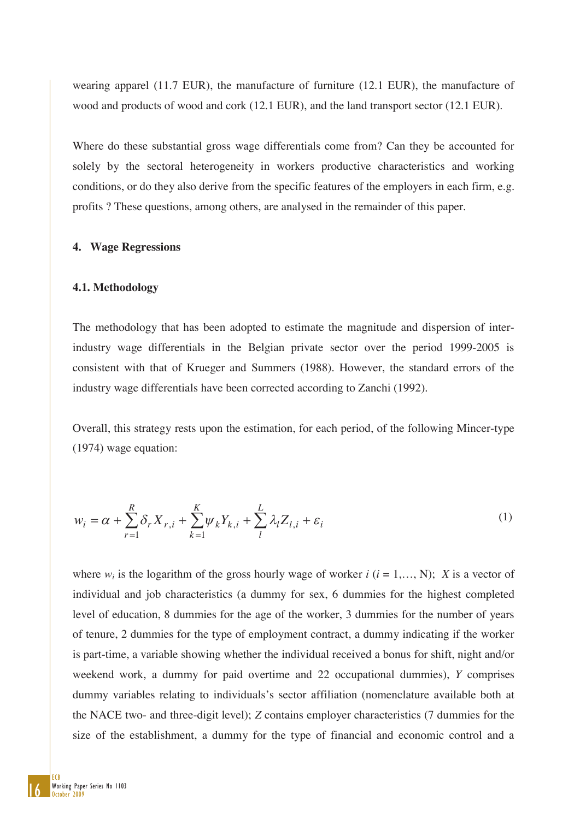wearing apparel (11.7 EUR), the manufacture of furniture (12.1 EUR), the manufacture of wood and products of wood and cork (12.1 EUR), and the land transport sector (12.1 EUR).

Where do these substantial gross wage differentials come from? Can they be accounted for solely by the sectoral heterogeneity in workers productive characteristics and working conditions, or do they also derive from the specific features of the employers in each firm, e.g. profits ? These questions, among others, are analysed in the remainder of this paper.

#### **4. Wage Regressions**

#### **4.1. Methodology**

The methodology that has been adopted to estimate the magnitude and dispersion of interindustry wage differentials in the Belgian private sector over the period 1999-2005 is consistent with that of Krueger and Summers (1988). However, the standard errors of the industry wage differentials have been corrected according to Zanchi (1992).

Overall, this strategy rests upon the estimation, for each period, of the following Mincer-type (1974) wage equation:

$$
w_i = \alpha + \sum_{r=1}^{R} \delta_r X_{r,i} + \sum_{k=1}^{K} \psi_k Y_{k,i} + \sum_{l}^{L} \lambda_l Z_{l,i} + \varepsilon_i
$$
\n<sup>(1)</sup>

where  $w_i$  is the logarithm of the gross hourly wage of worker  $i$  ( $i = 1,..., N$ ); *X* is a vector of individual and job characteristics (a dummy for sex, 6 dummies for the highest completed level of education, 8 dummies for the age of the worker, 3 dummies for the number of years of tenure, 2 dummies for the type of employment contract, a dummy indicating if the worker is part-time, a variable showing whether the individual received a bonus for shift, night and/or weekend work, a dummy for paid overtime and 22 occupational dummies), *Y* comprises dummy variables relating to individuals's sector affiliation (nomenclature available both at the NACE two- and three-digit level); *Z* contains employer characteristics (7 dummies for the size of the establishment, a dummy for the type of financial and economic control and a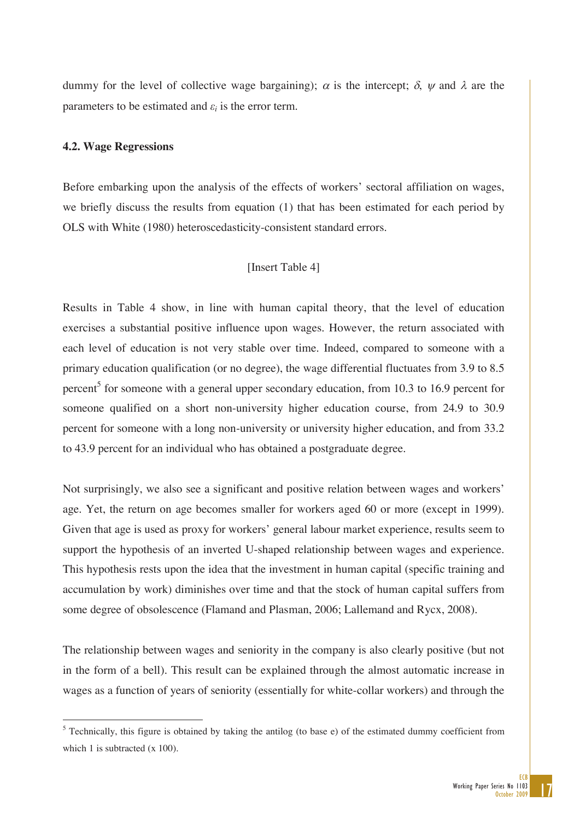dummy for the level of collective wage bargaining);  $\alpha$  is the intercept;  $\delta$ ,  $\psi$  and  $\lambda$  are the parameters to be estimated and  $\varepsilon_i$  is the error term.

#### **4.2. Wage Regressions**

Before embarking upon the analysis of the effects of workers' sectoral affiliation on wages, we briefly discuss the results from equation (1) that has been estimated for each period by OLS with White (1980) heteroscedasticity-consistent standard errors.

#### [Insert Table 4]

Results in Table 4 show, in line with human capital theory, that the level of education exercises a substantial positive influence upon wages. However, the return associated with each level of education is not very stable over time. Indeed, compared to someone with a primary education qualification (or no degree), the wage differential fluctuates from 3.9 to 8.5 percent<sup>5</sup> for someone with a general upper secondary education, from 10.3 to 16.9 percent for someone qualified on a short non-university higher education course, from 24.9 to 30.9 percent for someone with a long non-university or university higher education, and from 33.2 to 43.9 percent for an individual who has obtained a postgraduate degree.

Not surprisingly, we also see a significant and positive relation between wages and workers' age. Yet, the return on age becomes smaller for workers aged 60 or more (except in 1999). Given that age is used as proxy for workers' general labour market experience, results seem to support the hypothesis of an inverted U-shaped relationship between wages and experience. This hypothesis rests upon the idea that the investment in human capital (specific training and accumulation by work) diminishes over time and that the stock of human capital suffers from some degree of obsolescence (Flamand and Plasman, 2006; Lallemand and Rycx, 2008).

The relationship between wages and seniority in the company is also clearly positive (but not in the form of a bell). This result can be explained through the almost automatic increase in wages as a function of years of seniority (essentially for white-collar workers) and through the

 $<sup>5</sup>$  Technically, this figure is obtained by taking the antilog (to base e) of the estimated dummy coefficient from</sup> which 1 is subtracted (x 100).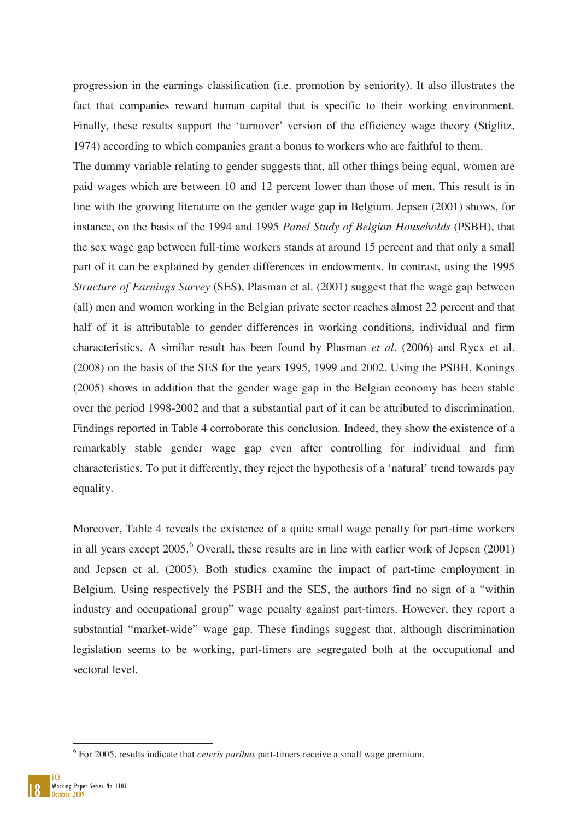progression in the earnings classification (i.e. promotion by seniority). It also illustrates the fact that companies reward human capital that is specific to their working environment. Finally, these results support the 'turnover' version of the efficiency wage theory (Stiglitz, 1974) according to which companies grant a bonus to workers who are faithful to them.

The dummy variable relating to gender suggests that, all other things being equal, women are paid wages which are between 10 and 12 percent lower than those of men. This result is in line with the growing literature on the gender wage gap in Belgium. Jepsen (2001) shows, for instance, on the basis of the 1994 and 1995 *Panel Study of Belgian Households* (PSBH), that the sex wage gap between full-time workers stands at around 15 percent and that only a small part of it can be explained by gender differences in endowments. In contrast, using the 1995 *Structure of Earnings Survey* (SES), Plasman et al. (2001) suggest that the wage gap between (all) men and women working in the Belgian private sector reaches almost 22 percent and that half of it is attributable to gender differences in working conditions, individual and firm characteristics. A similar result has been found by Plasman *et al.* (2006) and Rycx et al. (2008) on the basis of the SES for the years 1995, 1999 and 2002. Using the PSBH, Konings (2005) shows in addition that the gender wage gap in the Belgian economy has been stable over the period 1998-2002 and that a substantial part of it can be attributed to discrimination. Findings reported in Table 4 corroborate this conclusion. Indeed, they show the existence of a remarkably stable gender wage gap even after controlling for individual and firm characteristics. To put it differently, they reject the hypothesis of a 'natural' trend towards pay equality.

Moreover, Table 4 reveals the existence of a quite small wage penalty for part-time workers in all years except  $2005$ .<sup>6</sup> Overall, these results are in line with earlier work of Jepsen  $(2001)$ and Jepsen et al. (2005). Both studies examine the impact of part-time employment in Belgium. Using respectively the PSBH and the SES, the authors find no sign of a "within industry and occupational group" wage penalty against part-timers. However, they report a substantial "market-wide" wage gap. These findings suggest that, although discrimination legislation seems to be working, part-timers are segregated both at the occupational and sectoral level.



<sup>6</sup> For 2005, results indicate that *ceteris paribus* part-timers receive a small wage premium.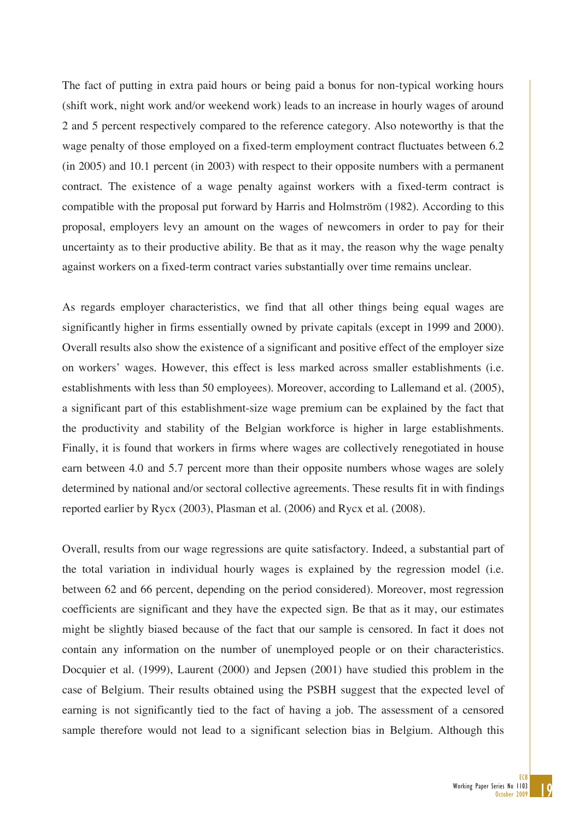The fact of putting in extra paid hours or being paid a bonus for non-typical working hours (shift work, night work and/or weekend work) leads to an increase in hourly wages of around 2 and 5 percent respectively compared to the reference category. Also noteworthy is that the wage penalty of those employed on a fixed-term employment contract fluctuates between 6.2 (in 2005) and 10.1 percent (in 2003) with respect to their opposite numbers with a permanent contract. The existence of a wage penalty against workers with a fixed-term contract is compatible with the proposal put forward by Harris and Holmström (1982). According to this proposal, employers levy an amount on the wages of newcomers in order to pay for their uncertainty as to their productive ability. Be that as it may, the reason why the wage penalty against workers on a fixed-term contract varies substantially over time remains unclear.

As regards employer characteristics, we find that all other things being equal wages are significantly higher in firms essentially owned by private capitals (except in 1999 and 2000). Overall results also show the existence of a significant and positive effect of the employer size on workers' wages. However, this effect is less marked across smaller establishments (i.e. establishments with less than 50 employees). Moreover, according to Lallemand et al. (2005), a significant part of this establishment-size wage premium can be explained by the fact that the productivity and stability of the Belgian workforce is higher in large establishments. Finally, it is found that workers in firms where wages are collectively renegotiated in house earn between 4.0 and 5.7 percent more than their opposite numbers whose wages are solely determined by national and/or sectoral collective agreements. These results fit in with findings reported earlier by Rycx (2003), Plasman et al. (2006) and Rycx et al. (2008).

Overall, results from our wage regressions are quite satisfactory. Indeed, a substantial part of the total variation in individual hourly wages is explained by the regression model (i.e. between 62 and 66 percent, depending on the period considered). Moreover, most regression coefficients are significant and they have the expected sign. Be that as it may, our estimates might be slightly biased because of the fact that our sample is censored. In fact it does not contain any information on the number of unemployed people or on their characteristics. Docquier et al. (1999), Laurent (2000) and Jepsen (2001) have studied this problem in the case of Belgium. Their results obtained using the PSBH suggest that the expected level of earning is not significantly tied to the fact of having a job. The assessment of a censored sample therefore would not lead to a significant selection bias in Belgium. Although this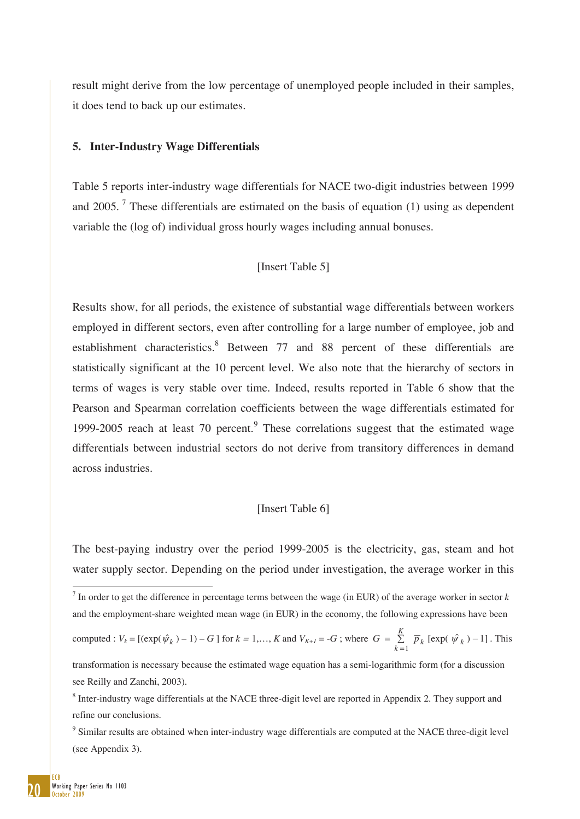result might derive from the low percentage of unemployed people included in their samples, it does tend to back up our estimates.

#### **5. Inter-Industry Wage Differentials**

Table 5 reports inter-industry wage differentials for NACE two-digit industries between 1999 and 2005.<sup>7</sup> These differentials are estimated on the basis of equation (1) using as dependent variable the (log of) individual gross hourly wages including annual bonuses.

#### [Insert Table 5]

Results show, for all periods, the existence of substantial wage differentials between workers employed in different sectors, even after controlling for a large number of employee, job and establishment characteristics.<sup>8</sup> Between 77 and 88 percent of these differentials are statistically significant at the 10 percent level. We also note that the hierarchy of sectors in terms of wages is very stable over time. Indeed, results reported in Table 6 show that the Pearson and Spearman correlation coefficients between the wage differentials estimated for 1999-2005 reach at least  $70$  percent. $9$  These correlations suggest that the estimated wage differentials between industrial sectors do not derive from transitory differences in demand across industries.

#### [Insert Table 6]

The best-paying industry over the period 1999-2005 is the electricity, gas, steam and hot water supply sector. Depending on the period under investigation, the average worker in this

computed :  $V_k = [(\exp(\hat{\psi}_k) - 1) - G]$  for  $k = 1,..., K$  and  $V_{K+1} = -G$ ; where  $G = \sum_{k=1}^{K} \overline{p}_k [\exp(\hat{\psi}_k) G = \sum_{k=1}^{\infty} \overline{p}_k$  [exp(  $\hat{\psi}_k$ [ $\exp(\psi_k) - 1$ ]. This

transformation is necessary because the estimated wage equation has a semi-logarithmic form (for a discussion see Reilly and Zanchi, 2003).

<sup>7</sup> In order to get the difference in percentage terms between the wage (in EUR) of the average worker in sector *k* and the employment-share weighted mean wage (in EUR) in the economy, the following expressions have been

<sup>&</sup>lt;sup>8</sup> Inter-industry wage differentials at the NACE three-digit level are reported in Appendix 2. They support and refine our conclusions.

<sup>&</sup>lt;sup>9</sup> Similar results are obtained when inter-industry wage differentials are computed at the NACE three-digit level (see Appendix 3).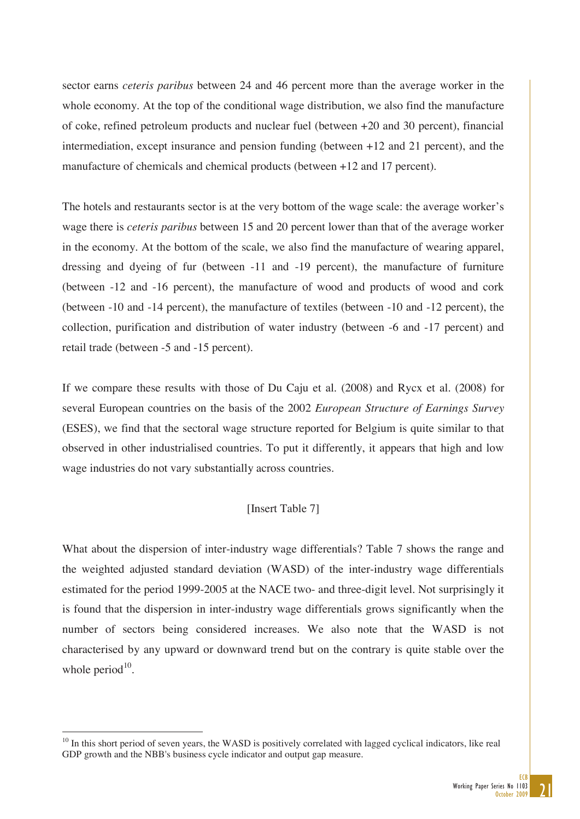sector earns *ceteris paribus* between 24 and 46 percent more than the average worker in the whole economy. At the top of the conditional wage distribution, we also find the manufacture of coke, refined petroleum products and nuclear fuel (between +20 and 30 percent), financial intermediation, except insurance and pension funding (between +12 and 21 percent), and the manufacture of chemicals and chemical products (between +12 and 17 percent).

The hotels and restaurants sector is at the very bottom of the wage scale: the average worker's wage there is *ceteris paribus* between 15 and 20 percent lower than that of the average worker in the economy. At the bottom of the scale, we also find the manufacture of wearing apparel, dressing and dyeing of fur (between -11 and -19 percent), the manufacture of furniture (between -12 and -16 percent), the manufacture of wood and products of wood and cork (between -10 and -14 percent), the manufacture of textiles (between -10 and -12 percent), the collection, purification and distribution of water industry (between -6 and -17 percent) and retail trade (between -5 and -15 percent).

If we compare these results with those of Du Caju et al. (2008) and Rycx et al. (2008) for several European countries on the basis of the 2002 *European Structure of Earnings Survey* (ESES), we find that the sectoral wage structure reported for Belgium is quite similar to that observed in other industrialised countries. To put it differently, it appears that high and low wage industries do not vary substantially across countries.

#### [Insert Table 7]

What about the dispersion of inter-industry wage differentials? Table 7 shows the range and the weighted adjusted standard deviation (WASD) of the inter-industry wage differentials estimated for the period 1999-2005 at the NACE two- and three-digit level. Not surprisingly it is found that the dispersion in inter-industry wage differentials grows significantly when the number of sectors being considered increases. We also note that the WASD is not characterised by any upward or downward trend but on the contrary is quite stable over the whole period $10$ .

 $10$  In this short period of seven years, the WASD is positively correlated with lagged cyclical indicators, like real GDP growth and the NBB's business cycle indicator and output gap measure.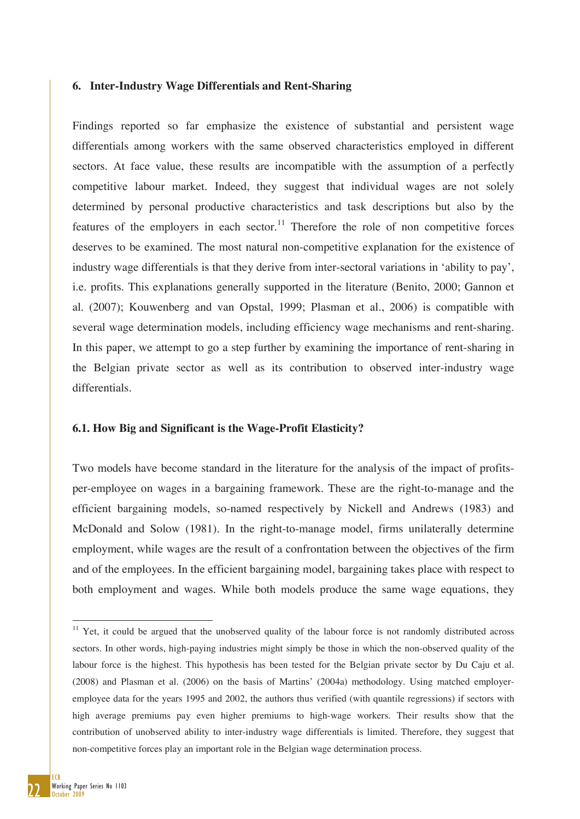#### **6. Inter-Industry Wage Differentials and Rent-Sharing**

Findings reported so far emphasize the existence of substantial and persistent wage differentials among workers with the same observed characteristics employed in different sectors. At face value, these results are incompatible with the assumption of a perfectly competitive labour market. Indeed, they suggest that individual wages are not solely determined by personal productive characteristics and task descriptions but also by the features of the employers in each sector.<sup>11</sup> Therefore the role of non competitive forces deserves to be examined. The most natural non-competitive explanation for the existence of industry wage differentials is that they derive from inter-sectoral variations in 'ability to pay', i.e. profits. This explanations generally supported in the literature (Benito, 2000; Gannon et al. (2007); Kouwenberg and van Opstal, 1999; Plasman et al., 2006) is compatible with several wage determination models, including efficiency wage mechanisms and rent-sharing. In this paper, we attempt to go a step further by examining the importance of rent-sharing in the Belgian private sector as well as its contribution to observed inter-industry wage differentials.

#### **6.1. How Big and Significant is the Wage-Profit Elasticity?**

Two models have become standard in the literature for the analysis of the impact of profitsper-employee on wages in a bargaining framework. These are the right-to-manage and the efficient bargaining models, so-named respectively by Nickell and Andrews (1983) and McDonald and Solow (1981). In the right-to-manage model, firms unilaterally determine employment, while wages are the result of a confrontation between the objectives of the firm and of the employees. In the efficient bargaining model, bargaining takes place with respect to both employment and wages. While both models produce the same wage equations, they

<sup>&</sup>lt;sup>11</sup> Yet, it could be argued that the unobserved quality of the labour force is not randomly distributed across sectors. In other words, high-paying industries might simply be those in which the non-observed quality of the labour force is the highest. This hypothesis has been tested for the Belgian private sector by Du Caju et al. (2008) and Plasman et al. (2006) on the basis of Martins' (2004a) methodology. Using matched employeremployee data for the years 1995 and 2002, the authors thus verified (with quantile regressions) if sectors with high average premiums pay even higher premiums to high-wage workers. Their results show that the contribution of unobserved ability to inter-industry wage differentials is limited. Therefore, they suggest that non-competitive forces play an important role in the Belgian wage determination process.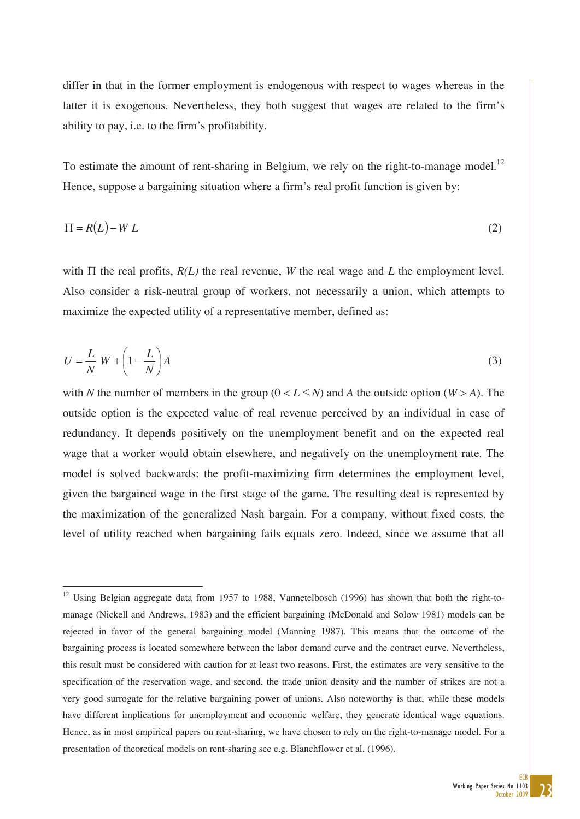differ in that in the former employment is endogenous with respect to wages whereas in the latter it is exogenous. Nevertheless, they both suggest that wages are related to the firm's ability to pay, i.e. to the firm's profitability.

To estimate the amount of rent-sharing in Belgium, we rely on the right-to-manage model.<sup>12</sup> Hence, suppose a bargaining situation where a firm's real profit function is given by:

$$
\Pi = R(L) - WL \tag{2}
$$

with  $\Pi$  the real profits,  $R(L)$  the real revenue, *W* the real wage and *L* the employment level. Also consider a risk-neutral group of workers, not necessarily a union, which attempts to maximize the expected utility of a representative member, defined as:

$$
U = \frac{L}{N} W + \left(1 - \frac{L}{N}\right) A
$$
 (3)

with *N* the number of members in the group  $(0 < L \le N)$  and *A* the outside option  $(W > A)$ . The outside option is the expected value of real revenue perceived by an individual in case of redundancy. It depends positively on the unemployment benefit and on the expected real wage that a worker would obtain elsewhere, and negatively on the unemployment rate. The model is solved backwards: the profit-maximizing firm determines the employment level, given the bargained wage in the first stage of the game. The resulting deal is represented by the maximization of the generalized Nash bargain. For a company, without fixed costs, the level of utility reached when bargaining fails equals zero. Indeed, since we assume that all

<sup>&</sup>lt;sup>12</sup> Using Belgian aggregate data from 1957 to 1988, Vannetelbosch (1996) has shown that both the right-tomanage (Nickell and Andrews, 1983) and the efficient bargaining (McDonald and Solow 1981) models can be rejected in favor of the general bargaining model (Manning 1987). This means that the outcome of the bargaining process is located somewhere between the labor demand curve and the contract curve. Nevertheless, this result must be considered with caution for at least two reasons. First, the estimates are very sensitive to the specification of the reservation wage, and second, the trade union density and the number of strikes are not a very good surrogate for the relative bargaining power of unions. Also noteworthy is that, while these models have different implications for unemployment and economic welfare, they generate identical wage equations. Hence, as in most empirical papers on rent-sharing, we have chosen to rely on the right-to-manage model. For a presentation of theoretical models on rent-sharing see e.g. Blanchflower et al. (1996).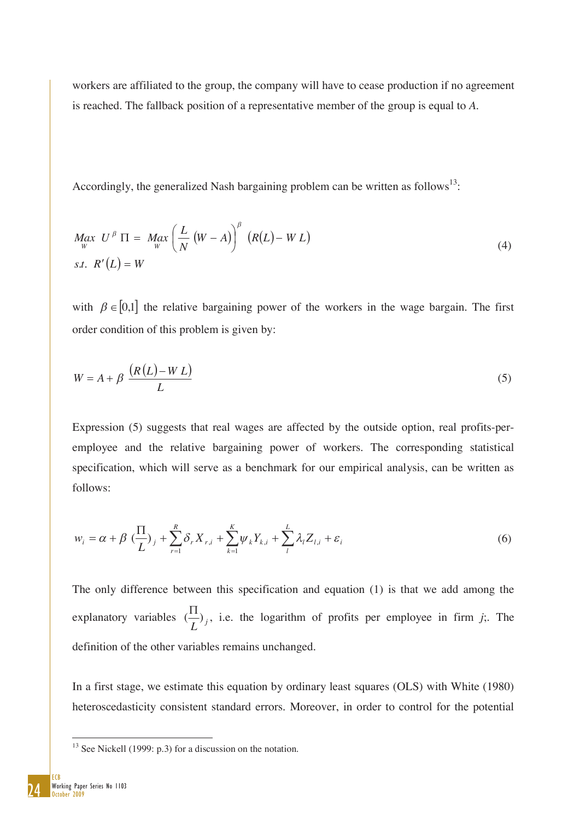workers are affiliated to the group, the company will have to cease production if no agreement is reached. The fallback position of a representative member of the group is equal to *A*.

Accordingly, the generalized Nash bargaining problem can be written as  $\text{follows}^{13}$ :

$$
\begin{array}{ll}\n\text{Max} & U^{\beta} \, \Pi = \, \text{Max} \left( \frac{L}{N} \left( W - A \right) \right)^{\beta} \, \left( R(L) - W \, L \right) \\
\text{s.t.} & R'(L) = W\n\end{array} \tag{4}
$$

with  $\beta \in [0,1]$  the relative bargaining power of the workers in the wage bargain. The first order condition of this problem is given by:

$$
W = A + \beta \frac{(R(L) - WL)}{L}
$$
 (5)

Expression (5) suggests that real wages are affected by the outside option, real profits-peremployee and the relative bargaining power of workers. The corresponding statistical specification, which will serve as a benchmark for our empirical analysis, can be written as follows:

$$
w_i = \alpha + \beta \left( \frac{\Pi}{L} \right)_j + \sum_{r=1}^R \delta_r X_{r,i} + \sum_{k=1}^K \psi_k Y_{k,i} + \sum_{l=1}^L \lambda_l Z_{l,i} + \varepsilon_i
$$
\n
$$
\tag{6}
$$

The only difference between this specification and equation (1) is that we add among the explanatory variables  $\left(\frac{H}{L}\right)$  $(\frac{\Pi}{\sigma})_i$ , i.e. the logarithm of profits per employee in firm *j*;. The definition of the other variables remains unchanged.

In a first stage, we estimate this equation by ordinary least squares (OLS) with White (1980) heteroscedasticity consistent standard errors. Moreover, in order to control for the potential

 $13$  See Nickell (1999: p.3) for a discussion on the notation.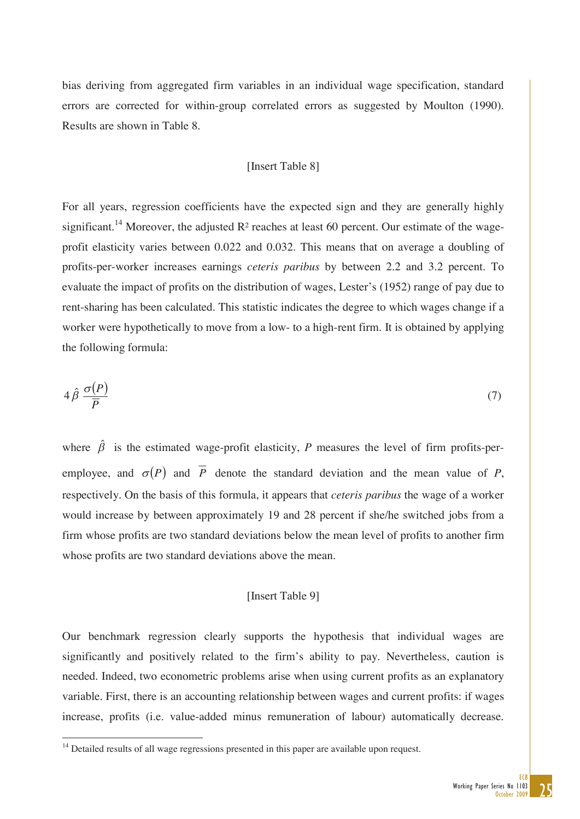bias deriving from aggregated firm variables in an individual wage specification, standard errors are corrected for within-group correlated errors as suggested by Moulton (1990). Results are shown in Table 8.

#### [Insert Table 8]

For all years, regression coefficients have the expected sign and they are generally highly significant.<sup>14</sup> Moreover, the adjusted  $R^2$  reaches at least 60 percent. Our estimate of the wageprofit elasticity varies between 0.022 and 0.032. This means that on average a doubling of profits-per-worker increases earnings *ceteris paribus* by between 2.2 and 3.2 percent. To evaluate the impact of profits on the distribution of wages, Lester's (1952) range of pay due to rent-sharing has been calculated. This statistic indicates the degree to which wages change if a worker were hypothetically to move from a low- to a high-rent firm. It is obtained by applying the following formula:

$$
4\,\hat{\beta}\,\frac{\sigma(P)}{\overline{P}}\tag{7}
$$

where  $\hat{\beta}$  is the estimated wage-profit elasticity, *P* measures the level of firm profits-peremployee, and  $\sigma(P)$  and  $\overline{P}$  denote the standard deviation and the mean value of *P*, respectively. On the basis of this formula, it appears that *ceteris paribus* the wage of a worker would increase by between approximately 19 and 28 percent if she/he switched jobs from a firm whose profits are two standard deviations below the mean level of profits to another firm whose profits are two standard deviations above the mean.

#### [Insert Table 9]

Our benchmark regression clearly supports the hypothesis that individual wages are significantly and positively related to the firm's ability to pay. Nevertheless, caution is needed. Indeed, two econometric problems arise when using current profits as an explanatory variable. First, there is an accounting relationship between wages and current profits: if wages increase, profits (i.e. value-added minus remuneration of labour) automatically decrease.

 $14$  Detailed results of all wage regressions presented in this paper are available upon request.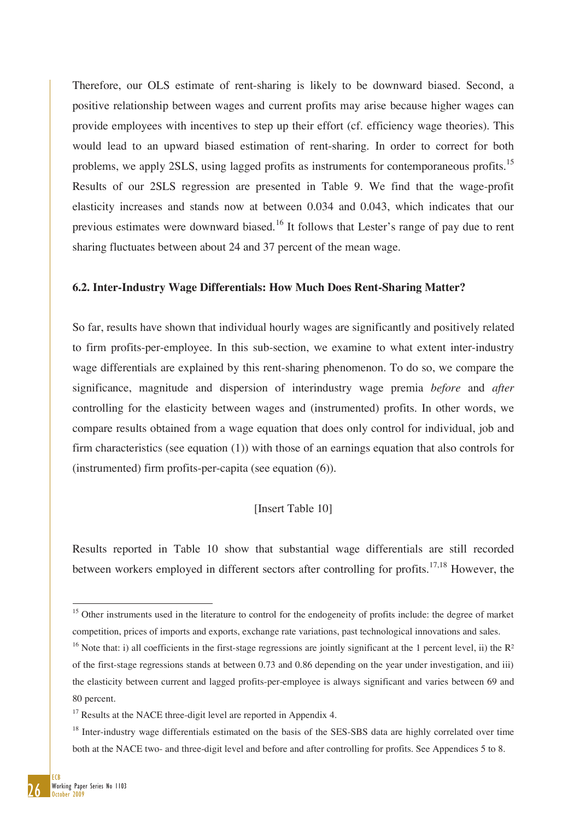Therefore, our OLS estimate of rent-sharing is likely to be downward biased. Second, a positive relationship between wages and current profits may arise because higher wages can provide employees with incentives to step up their effort (cf. efficiency wage theories). This would lead to an upward biased estimation of rent-sharing. In order to correct for both problems, we apply 2SLS, using lagged profits as instruments for contemporaneous profits.<sup>15</sup> Results of our 2SLS regression are presented in Table 9. We find that the wage-profit elasticity increases and stands now at between 0.034 and 0.043, which indicates that our previous estimates were downward biased.<sup>16</sup> It follows that Lester's range of pay due to rent sharing fluctuates between about 24 and 37 percent of the mean wage.

#### **6.2. Inter-Industry Wage Differentials: How Much Does Rent-Sharing Matter?**

So far, results have shown that individual hourly wages are significantly and positively related to firm profits-per-employee. In this sub-section, we examine to what extent inter-industry wage differentials are explained by this rent-sharing phenomenon. To do so, we compare the significance, magnitude and dispersion of interindustry wage premia *before* and *after* controlling for the elasticity between wages and (instrumented) profits. In other words, we compare results obtained from a wage equation that does only control for individual, job and firm characteristics (see equation (1)) with those of an earnings equation that also controls for (instrumented) firm profits-per-capita (see equation (6)).

### [Insert Table 10]

Results reported in Table 10 show that substantial wage differentials are still recorded between workers employed in different sectors after controlling for profits.<sup>17,18</sup> However, the

<sup>&</sup>lt;sup>15</sup> Other instruments used in the literature to control for the endogeneity of profits include: the degree of market competition, prices of imports and exports, exchange rate variations, past technological innovations and sales.

<sup>&</sup>lt;sup>16</sup> Note that: i) all coefficients in the first-stage regressions are jointly significant at the 1 percent level, ii) the  $R<sup>2</sup>$ of the first-stage regressions stands at between 0.73 and 0.86 depending on the year under investigation, and iii) the elasticity between current and lagged profits-per-employee is always significant and varies between 69 and 80 percent.

<sup>&</sup>lt;sup>17</sup> Results at the NACE three-digit level are reported in Appendix 4.

<sup>&</sup>lt;sup>18</sup> Inter-industry wage differentials estimated on the basis of the SES-SBS data are highly correlated over time both at the NACE two- and three-digit level and before and after controlling for profits. See Appendices 5 to 8.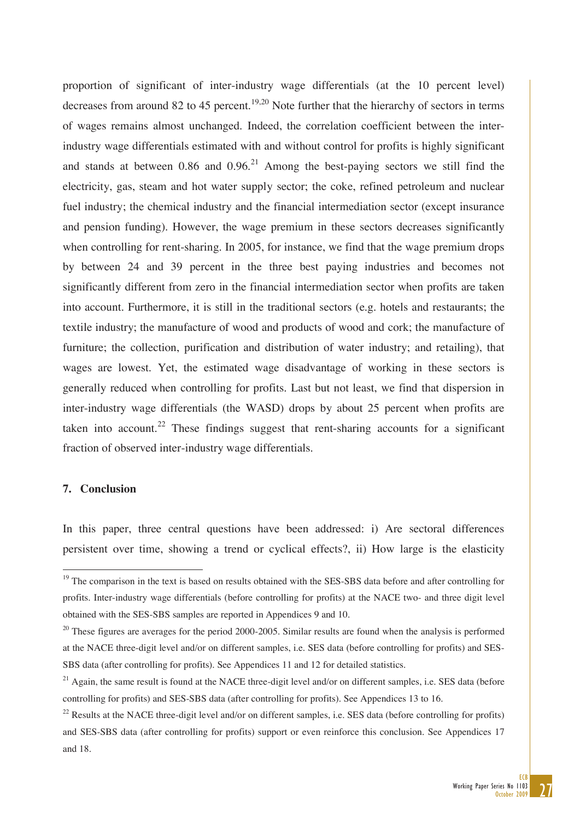proportion of significant of inter-industry wage differentials (at the 10 percent level) decreases from around 82 to 45 percent.<sup>19,20</sup> Note further that the hierarchy of sectors in terms of wages remains almost unchanged. Indeed, the correlation coefficient between the interindustry wage differentials estimated with and without control for profits is highly significant and stands at between  $0.86$  and  $0.96<sup>21</sup>$  Among the best-paying sectors we still find the electricity, gas, steam and hot water supply sector; the coke, refined petroleum and nuclear fuel industry; the chemical industry and the financial intermediation sector (except insurance and pension funding). However, the wage premium in these sectors decreases significantly when controlling for rent-sharing. In 2005, for instance, we find that the wage premium drops by between 24 and 39 percent in the three best paying industries and becomes not significantly different from zero in the financial intermediation sector when profits are taken into account. Furthermore, it is still in the traditional sectors (e.g. hotels and restaurants; the textile industry; the manufacture of wood and products of wood and cork; the manufacture of furniture; the collection, purification and distribution of water industry; and retailing), that wages are lowest. Yet, the estimated wage disadvantage of working in these sectors is generally reduced when controlling for profits. Last but not least, we find that dispersion in inter-industry wage differentials (the WASD) drops by about 25 percent when profits are taken into account.<sup>22</sup> These findings suggest that rent-sharing accounts for a significant fraction of observed inter-industry wage differentials.

#### **7. Conclusion**

In this paper, three central questions have been addressed: i) Are sectoral differences persistent over time, showing a trend or cyclical effects?, ii) How large is the elasticity

<sup>&</sup>lt;sup>19</sup> The comparison in the text is based on results obtained with the SES-SBS data before and after controlling for profits. Inter-industry wage differentials (before controlling for profits) at the NACE two- and three digit level obtained with the SES-SBS samples are reported in Appendices 9 and 10.

 $20$  These figures are averages for the period 2000-2005. Similar results are found when the analysis is performed at the NACE three-digit level and/or on different samples, i.e. SES data (before controlling for profits) and SES-SBS data (after controlling for profits). See Appendices 11 and 12 for detailed statistics.

<sup>&</sup>lt;sup>21</sup> Again, the same result is found at the NACE three-digit level and/or on different samples, i.e. SES data (before controlling for profits) and SES-SBS data (after controlling for profits). See Appendices 13 to 16.

 $^{22}$  Results at the NACE three-digit level and/or on different samples, i.e. SES data (before controlling for profits) and SES-SBS data (after controlling for profits) support or even reinforce this conclusion. See Appendices 17 and 18.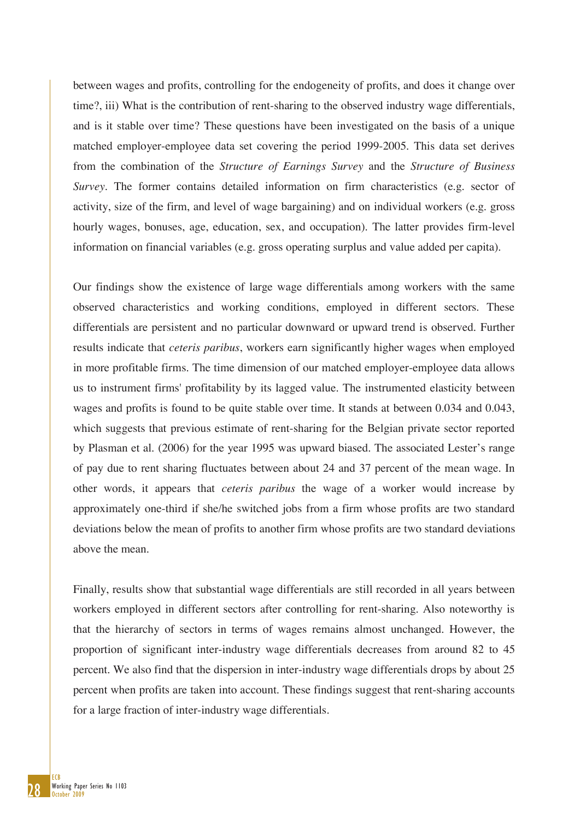between wages and profits, controlling for the endogeneity of profits, and does it change over time?, iii) What is the contribution of rent-sharing to the observed industry wage differentials, and is it stable over time? These questions have been investigated on the basis of a unique matched employer-employee data set covering the period 1999-2005. This data set derives from the combination of the *Structure of Earnings Survey* and the *Structure of Business Survey*. The former contains detailed information on firm characteristics (e.g. sector of activity, size of the firm, and level of wage bargaining) and on individual workers (e.g. gross hourly wages, bonuses, age, education, sex, and occupation). The latter provides firm-level information on financial variables (e.g. gross operating surplus and value added per capita).

Our findings show the existence of large wage differentials among workers with the same observed characteristics and working conditions, employed in different sectors. These differentials are persistent and no particular downward or upward trend is observed. Further results indicate that *ceteris paribus*, workers earn significantly higher wages when employed in more profitable firms. The time dimension of our matched employer-employee data allows us to instrument firms' profitability by its lagged value. The instrumented elasticity between wages and profits is found to be quite stable over time. It stands at between 0.034 and 0.043, which suggests that previous estimate of rent-sharing for the Belgian private sector reported by Plasman et al. (2006) for the year 1995 was upward biased. The associated Lester's range of pay due to rent sharing fluctuates between about 24 and 37 percent of the mean wage. In other words, it appears that *ceteris paribus* the wage of a worker would increase by approximately one-third if she/he switched jobs from a firm whose profits are two standard deviations below the mean of profits to another firm whose profits are two standard deviations above the mean.

Finally, results show that substantial wage differentials are still recorded in all years between workers employed in different sectors after controlling for rent-sharing. Also noteworthy is that the hierarchy of sectors in terms of wages remains almost unchanged. However, the proportion of significant inter-industry wage differentials decreases from around 82 to 45 percent. We also find that the dispersion in inter-industry wage differentials drops by about 25 percent when profits are taken into account. These findings suggest that rent-sharing accounts for a large fraction of inter-industry wage differentials.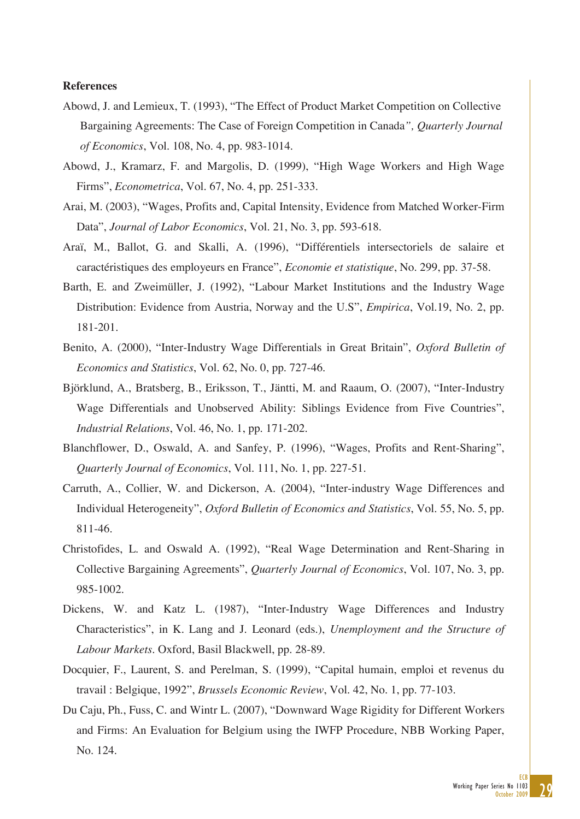#### **References**

- Abowd, J. and Lemieux, T. (1993), "The Effect of Product Market Competition on Collective Bargaining Agreements: The Case of Foreign Competition in Canada*", Quarterly Journal of Economics*, Vol. 108, No. 4, pp. 983-1014.
- Abowd, J., Kramarz, F. and Margolis, D. (1999), "High Wage Workers and High Wage Firms", *Econometrica*, Vol. 67, No. 4, pp. 251-333.
- Arai, M. (2003), "Wages, Profits and, Capital Intensity, Evidence from Matched Worker-Firm Data", *Journal of Labor Economics*, Vol. 21, No. 3, pp. 593-618.
- Araï, M., Ballot, G. and Skalli, A. (1996), "Différentiels intersectoriels de salaire et caractéristiques des employeurs en France", *Economie et statistique*, No. 299, pp. 37-58.
- Barth, E. and Zweimüller, J. (1992), "Labour Market Institutions and the Industry Wage Distribution: Evidence from Austria, Norway and the U.S", *Empirica*, Vol.19, No. 2, pp. 181-201.
- Benito, A. (2000), "Inter-Industry Wage Differentials in Great Britain", *Oxford Bulletin of Economics and Statistics*, Vol. 62, No. 0, pp. 727-46.
- Björklund, A., Bratsberg, B., Eriksson, T., Jäntti, M. and Raaum, O. (2007), "Inter-Industry Wage Differentials and Unobserved Ability: Siblings Evidence from Five Countries", *Industrial Relations*, Vol. 46, No. 1, pp. 171-202.
- Blanchflower, D., Oswald, A. and Sanfey, P. (1996), "Wages, Profits and Rent-Sharing", *Quarterly Journal of Economics*, Vol. 111, No. 1, pp. 227-51.
- Carruth, A., Collier, W. and Dickerson, A. (2004), "Inter-industry Wage Differences and Individual Heterogeneity", *Oxford Bulletin of Economics and Statistics*, Vol. 55, No. 5, pp. 811-46.
- Christofides, L. and Oswald A. (1992), "Real Wage Determination and Rent-Sharing in Collective Bargaining Agreements", *Quarterly Journal of Economics*, Vol. 107, No. 3, pp. 985-1002.
- Dickens, W. and Katz L. (1987), "Inter-Industry Wage Differences and Industry Characteristics", in K. Lang and J. Leonard (eds.), *Unemployment and the Structure of Labour Markets*. Oxford, Basil Blackwell, pp. 28-89.
- Docquier, F., Laurent, S. and Perelman, S. (1999), "Capital humain, emploi et revenus du travail : Belgique, 1992", *Brussels Economic Review*, Vol. 42, No. 1, pp. 77-103.
- Du Caju, Ph., Fuss, C. and Wintr L. (2007), "Downward Wage Rigidity for Different Workers and Firms: An Evaluation for Belgium using the IWFP Procedure, NBB Working Paper, No. 124.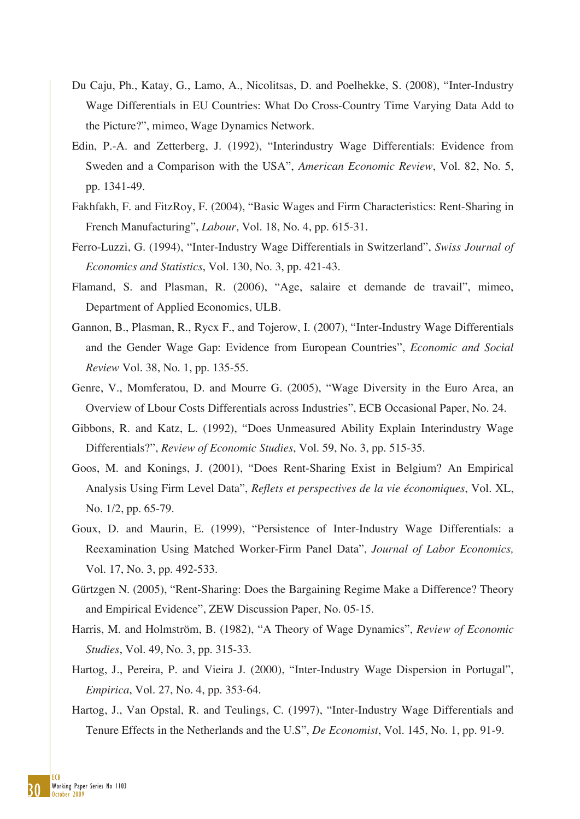- Du Caju, Ph., Katay, G., Lamo, A., Nicolitsas, D. and Poelhekke, S. (2008), "Inter-Industry Wage Differentials in EU Countries: What Do Cross-Country Time Varying Data Add to the Picture?", mimeo, Wage Dynamics Network.
- Edin, P.-A. and Zetterberg, J. (1992), "Interindustry Wage Differentials: Evidence from Sweden and a Comparison with the USA", *American Economic Review*, Vol. 82, No. 5, pp. 1341-49.
- Fakhfakh, F. and FitzRoy, F. (2004), "Basic Wages and Firm Characteristics: Rent-Sharing in French Manufacturing", *Labour*, Vol. 18, No. 4, pp. 615-31.
- Ferro-Luzzi, G. (1994), "Inter-Industry Wage Differentials in Switzerland", *Swiss Journal of Economics and Statistics*, Vol. 130, No. 3, pp. 421-43.
- Flamand, S. and Plasman, R. (2006), "Age, salaire et demande de travail", mimeo, Department of Applied Economics, ULB.
- Gannon, B., Plasman, R., Rycx F., and Tojerow, I. (2007), "Inter-Industry Wage Differentials and the Gender Wage Gap: Evidence from European Countries", *Economic and Social Review* Vol. 38, No. 1, pp. 135-55.
- Genre, V., Momferatou, D. and Mourre G. (2005), "Wage Diversity in the Euro Area, an Overview of Lbour Costs Differentials across Industries", ECB Occasional Paper, No. 24.
- Gibbons, R. and Katz, L. (1992), "Does Unmeasured Ability Explain Interindustry Wage Differentials?", *Review of Economic Studies*, Vol. 59, No. 3, pp. 515-35.
- Goos, M. and Konings, J. (2001), "Does Rent-Sharing Exist in Belgium? An Empirical Analysis Using Firm Level Data", *Reflets et perspectives de la vie économiques*, Vol. XL, No. 1/2, pp. 65-79.
- Goux, D. and Maurin, E. (1999), "Persistence of Inter-Industry Wage Differentials: a Reexamination Using Matched Worker-Firm Panel Data", *Journal of Labor Economics,* Vol. 17, No. 3, pp. 492-533.
- Gürtzgen N. (2005), "Rent-Sharing: Does the Bargaining Regime Make a Difference? Theory and Empirical Evidence", ZEW Discussion Paper, No. 05-15.
- Harris, M. and Holmström, B. (1982), "A Theory of Wage Dynamics", *Review of Economic Studies*, Vol. 49, No. 3, pp. 315-33.
- Hartog, J., Pereira, P. and Vieira J. (2000), "Inter-Industry Wage Dispersion in Portugal", *Empirica*, Vol. 27, No. 4, pp. 353-64.
- Hartog, J., Van Opstal, R. and Teulings, C. (1997), "Inter-Industry Wage Differentials and Tenure Effects in the Netherlands and the U.S", *De Economist*, Vol. 145, No. 1, pp. 91-9.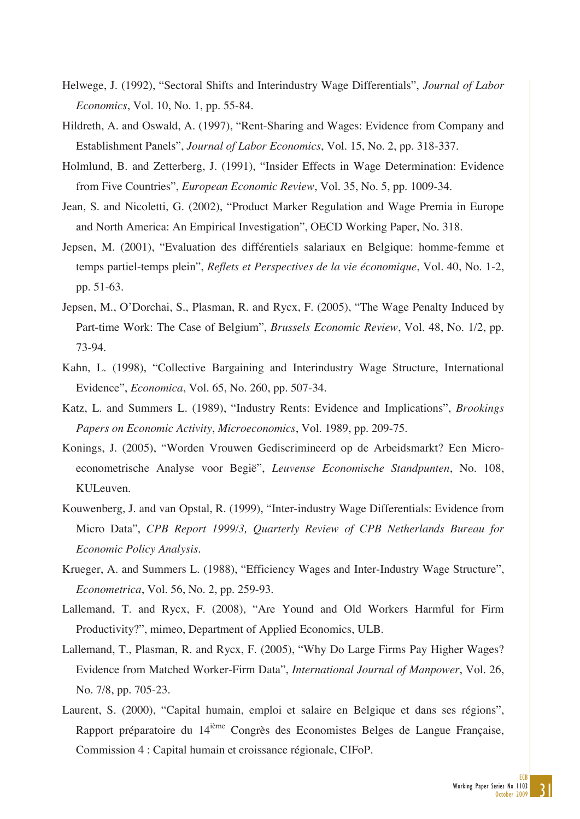- Helwege, J. (1992), "Sectoral Shifts and Interindustry Wage Differentials", *Journal of Labor Economics*, Vol. 10, No. 1, pp. 55-84.
- Hildreth, A. and Oswald, A. (1997), "Rent-Sharing and Wages: Evidence from Company and Establishment Panels", *Journal of Labor Economics*, Vol. 15, No. 2, pp. 318-337.
- Holmlund, B. and Zetterberg, J. (1991), "Insider Effects in Wage Determination: Evidence from Five Countries", *European Economic Review*, Vol. 35, No. 5, pp. 1009-34.
- Jean, S. and Nicoletti, G. (2002), "Product Marker Regulation and Wage Premia in Europe and North America: An Empirical Investigation", OECD Working Paper, No. 318.
- Jepsen, M. (2001), "Evaluation des différentiels salariaux en Belgique: homme-femme et temps partiel-temps plein", *Reflets et Perspectives de la vie économique*, Vol. 40, No. 1-2, pp. 51-63.
- Jepsen, M., O'Dorchai, S., Plasman, R. and Rycx, F. (2005), "The Wage Penalty Induced by Part-time Work: The Case of Belgium", *Brussels Economic Review*, Vol. 48, No. 1/2, pp. 73-94.
- Kahn, L. (1998), "Collective Bargaining and Interindustry Wage Structure, International Evidence", *Economica*, Vol. 65, No. 260, pp. 507-34.
- Katz, L. and Summers L. (1989), "Industry Rents: Evidence and Implications", *Brookings Papers on Economic Activity*, *Microeconomics*, Vol. 1989, pp. 209-75.
- Konings, J. (2005), "Worden Vrouwen Gediscrimineerd op de Arbeidsmarkt? Een Microeconometrische Analyse voor Begië", *Leuvense Economische Standpunten*, No. 108, KULeuven.
- Kouwenberg, J. and van Opstal, R. (1999), "Inter-industry Wage Differentials: Evidence from Micro Data", *CPB Report 1999/3, Quarterly Review of CPB Netherlands Bureau for Economic Policy Analysis*.
- Krueger, A. and Summers L. (1988), "Efficiency Wages and Inter-Industry Wage Structure", *Econometrica*, Vol. 56, No. 2, pp. 259-93.
- Lallemand, T. and Rycx, F. (2008), "Are Yound and Old Workers Harmful for Firm Productivity?", mimeo, Department of Applied Economics, ULB.
- Lallemand, T., Plasman, R. and Rycx, F. (2005), "Why Do Large Firms Pay Higher Wages? Evidence from Matched Worker-Firm Data", *International Journal of Manpower*, Vol. 26, No. 7/8, pp. 705-23.
- Laurent, S. (2000), "Capital humain, emploi et salaire en Belgique et dans ses régions", Rapport préparatoire du 14<sup>ième</sup> Congrès des Economistes Belges de Langue Française, Commission 4 : Capital humain et croissance régionale, CIFoP.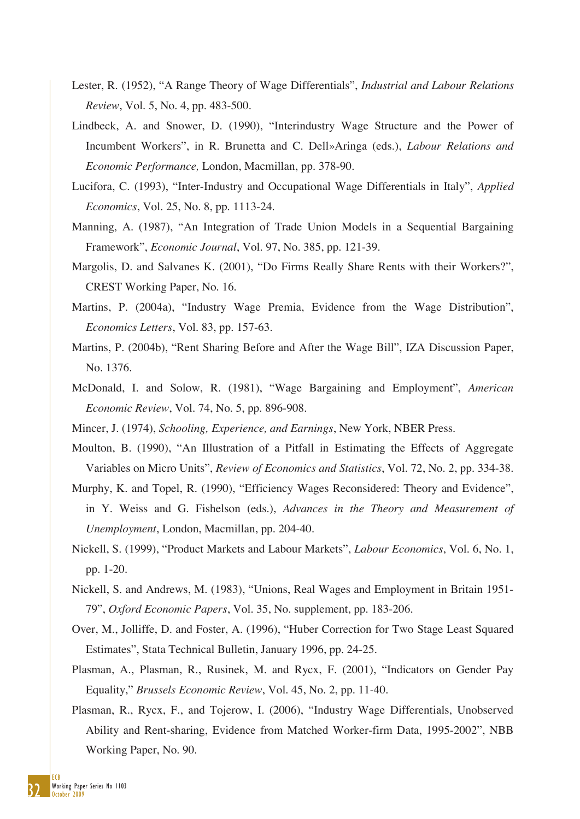- Lester, R. (1952), "A Range Theory of Wage Differentials", *Industrial and Labour Relations Review*, Vol. 5, No. 4, pp. 483-500.
- Lindbeck, A. and Snower, D. (1990), "Interindustry Wage Structure and the Power of Incumbent Workers", in R. Brunetta and C. Dell»Aringa (eds.), *Labour Relations and Economic Performance,* London, Macmillan, pp. 378-90.
- Lucifora, C. (1993), "Inter-Industry and Occupational Wage Differentials in Italy", *Applied Economics*, Vol. 25, No. 8, pp. 1113-24.
- Manning, A. (1987), "An Integration of Trade Union Models in a Sequential Bargaining Framework", *Economic Journal*, Vol. 97, No. 385, pp. 121-39.
- Margolis, D. and Salvanes K. (2001), "Do Firms Really Share Rents with their Workers?", CREST Working Paper, No. 16.
- Martins, P. (2004a), "Industry Wage Premia, Evidence from the Wage Distribution", *Economics Letters*, Vol. 83, pp. 157-63.
- Martins, P. (2004b), "Rent Sharing Before and After the Wage Bill", IZA Discussion Paper, No. 1376.
- McDonald, I. and Solow, R. (1981), "Wage Bargaining and Employment", *American Economic Review*, Vol. 74, No. 5, pp. 896-908.
- Mincer, J. (1974), *Schooling, Experience, and Earnings*, New York, NBER Press.
- Moulton, B. (1990), "An Illustration of a Pitfall in Estimating the Effects of Aggregate Variables on Micro Units", *Review of Economics and Statistics*, Vol. 72, No. 2, pp. 334-38.
- Murphy, K. and Topel, R. (1990), "Efficiency Wages Reconsidered: Theory and Evidence", in Y. Weiss and G. Fishelson (eds.), *Advances in the Theory and Measurement of Unemployment*, London, Macmillan, pp. 204-40.
- Nickell, S. (1999), "Product Markets and Labour Markets", *Labour Economics*, Vol. 6, No. 1, pp. 1-20.
- Nickell, S. and Andrews, M. (1983), "Unions, Real Wages and Employment in Britain 1951- 79", *Oxford Economic Papers*, Vol. 35, No. supplement, pp. 183-206.
- Over, M., Jolliffe, D. and Foster, A. (1996), "Huber Correction for Two Stage Least Squared Estimates", Stata Technical Bulletin, January 1996, pp. 24-25.
- Plasman, A., Plasman, R., Rusinek, M. and Rycx, F. (2001), "Indicators on Gender Pay Equality," *Brussels Economic Review*, Vol. 45, No. 2, pp. 11-40.
- Plasman, R., Rycx, F., and Tojerow, I. (2006), "Industry Wage Differentials, Unobserved Ability and Rent-sharing, Evidence from Matched Worker-firm Data, 1995-2002", NBB Working Paper, No. 90.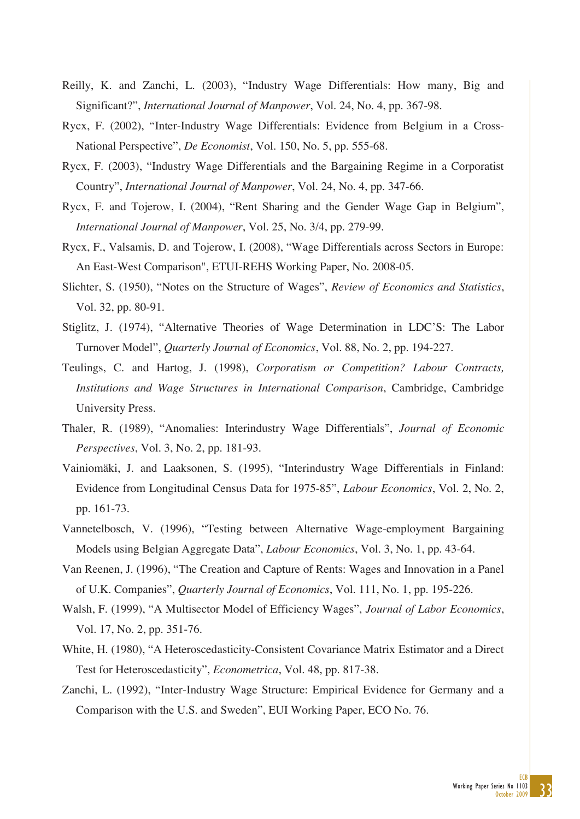- Reilly, K. and Zanchi, L. (2003), "Industry Wage Differentials: How many, Big and Significant?", *International Journal of Manpower*, Vol. 24, No. 4, pp. 367-98.
- Rycx, F. (2002), "Inter-Industry Wage Differentials: Evidence from Belgium in a Cross-National Perspective", *De Economist*, Vol. 150, No. 5, pp. 555-68.
- Rycx, F. (2003), "Industry Wage Differentials and the Bargaining Regime in a Corporatist Country", *International Journal of Manpower*, Vol. 24, No. 4, pp. 347-66.
- Rycx, F. and Tojerow, I. (2004), "Rent Sharing and the Gender Wage Gap in Belgium", *International Journal of Manpower*, Vol. 25, No. 3/4, pp. 279-99.
- Rycx, F., Valsamis, D. and Tojerow, I. (2008), "Wage Differentials across Sectors in Europe: An East-West Comparison", ETUI-REHS Working Paper, No. 2008-05.
- Slichter, S. (1950), "Notes on the Structure of Wages", *Review of Economics and Statistics*, Vol. 32, pp. 80-91.
- Stiglitz, J. (1974), "Alternative Theories of Wage Determination in LDC'S: The Labor Turnover Model", *Quarterly Journal of Economics*, Vol. 88, No. 2, pp. 194-227.
- Teulings, C. and Hartog, J. (1998), *Corporatism or Competition? Labour Contracts, Institutions and Wage Structures in International Comparison*, Cambridge, Cambridge University Press.
- Thaler, R. (1989), "Anomalies: Interindustry Wage Differentials", *Journal of Economic Perspectives*, Vol. 3, No. 2, pp. 181-93.
- Vainiomäki, J. and Laaksonen, S. (1995), "Interindustry Wage Differentials in Finland: Evidence from Longitudinal Census Data for 1975-85", *Labour Economics*, Vol. 2, No. 2, pp. 161-73.
- Vannetelbosch, V. (1996), "Testing between Alternative Wage-employment Bargaining Models using Belgian Aggregate Data", *Labour Economics*, Vol. 3, No. 1, pp. 43-64.
- Van Reenen, J. (1996), "The Creation and Capture of Rents: Wages and Innovation in a Panel of U.K. Companies", *Quarterly Journal of Economics*, Vol. 111, No. 1, pp. 195-226.
- Walsh, F. (1999), "A Multisector Model of Efficiency Wages", *Journal of Labor Economics*, Vol. 17, No. 2, pp. 351-76.
- White, H. (1980), "A Heteroscedasticity-Consistent Covariance Matrix Estimator and a Direct Test for Heteroscedasticity", *Econometrica*, Vol. 48, pp. 817-38.
- Zanchi, L. (1992), "Inter-Industry Wage Structure: Empirical Evidence for Germany and a Comparison with the U.S. and Sweden", EUI Working Paper, ECO No. 76.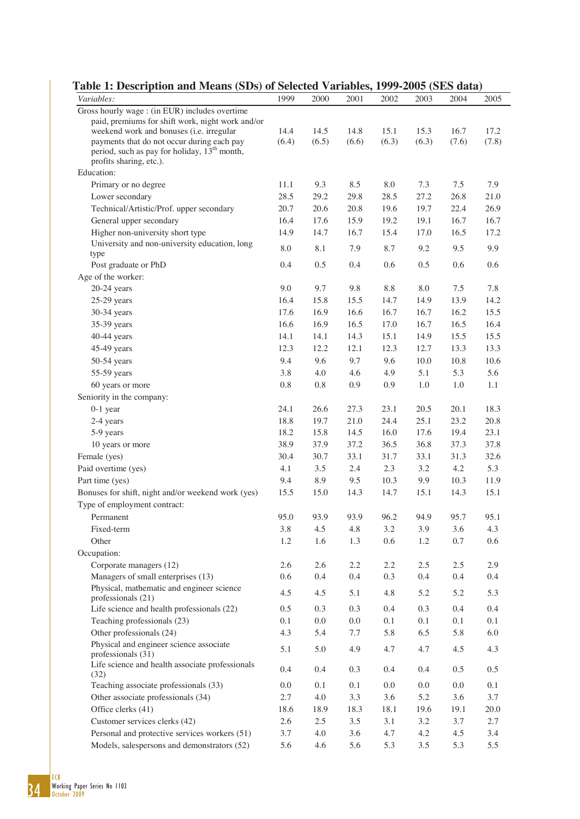| Lable 1. Description and intealls (SDS) or Selected Variables, 1999-2003 (SES data)<br><i>Variables:</i> | 1999    | 2000    | 2001    | 2002  | 2003  | 2004    | 2005  |
|----------------------------------------------------------------------------------------------------------|---------|---------|---------|-------|-------|---------|-------|
| Gross hourly wage : (in EUR) includes overtime                                                           |         |         |         |       |       |         |       |
| paid, premiums for shift work, night work and/or                                                         |         |         |         |       |       |         |       |
| weekend work and bonuses (i.e. irregular                                                                 | 14.4    | 14.5    | 14.8    | 15.1  | 15.3  | 16.7    | 17.2  |
| payments that do not occur during each pay                                                               | (6.4)   | (6.5)   | (6.6)   | (6.3) | (6.3) | (7.6)   | (7.8) |
| period, such as pay for holiday, 13 <sup>th</sup> month,<br>profits sharing, etc.).                      |         |         |         |       |       |         |       |
| Education:                                                                                               |         |         |         |       |       |         |       |
| Primary or no degree                                                                                     | 11.1    | 9.3     | 8.5     | 8.0   | 7.3   | 7.5     | 7.9   |
| Lower secondary                                                                                          | 28.5    | 29.2    | 29.8    | 28.5  | 27.2  | 26.8    | 21.0  |
| Technical/Artistic/Prof. upper secondary                                                                 | 20.7    | 20.6    | 20.8    | 19.6  | 19.7  | 22.4    | 26.9  |
| General upper secondary                                                                                  | 16.4    | 17.6    | 15.9    | 19.2  | 19.1  | 16.7    | 16.7  |
| Higher non-university short type                                                                         | 14.9    | 14.7    | 16.7    | 15.4  | 17.0  | 16.5    | 17.2  |
| University and non-university education, long                                                            |         |         |         |       |       |         |       |
| type                                                                                                     | 8.0     | 8.1     | 7.9     | 8.7   | 9.2   | 9.5     | 9.9   |
| Post graduate or PhD                                                                                     | 0.4     | 0.5     | 0.4     | 0.6   | 0.5   | 0.6     | 0.6   |
| Age of the worker:                                                                                       |         |         |         |       |       |         |       |
| $20-24$ years                                                                                            | 9.0     | 9.7     | 9.8     | 8.8   | 8.0   | 7.5     | 7.8   |
| $25-29$ years                                                                                            | 16.4    | 15.8    | 15.5    | 14.7  | 14.9  | 13.9    | 14.2  |
| 30-34 years                                                                                              | 17.6    | 16.9    | 16.6    | 16.7  | 16.7  | 16.2    | 15.5  |
| 35-39 years                                                                                              | 16.6    | 16.9    | 16.5    | 17.0  | 16.7  | 16.5    | 16.4  |
| 40-44 years                                                                                              | 14.1    | 14.1    | 14.3    | 15.1  | 14.9  | 15.5    | 15.5  |
| 45-49 years                                                                                              | 12.3    | 12.2    | 12.1    | 12.3  | 12.7  | 13.3    | 13.3  |
| 50-54 years                                                                                              | 9.4     | 9.6     | 9.7     | 9.6   | 10.0  | 10.8    | 10.6  |
| 55-59 years                                                                                              | 3.8     | 4.0     | 4.6     | 4.9   | 5.1   | 5.3     | 5.6   |
| 60 years or more                                                                                         | 0.8     | $0.8\,$ | 0.9     | 0.9   | 1.0   | $1.0\,$ | 1.1   |
| Seniority in the company:                                                                                |         |         |         |       |       |         |       |
| $0-1$ year                                                                                               | 24.1    | 26.6    | 27.3    | 23.1  | 20.5  | 20.1    | 18.3  |
| 2-4 years                                                                                                | 18.8    | 19.7    | 21.0    | 24.4  | 25.1  | 23.2    | 20.8  |
| 5-9 years                                                                                                | 18.2    | 15.8    | 14.5    | 16.0  | 17.6  | 19.4    | 23.1  |
| 10 years or more                                                                                         | 38.9    | 37.9    | 37.2    | 36.5  | 36.8  | 37.3    | 37.8  |
| Female (yes)                                                                                             | 30.4    | 30.7    | 33.1    | 31.7  | 33.1  | 31.3    | 32.6  |
| Paid overtime (yes)                                                                                      | 4.1     | 3.5     | 2.4     | 2.3   | 3.2   | 4.2     | 5.3   |
| Part time (yes)                                                                                          | 9.4     | 8.9     | 9.5     | 10.3  | 9.9   | 10.3    | 11.9  |
| Bonuses for shift, night and/or weekend work (yes)                                                       | 15.5    | 15.0    | 14.3    | 14.7  | 15.1  | 14.3    | 15.1  |
| Type of employment contract:                                                                             |         |         |         |       |       |         |       |
| Permanent                                                                                                | 95.0    | 93.9    | 93.9    | 96.2  | 94.9  | 95.7    | 95.1  |
| Fixed-term                                                                                               | 3.8     | 4.5     | 4.8     | 3.2   | 3.9   | 3.6     | 4.3   |
| Other                                                                                                    | $1.2\,$ | 1.6     | 1.3     | 0.6   | 1.2   | 0.7     | 0.6   |
| Occupation:                                                                                              |         |         |         |       |       |         |       |
| Corporate managers (12)                                                                                  | 2.6     | 2.6     | 2.2     | 2.2   | 2.5   | 2.5     | 2.9   |
| Managers of small enterprises (13)                                                                       | 0.6     | 0.4     | 0.4     | 0.3   | 0.4   | 0.4     | 0.4   |
| Physical, mathematic and engineer science                                                                | 4.5     | 4.5     | 5.1     | 4.8   | 5.2   | 5.2     | 5.3   |
| professionals (21)                                                                                       |         |         |         |       |       |         |       |
| Life science and health professionals (22)                                                               | 0.5     | 0.3     | 0.3     | 0.4   | 0.3   | 0.4     | 0.4   |
| Teaching professionals (23)                                                                              | 0.1     | $0.0\,$ | $0.0\,$ | 0.1   | 0.1   | 0.1     | 0.1   |
| Other professionals (24)                                                                                 | 4.3     | 5.4     | 7.7     | 5.8   | 6.5   | 5.8     | 6.0   |
| Physical and engineer science associate<br>professionals (31)                                            | 5.1     | 5.0     | 4.9     | 4.7   | 4.7   | 4.5     | 4.3   |
| Life science and health associate professionals                                                          |         |         |         |       |       |         |       |
| (32)                                                                                                     | 0.4     | 0.4     | 0.3     | 0.4   | 0.4   | 0.5     | 0.5   |
| Teaching associate professionals (33)                                                                    | 0.0     | 0.1     | 0.1     | 0.0   | 0.0   | 0.0     | 0.1   |
| Other associate professionals (34)                                                                       | 2.7     | $4.0\,$ | 3.3     | 3.6   | 5.2   | 3.6     | 3.7   |
| Office clerks (41)                                                                                       | 18.6    | 18.9    | 18.3    | 18.1  | 19.6  | 19.1    | 20.0  |
| Customer services clerks (42)                                                                            | 2.6     | 2.5     | 3.5     | 3.1   | 3.2   | 3.7     | 2.7   |
| Personal and protective services workers (51)                                                            | 3.7     | 4.0     | 3.6     | 4.7   | 4.2   | 4.5     | 3.4   |
| Models, salespersons and demonstrators (52)                                                              | 5.6     | 4.6     | 5.6     | 5.3   | $3.5$ | 5.3     | 5.5   |

**Table 1: Description and Means (SDs) of Selected Variables, 1999-2005 (SES data)**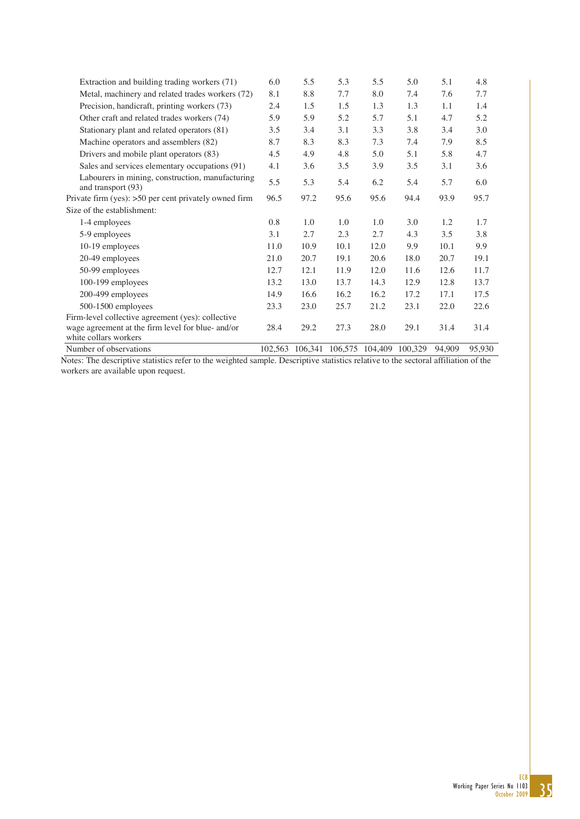| Extraction and building trading workers (71)                           | 6.0  | 5.5  | 5.3                                     | 5.5  | 5.0  | 5.1    | 4.8    |
|------------------------------------------------------------------------|------|------|-----------------------------------------|------|------|--------|--------|
| Metal, machinery and related trades workers (72)                       | 8.1  | 8.8  | 7.7                                     | 8.0  | 7.4  | 7.6    | 7.7    |
| Precision, handicraft, printing workers (73)                           | 2.4  | 1.5  | 1.5                                     | 1.3  | 1.3  | 1.1    | 1.4    |
| Other craft and related trades workers (74)                            | 5.9  | 5.9  | 5.2                                     | 5.7  | 5.1  | 4.7    | 5.2    |
| Stationary plant and related operators (81)                            | 3.5  | 3.4  | 3.1                                     | 3.3  | 3.8  | 3.4    | 3.0    |
| Machine operators and assemblers (82)                                  | 8.7  | 8.3  | 8.3                                     | 7.3  | 7.4  | 7.9    | 8.5    |
| Drivers and mobile plant operators (83)                                | 4.5  | 4.9  | 4.8                                     | 5.0  | 5.1  | 5.8    | 4.7    |
| Sales and services elementary occupations (91)                         | 4.1  | 3.6  | 3.5                                     | 3.9  | 3.5  | 3.1    | 3.6    |
| Labourers in mining, construction, manufacturing<br>and transport (93) | 5.5  | 5.3  | 5.4                                     | 6.2  | 5.4  | 5.7    | 6.0    |
| Private firm (yes): >50 per cent privately owned firm                  |      | 97.2 | 95.6                                    | 95.6 | 94.4 | 93.9   | 95.7   |
| Size of the establishment:                                             |      |      |                                         |      |      |        |        |
| 1-4 employees                                                          | 0.8  | 1.0  | 1.0                                     | 1.0  | 3.0  | 1.2    | 1.7    |
| 5-9 employees                                                          | 3.1  | 2.7  | 2.3                                     | 2.7  | 4.3  | 3.5    | 3.8    |
| 10-19 employees                                                        | 11.0 | 10.9 | 10.1                                    | 12.0 | 9.9  | 10.1   | 9.9    |
| 20-49 employees                                                        | 21.0 | 20.7 | 19.1                                    | 20.6 | 18.0 | 20.7   | 19.1   |
| 50-99 employees                                                        | 12.7 | 12.1 | 11.9                                    | 12.0 | 11.6 | 12.6   | 11.7   |
| 100-199 employees                                                      | 13.2 | 13.0 | 13.7                                    | 14.3 | 12.9 | 12.8   | 13.7   |
| 200-499 employees                                                      | 14.9 | 16.6 | 16.2                                    | 16.2 | 17.2 | 17.1   | 17.5   |
| 500-1500 employees                                                     | 23.3 | 23.0 | 25.7                                    | 21.2 | 23.1 | 22.0   | 22.6   |
| Firm-level collective agreement (yes): collective                      | 28.4 |      |                                         |      |      |        |        |
| wage agreement at the firm level for blue- and/or                      |      | 29.2 | 27.3                                    | 28.0 | 29.1 | 31.4   | 31.4   |
| white collars workers                                                  |      |      |                                         |      |      |        |        |
| Number of observations                                                 |      |      | 102,563 106,341 106,575 104,409 100,329 |      |      | 94,909 | 95,930 |

Notes: The descriptive statistics refer to the weighted sample. Descriptive statistics relative to the sectoral affiliation of the workers are available upon request.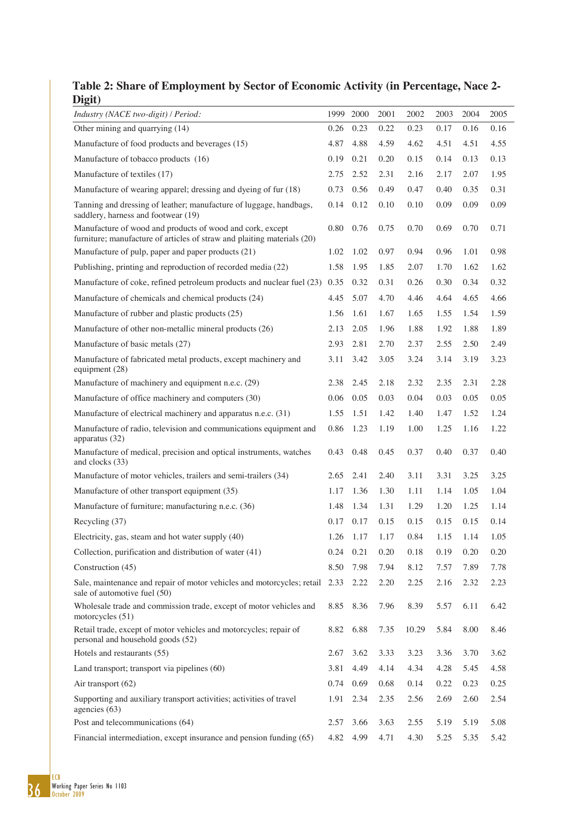## **Table 2: Share of Employment by Sector of Economic Activity (in Percentage, Nace 2- Digit)**

| -----                                                                                                                                |      |           |      |       |      |                   |      |
|--------------------------------------------------------------------------------------------------------------------------------------|------|-----------|------|-------|------|-------------------|------|
| Industry (NACE two-digit) / Period:                                                                                                  |      | 1999 2000 | 2001 | 2002  | 2003 | 2004              | 2005 |
| Other mining and quarrying (14)                                                                                                      | 0.26 | 0.23      | 0.22 | 0.23  | 0.17 | 0.16              | 0.16 |
| Manufacture of food products and beverages (15)                                                                                      | 4.87 | 4.88      | 4.59 | 4.62  | 4.51 | 4.51              | 4.55 |
| Manufacture of tobacco products (16)                                                                                                 | 0.19 | 0.21      | 0.20 | 0.15  | 0.14 | 0.13              | 0.13 |
| Manufacture of textiles (17)                                                                                                         | 2.75 | 2.52      | 2.31 | 2.16  | 2.17 | 2.07              | 1.95 |
| Manufacture of wearing apparel; dressing and dyeing of fur (18)                                                                      | 0.73 | 0.56      | 0.49 | 0.47  | 0.40 | 0.35              | 0.31 |
| Tanning and dressing of leather; manufacture of luggage, handbags,<br>saddlery, harness and footwear (19)                            | 0.14 | 0.12      | 0.10 | 0.10  | 0.09 | 0.09              | 0.09 |
| Manufacture of wood and products of wood and cork, except<br>furniture; manufacture of articles of straw and plaiting materials (20) | 0.80 | 0.76      | 0.75 | 0.70  | 0.69 | 0.70              | 0.71 |
| Manufacture of pulp, paper and paper products (21)                                                                                   | 1.02 | 1.02      | 0.97 | 0.94  | 0.96 | 1.01              | 0.98 |
| Publishing, printing and reproduction of recorded media (22)                                                                         | 1.58 | 1.95      | 1.85 | 2.07  | 1.70 | 1.62              | 1.62 |
| Manufacture of coke, refined petroleum products and nuclear fuel (23)                                                                | 0.35 | 0.32      | 0.31 | 0.26  | 0.30 | 0.34              | 0.32 |
| Manufacture of chemicals and chemical products (24)                                                                                  | 4.45 | 5.07      | 4.70 | 4.46  | 4.64 | 4.65              | 4.66 |
| Manufacture of rubber and plastic products (25)                                                                                      | 1.56 | 1.61      | 1.67 | 1.65  | 1.55 | 1.54              | 1.59 |
| Manufacture of other non-metallic mineral products (26)                                                                              | 2.13 | 2.05      | 1.96 | 1.88  | 1.92 | 1.88              | 1.89 |
| Manufacture of basic metals (27)                                                                                                     | 2.93 | 2.81      | 2.70 | 2.37  | 2.55 | 2.50              | 2.49 |
| Manufacture of fabricated metal products, except machinery and<br>equipment (28)                                                     | 3.11 | 3.42      | 3.05 | 3.24  | 3.14 | 3.19              | 3.23 |
| Manufacture of machinery and equipment n.e.c. (29)                                                                                   | 2.38 | 2.45      | 2.18 | 2.32  | 2.35 | 2.31              | 2.28 |
| Manufacture of office machinery and computers (30)                                                                                   | 0.06 | 0.05      | 0.03 | 0.04  | 0.03 | 0.05              | 0.05 |
| Manufacture of electrical machinery and apparatus n.e.c. (31)                                                                        | 1.55 | 1.51      | 1.42 | 1.40  | 1.47 | 1.52              | 1.24 |
| Manufacture of radio, television and communications equipment and<br>apparatus (32)                                                  | 0.86 | 1.23      | 1.19 | 1.00  | 1.25 | 1.16              | 1.22 |
| Manufacture of medical, precision and optical instruments, watches<br>and clocks (33)                                                | 0.43 | 0.48      | 0.45 | 0.37  | 0.40 | 0.37              | 0.40 |
| Manufacture of motor vehicles, trailers and semi-trailers (34)                                                                       | 2.65 | 2.41      | 2.40 | 3.11  | 3.31 | 3.25              | 3.25 |
| Manufacture of other transport equipment (35)                                                                                        | 1.17 | 1.36      | 1.30 | 1.11  | 1.14 | 1.05              | 1.04 |
| Manufacture of furniture; manufacturing n.e.c. (36)                                                                                  | 1.48 | 1.34      | 1.31 | 1.29  | 1.20 | 1.25              | 1.14 |
| Recycling (37)                                                                                                                       | 0.17 | 0.17      | 0.15 | 0.15  | 0.15 | 0.15              | 0.14 |
| Electricity, gas, steam and hot water supply (40)                                                                                    |      | 1.26 1.17 | 1.17 | 0.84  |      | $1.15 \quad 1.14$ | 1.05 |
| Collection, purification and distribution of water (41)                                                                              | 0.24 | 0.21      | 0.20 | 0.18  | 0.19 | 0.20              | 0.20 |
| Construction (45)                                                                                                                    | 8.50 | 7.98      | 7.94 | 8.12  | 7.57 | 7.89              | 7.78 |
| Sale, maintenance and repair of motor vehicles and motorcycles; retail 2.33<br>sale of automotive fuel (50)                          |      | 2.22      | 2.20 | 2.25  | 2.16 | 2.32              | 2.23 |
| Wholesale trade and commission trade, except of motor vehicles and<br>motorcycles (51)                                               | 8.85 | 8.36      | 7.96 | 8.39  | 5.57 | 6.11              | 6.42 |
| Retail trade, except of motor vehicles and motorcycles; repair of<br>personal and household goods (52)                               | 8.82 | 6.88      | 7.35 | 10.29 | 5.84 | 8.00              | 8.46 |
| Hotels and restaurants (55)                                                                                                          | 2.67 | 3.62      | 3.33 | 3.23  | 3.36 | 3.70              | 3.62 |
| Land transport; transport via pipelines (60)                                                                                         | 3.81 | 4.49      | 4.14 | 4.34  | 4.28 | 5.45              | 4.58 |
| Air transport (62)                                                                                                                   | 0.74 | 0.69      | 0.68 | 0.14  | 0.22 | 0.23              | 0.25 |
| Supporting and auxiliary transport activities; activities of travel<br>agencies (63)                                                 | 1.91 | 2.34      | 2.35 | 2.56  | 2.69 | 2.60              | 2.54 |
| Post and telecommunications (64)                                                                                                     | 2.57 | 3.66      | 3.63 | 2.55  | 5.19 | 5.19              | 5.08 |
| Financial intermediation, except insurance and pension funding (65)                                                                  | 4.82 | 4.99      | 4.71 | 4.30  | 5.25 | 5.35              | 5.42 |

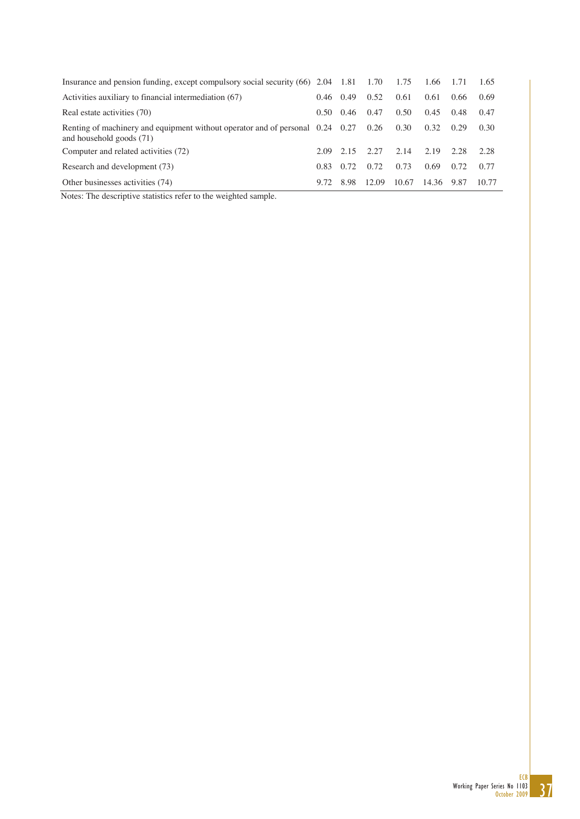| Insurance and pension funding, except compulsory social security (66) 2.04 1.81 1.70                           |      |      |       | 1.75  | 1.66  | 1.71  | -1.65 |
|----------------------------------------------------------------------------------------------------------------|------|------|-------|-------|-------|-------|-------|
| Activities auxiliary to financial intermediation (67)                                                          | 0.46 | 0.49 | 0.52  | 0.61  | 0.61  | 0.66  | 0.69  |
| Real estate activities (70)                                                                                    | 0.50 | 0.46 | 0.47  | 0.50  | 0.45  | 0.48  | 0.47  |
| Renting of machinery and equipment without operator and of personal 0.24 0.27 0.26<br>and household goods (71) |      |      |       | 0.30  | 0.32  | 0.29  | 0.30  |
| Computer and related activities (72)                                                                           | 2.09 | 2.15 | 2.27  | 2.14  | 2.19  | 2.28  | 2.28  |
| Research and development (73)                                                                                  | 0.83 | 0.72 | 0.72  | 0.73  | 0.69  | 0.72. | 0.77  |
| Other businesses activities (74)                                                                               | 9.72 | 8.98 | 12.09 | 10.67 | 14.36 | 9.87  | 10.77 |

Notes: The descriptive statistics refer to the weighted sample.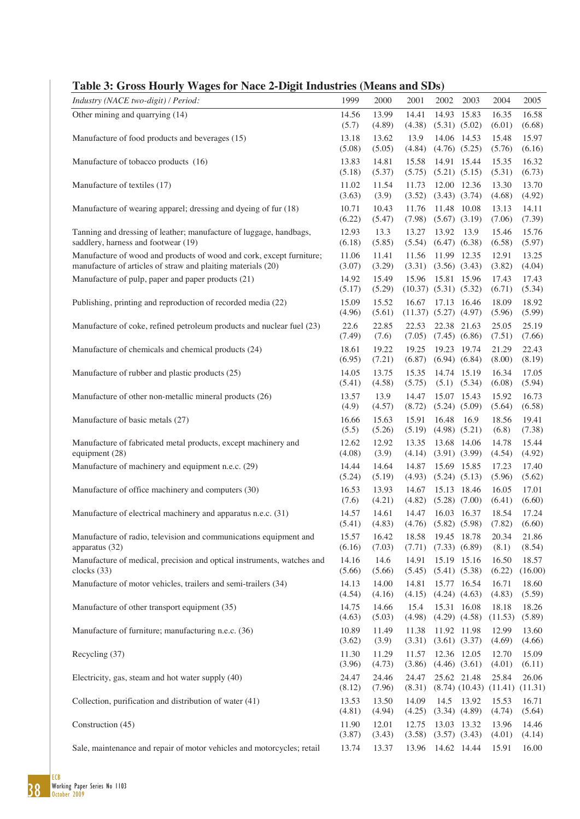| Industry (NACE two-digit) / Period:                                                                                                  | 1999            | 2000            | 2001                                 | 2002  | 2003                                      | 2004                                            | 2005             |
|--------------------------------------------------------------------------------------------------------------------------------------|-----------------|-----------------|--------------------------------------|-------|-------------------------------------------|-------------------------------------------------|------------------|
| Other mining and quarrying (14)                                                                                                      | 14.56<br>(5.7)  | 13.99<br>(4.89) | 14.41<br>(4.38)                      |       | 14.93 15.83<br>(5.31) (5.02)              | 16.35<br>(6.01)                                 | 16.58<br>(6.68)  |
| Manufacture of food products and beverages (15)                                                                                      | 13.18<br>(5.08) | 13.62<br>(5.05) | 13.9                                 |       | 14.06 14.53<br>$(4.84)$ $(4.76)$ $(5.25)$ | 15.48<br>(5.76)                                 | 15.97<br>(6.16)  |
| Manufacture of tobacco products (16)                                                                                                 | 13.83<br>(5.18) | 14.81<br>(5.37) | 15.58                                |       | 14.91 15.44<br>$(5.75)$ $(5.21)$ $(5.15)$ | 15.35<br>(5.31)                                 | 16.32<br>(6.73)  |
| Manufacture of textiles (17)                                                                                                         | 11.02<br>(3.63) | 11.54<br>(3.9)  | 11.73                                |       | 12.00 12.36<br>$(3.52)$ $(3.43)$ $(3.74)$ | 13.30<br>(4.68)                                 | 13.70<br>(4.92)  |
| Manufacture of wearing apparel; dressing and dyeing of fur (18)                                                                      | 10.71<br>(6.22) | 10.43<br>(5.47) | 11.76<br>(7.98)                      |       | 11.48 10.08<br>$(5.67)$ $(3.19)$          | 13.13<br>(7.06)                                 | 14.11<br>(7.39)  |
| Tanning and dressing of leather; manufacture of luggage, handbags,<br>saddlery, harness and footwear (19)                            | 12.93<br>(6.18) | 13.3<br>(5.85)  | 13.27<br>(5.54)                      | 13.92 | 13.9<br>$(6.47)$ $(6.38)$                 | 15.46<br>(6.58)                                 | 15.76<br>(5.97)  |
| Manufacture of wood and products of wood and cork, except furniture;<br>manufacture of articles of straw and plaiting materials (20) | 11.06<br>(3.07) | 11.41<br>(3.29) | 11.56<br>(3.31)                      |       | 11.99 12.35<br>$(3.56)$ $(3.43)$          | 12.91<br>(3.82)                                 | 13.25<br>(4.04)  |
| Manufacture of pulp, paper and paper products (21)                                                                                   | 14.92<br>(5.17) | 15.49<br>(5.29) | 15.96<br>$(10.37)$ $(5.31)$ $(5.32)$ |       | 15.81 15.96                               | 17.43<br>(6.71)                                 | 17.43<br>(5.34)  |
| Publishing, printing and reproduction of recorded media (22)                                                                         | 15.09<br>(4.96) | 15.52<br>(5.61) | 16.67<br>$(11.37)$ $(5.27)$ $(4.97)$ |       | 17.13 16.46                               | 18.09<br>(5.96)                                 | 18.92<br>(5.99)  |
| Manufacture of coke, refined petroleum products and nuclear fuel (23)                                                                | 22.6<br>(7.49)  | 22.85<br>(7.6)  | 22.53<br>(7.05)                      |       | 22.38 21.63<br>$(7.45)$ $(6.86)$          | 25.05<br>(7.51)                                 | 25.19<br>(7.66)  |
| Manufacture of chemicals and chemical products (24)                                                                                  | 18.61<br>(6.95) | 19.22<br>(7.21) | 19.25<br>(6.87)                      |       | 19.23 19.74<br>$(6.94)$ $(6.84)$          | 21.29<br>(8.00)                                 | 22.43<br>(8.19)  |
| Manufacture of rubber and plastic products (25)                                                                                      | 14.05<br>(5.41) | 13.75<br>(4.58) | 15.35<br>(5.75)                      |       | 14.74 15.19<br>$(5.1)$ $(5.34)$           | 16.34<br>(6.08)                                 | 17.05<br>(5.94)  |
| Manufacture of other non-metallic mineral products (26)                                                                              | 13.57<br>(4.9)  | 13.9<br>(4.57)  | 14.47<br>(8.72)                      |       | 15.07 15.43<br>$(5.24)$ $(5.09)$          | 15.92<br>(5.64)                                 | 16.73<br>(6.58)  |
| Manufacture of basic metals (27)                                                                                                     | 16.66<br>(5.5)  | 15.63<br>(5.26) | 15.91<br>(5.19)                      | 16.48 | 16.9<br>$(4.98)$ $(5.21)$                 | 18.56<br>(6.8)                                  | 19.41<br>(7.38)  |
| Manufacture of fabricated metal products, except machinery and<br>equipment (28)                                                     | 12.62<br>(4.08) | 12.92<br>(3.9)  | 13.35<br>(4.14)                      |       | 13.68 14.06<br>$(3.91)$ $(3.99)$          | 14.78<br>(4.54)                                 | 15.44<br>(4.92)  |
| Manufacture of machinery and equipment n.e.c. (29)                                                                                   | 14.44<br>(5.24) | 14.64<br>(5.19) | 14.87<br>(4.93)                      |       | 15.69 15.85<br>(5.24) (5.13)              | 17.23<br>(5.96)                                 | 17.40<br>(5.62)  |
| Manufacture of office machinery and computers (30)                                                                                   | 16.53<br>(7.6)  | 13.93<br>(4.21) | 14.67<br>(4.82)                      |       | 15.13 18.46<br>$(5.28)$ $(7.00)$          | 16.05<br>(6.41)                                 | 17.01<br>(6.60)  |
| Manufacture of electrical machinery and apparatus n.e.c. (31)                                                                        | 14.57<br>(5.41) | 14.61<br>(4.83) | 14.47<br>(4.76)                      |       | 16.03 16.37<br>$(5.82)$ $(5.98)$          | 18.54<br>(7.82)                                 | 17.24<br>(6.60)  |
| Manufacture of radio, television and communications equipment and<br>apparatus (32)                                                  | 15.57<br>(6.16) | 16.42<br>(7.03) | 18.58<br>(7.71)                      |       | 19.45 18.78<br>$(7.33)$ $(6.89)$          | 20.34<br>(8.1)                                  | 21.86<br>(8.54)  |
| Manufacture of medical, precision and optical instruments, watches and<br>clocks $(33)$                                              | 14.16<br>(5.66) | 14.6<br>(5.66)  | 14.91<br>(5.45)                      |       | 15.19 15.16<br>$(5.41)$ $(5.38)$          | 16.50<br>(6.22)                                 | 18.57<br>(16.00) |
| Manufacture of motor vehicles, trailers and semi-trailers (34)                                                                       | 14.13<br>(4.54) | 14.00<br>(4.16) | 14.81<br>(4.15)                      |       | 15.77 16.54<br>$(4.24)$ $(4.63)$          | 16.71<br>(4.83)                                 | 18.60<br>(5.59)  |
| Manufacture of other transport equipment (35)                                                                                        | 14.75<br>(4.63) | 14.66<br>(5.03) | 15.4<br>(4.98)                       |       | 15.31 16.08<br>$(4.29)$ $(4.58)$          | 18.18<br>(11.53)                                | 18.26<br>(5.89)  |
| Manufacture of furniture; manufacturing n.e.c. (36)                                                                                  | 10.89<br>(3.62) | 11.49<br>(3.9)  | 11.38<br>(3.31)                      |       | 11.92 11.98<br>$(3.61)$ $(3.37)$          | 12.99<br>(4.69)                                 | 13.60<br>(4.66)  |
| Recycling (37)                                                                                                                       | 11.30<br>(3.96) | 11.29<br>(4.73) | 11.57<br>(3.86)                      |       | 12.36 12.05<br>$(4.46)$ $(3.61)$          | 12.70<br>(4.01)                                 | 15.09<br>(6.11)  |
| Electricity, gas, steam and hot water supply (40)                                                                                    | 24.47<br>(8.12) | 24.46<br>(7.96) | 24.47<br>(8.31)                      |       | 25.62 21.48                               | 25.84<br>$(8.74)$ $(10.43)$ $(11.41)$ $(11.31)$ | 26.06            |
| Collection, purification and distribution of water (41)                                                                              | 13.53<br>(4.81) | 13.50<br>(4.94) | 14.09<br>(4.25)                      |       | 14.5 13.92<br>$(3.34)$ $(4.89)$           | 15.53<br>(4.74)                                 | 16.71<br>(5.64)  |
| Construction (45)                                                                                                                    | 11.90<br>(3.87) | 12.01<br>(3.43) | 12.75<br>(3.58)                      |       | 13.03 13.32<br>$(3.57)$ $(3.43)$          | 13.96<br>(4.01)                                 | 14.46<br>(4.14)  |
| Sale, maintenance and repair of motor vehicles and motorcycles; retail                                                               | 13.74           | 13.37           | 13.96                                |       | 14.62 14.44                               | 15.91                                           | 16.00            |

## **Table 3: Gross Hourly Wages for Nace 2-Digit Industries (Means and SDs)**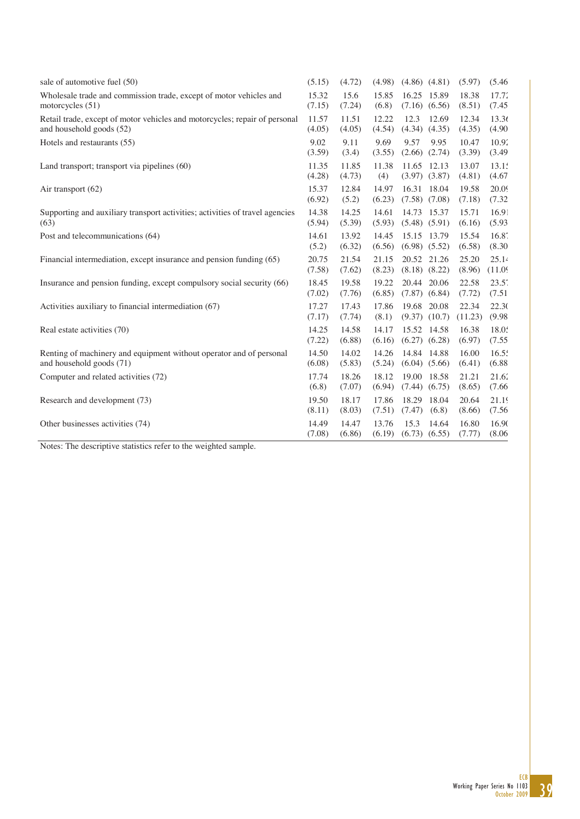| sale of automotive fuel (50)                                                                           | (5.15)          | (4.72)          | (4.98)          | $(4.86)$ $(4.81)$                   | (5.97)           | (5.46)            |
|--------------------------------------------------------------------------------------------------------|-----------------|-----------------|-----------------|-------------------------------------|------------------|-------------------|
| Wholesale trade and commission trade, except of motor vehicles and                                     | 15.32           | 15.6            | 15.85           | 16.25 15.89                         | 18.38            | 17.72             |
| motorcycles $(51)$                                                                                     | (7.15)          | (7.24)          | (6.8)           | $(7.16)$ $(6.56)$                   | (8.51)           | (7.45)            |
| Retail trade, except of motor vehicles and motorcycles; repair of personal<br>and household goods (52) | 11.57<br>(4.05) | 11.51<br>(4.05) | 12.22<br>(4.54) | 12.3<br>12.69<br>$(4.34)$ $(4.35)$  | 12.34<br>(4.35)  | 13.36<br>(4.90)   |
| Hotels and restaurants (55)                                                                            | 9.02<br>(3.59)  | 9.11<br>(3.4)   | 9.69<br>(3.55)  | 9.57<br>9.95<br>$(2.66)$ $(2.74)$   | 10.47<br>(3.39)  | 10.92<br>(3.49)   |
| Land transport; transport via pipelines (60)                                                           | 11.35           | 11.85           | 11.38           | 11.65 12.13                         | 13.07            | 13.1 <sup>2</sup> |
|                                                                                                        | (4.28)          | (4.73)          | (4)             | $(3.97)$ $(3.87)$                   | (4.81)           | (4.67)            |
| Air transport (62)                                                                                     | 15.37           | 12.84           | 14.97           | 16.31 18.04                         | 19.58            | 20.09             |
|                                                                                                        | (6.92)          | (5.2)           | (6.23)          | $(7.58)$ $(7.08)$                   | (7.18)           | (7.32)            |
| Supporting and auxiliary transport activities; activities of travel agencies                           | 14.38           | 14.25           | 14.61           | 14.73 15.37                         | 15.71            | 16.91             |
| (63)                                                                                                   | (5.94)          | (5.39)          | (5.93)          | $(5.48)$ $(5.91)$                   | (6.16)           | (5.93)            |
| Post and telecommunications (64)                                                                       | 14.61           | 13.92           | 14.45           | 15.15 13.79                         | 15.54            | $16.8^{\circ}$    |
|                                                                                                        | (5.2)           | (6.32)          | (6.56)          | $(6.98)$ $(5.52)$                   | (6.58)           | (8.30)            |
| Financial intermediation, except insurance and pension funding (65)                                    | 20.75           | 21.54           | 21.15           | 20.52 21.26                         | 25.20            | 25.14             |
|                                                                                                        | (7.58)          | (7.62)          | (8.23)          | $(8.18)$ $(8.22)$                   | (8.96)           | (11.09)           |
| Insurance and pension funding, except compulsory social security (66)                                  | 18.45           | 19.58           | 19.22           | 20.44 20.06                         | 22.58            | $23.5^{\circ}$    |
|                                                                                                        | (7.02)          | (7.76)          | (6.85)          | $(7.87)$ $(6.84)$                   | (7.72)           | (7.51)            |
| Activities auxiliary to financial intermediation (67)                                                  | 17.27<br>(7.17) | 17.43<br>(7.74) | 17.86<br>(8.1)  | 19.68<br>20.08<br>$(9.37)$ $(10.7)$ | 22.34<br>(11.23) | 22.30<br>(9.98)   |
| Real estate activities (70)                                                                            | 14.25           | 14.58           | 14.17           | 15.52 14.58                         | 16.38            | 18.05             |
|                                                                                                        | (7.22)          | (6.88)          | (6.16)          | $(6.27)$ $(6.28)$                   | (6.97)           | (7.55)            |
| Renting of machinery and equipment without operator and of personal                                    | 14.50           | 14.02           | 14.26           | 14.84 14.88                         | 16.00            | $16.5$ :          |
| and household goods (71)                                                                               | (6.08)          | (5.83)          | (5.24)          | $(6.04)$ $(5.66)$                   | (6.41)           | (6.88)            |
| Computer and related activities (72)                                                                   | 17.74           | 18.26           | 18.12           | 19.00 18.58                         | 21.21            | 21.62             |
|                                                                                                        | (6.8)           | (7.07)          | (6.94)          | $(7.44)$ $(6.75)$                   | (8.65)           | (7.66)            |
| Research and development (73)                                                                          | 19.50<br>(8.11) | 18.17<br>(8.03) | 17.86<br>(7.51) | 18.04<br>18.29<br>(7.47)<br>(6.8)   | 20.64<br>(8.66)  | 21.19<br>(7.56)   |
| Other businesses activities (74)                                                                       | 14.49<br>(7.08) | 14.47<br>(6.86) | 13.76<br>(6.19) | 15.3<br>14.64<br>$(6.73)$ $(6.55)$  | 16.80<br>(7.77)  | 16.90<br>(8.06)   |

Notes: The descriptive statistics refer to the weighted sample.

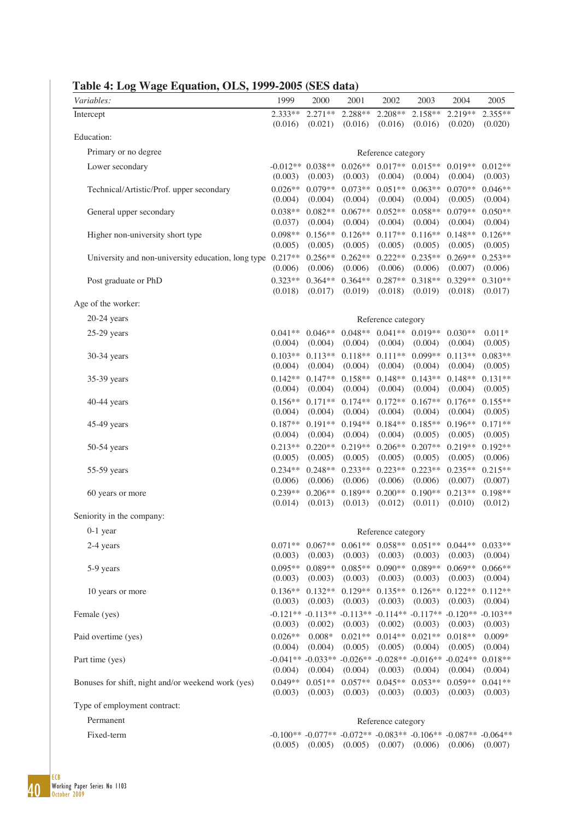| Variables:                                         | 1999                 | 2000                         | 2001                 | 2002                                    | 2003                 | 2004                                                                                    | 2005                  |
|----------------------------------------------------|----------------------|------------------------------|----------------------|-----------------------------------------|----------------------|-----------------------------------------------------------------------------------------|-----------------------|
| Intercept                                          | $2.333**$            | $2.271**$                    | 2.288**              | 2.208**                                 | 2.158**              | 2.219**                                                                                 | $2.355**$             |
|                                                    | (0.016)              | (0.021)                      | (0.016)              | (0.016)                                 | (0.016)              | (0.020)                                                                                 | (0.020)               |
| Education:                                         |                      |                              |                      |                                         |                      |                                                                                         |                       |
| Primary or no degree                               |                      |                              |                      | Reference category<br>$0.017**$ 0.015** |                      |                                                                                         |                       |
| Lower secondary                                    | (0.003)              | $-0.012**0.038**$<br>(0.003) | $0.026**$<br>(0.003) | (0.004)                                 | (0.004)              | $0.019**$<br>(0.004)                                                                    | $0.012**$<br>(0.003)  |
| Technical/Artistic/Prof. upper secondary           | $0.026**$<br>(0.004) | $0.079**$<br>(0.004)         | $0.073**$<br>(0.004) | $0.051**$<br>(0.004)                    | $0.063**$<br>(0.004) | $0.070**$<br>(0.005)                                                                    | $0.046**$<br>(0.004)  |
| General upper secondary                            | $0.038**$<br>(0.037) | $0.082**$<br>(0.004)         | $0.067**$<br>(0.004) | $0.052**$<br>(0.004)                    | $0.058**$<br>(0.004) | $0.079**$<br>(0.004)                                                                    | $0.050**$<br>(0.004)  |
| Higher non-university short type                   | 0.098**<br>(0.005)   | $0.156**$<br>(0.005)         | $0.126**$<br>(0.005) | $0.117**$<br>(0.005)                    | $0.116**$<br>(0.005) | $0.148**$<br>(0.005)                                                                    | $0.126**$<br>(0.005)  |
| University and non-university education, long type | $0.217**$<br>(0.006) | $0.256**$<br>(0.006)         | $0.262**$<br>(0.006) | $0.222**$<br>(0.006)                    | $0.235**$<br>(0.006) | $0.269**$<br>(0.007)                                                                    | $0.253**$<br>(0.006)  |
| Post graduate or PhD                               | $0.323**$<br>(0.018) | $0.364**$<br>(0.017)         | $0.364**$<br>(0.019) | $0.287**$<br>(0.018)                    | $0.318**$<br>(0.019) | $0.329**$<br>(0.018)                                                                    | $0.310**$<br>(0.017)  |
| Age of the worker:                                 |                      |                              |                      |                                         |                      |                                                                                         |                       |
| $20-24$ years                                      |                      |                              |                      | Reference category                      |                      |                                                                                         |                       |
| $25-29$ years                                      | $0.041**$<br>(0.004) | $0.046**$<br>(0.004)         | $0.048**$<br>(0.004) | $0.041**$ 0.019**<br>(0.004)            | (0.004)              | $0.030**$<br>(0.004)                                                                    | $0.011*$<br>(0.005)   |
| 30-34 years                                        | $0.103**$<br>(0.004) | $0.113**$<br>(0.004)         | $0.118**$<br>(0.004) | $0.111**$<br>(0.004)                    | $0.099**$<br>(0.004) | $0.113**$<br>(0.004)                                                                    | $0.083**$<br>(0.005)  |
| 35-39 years                                        | $0.142**$<br>(0.004) | $0.147**$<br>(0.004)         | $0.158**$<br>(0.004) | $0.148**$<br>(0.004)                    | $0.143**$<br>(0.004) | $0.148**$<br>(0.004)                                                                    | $0.131**$<br>(0.005)  |
| $40-44$ years                                      | $0.156**$<br>(0.004) | $0.171**$<br>(0.004)         | $0.174**$<br>(0.004) | $0.172**$<br>(0.004)                    | $0.167**$<br>(0.004) | $0.176**$<br>(0.004)                                                                    | $0.155**$<br>(0.005)  |
| $45-49$ years                                      | $0.187**$<br>(0.004) | $0.191**$<br>(0.004)         | $0.194**$<br>(0.004) | $0.184**$<br>(0.004)                    | $0.185**$<br>(0.005) | $0.196**$<br>(0.005)                                                                    | $0.171**$<br>(0.005)  |
| $50-54$ years                                      | $0.213**$<br>(0.005) | $0.220**$<br>(0.005)         | $0.219**$<br>(0.005) | $0.206**$<br>(0.005)                    | $0.207**$<br>(0.005) | $0.219**$<br>(0.005)                                                                    | $0.192**$<br>(0.006)  |
| 55-59 years                                        | $0.234**$<br>(0.006) | $0.248**$<br>(0.006)         | $0.233**$<br>(0.006) | $0.223**$<br>(0.006)                    | $0.223**$<br>(0.006) | $0.235**$<br>(0.007)                                                                    | $0.215**$<br>(0.007)  |
| 60 years or more                                   | $0.239**$<br>(0.014) | $0.206**$<br>(0.013)         | $0.189**$<br>(0.013) | $0.200**$<br>(0.012)                    | $0.190**$<br>(0.011) | $0.213**$<br>(0.010)                                                                    | $0.198**$<br>(0.012)  |
| Seniority in the company:                          |                      |                              |                      |                                         |                      |                                                                                         |                       |
| $0-1$ year                                         |                      |                              |                      | Reference category                      |                      |                                                                                         |                       |
| 2-4 years                                          | $0.071**$<br>(0.003) | $0.067**$<br>(0.003)         | (0.003)              | $0.061**$ 0.058** 0.051**<br>(0.003)    | (0.003)              | $0.044**$<br>(0.003)                                                                    | $0.033**$<br>(0.004)  |
| 5-9 years                                          | $0.095**$<br>(0.003) | $0.089**$<br>(0.003)         | $0.085**$<br>(0.003) | $0.090**$<br>(0.003)                    | $0.089**$<br>(0.003) | $0.069**$<br>(0.003)                                                                    | $0.066**$<br>(0.004)  |
| 10 years or more                                   | $0.136**$<br>(0.003) | $0.132**$<br>(0.003)         | $0.129**$<br>(0.003) | $0.135**$<br>(0.003)                    | $0.126**$<br>(0.003) | $0.122**$<br>(0.003)                                                                    | $0.112**$<br>(0.004)  |
| Female (yes)                                       | (0.003)              | (0.002)                      | (0.003)              | (0.002)                                 | (0.003)              | $-0.121**$ $-0.113**$ $-0.113**$ $-0.114**$ $-0.117**$ $-0.120**$<br>(0.003)            | $-0.103**$<br>(0.003) |
| Paid overtime (yes)                                | $0.026**$<br>(0.004) | $0.008*$<br>(0.004)          | $0.021**$<br>(0.005) | $0.014**$<br>(0.005)                    | $0.021**$<br>(0.004) | $0.018**$<br>(0.005)                                                                    | $0.009*$<br>(0.004)   |
| Part time (yes)                                    | (0.004)              | (0.004)                      | (0.004)              | (0.003)                                 | (0.004)              | $-0.041**$ $-0.033**$ $-0.026**$ $-0.028**$ $-0.016**$ $-0.024**$<br>(0.004)            | $0.018**$<br>(0.004)  |
| Bonuses for shift, night and/or weekend work (yes) | $0.049**$<br>(0.003) | $0.051**$<br>(0.003)         | $0.057**$<br>(0.003) | $0.045**$<br>(0.003)                    | $0.053**$<br>(0.003) | $0.059**$<br>(0.003)                                                                    | $0.041**$<br>(0.003)  |
| Type of employment contract:                       |                      |                              |                      |                                         |                      |                                                                                         |                       |
| Permanent                                          |                      |                              |                      | Reference category                      |                      |                                                                                         |                       |
| Fixed-term                                         | (0.005)              | (0.005)                      | (0.005)              | (0.007)                                 | (0.006)              | $-0.100**$ $-0.077**$ $-0.072**$ $-0.083**$ $-0.106**$ $-0.087**$ $-0.064**$<br>(0.006) | (0.007)               |

**Table 4: Log Wage Equation, OLS, 1999-2005 (SES data)**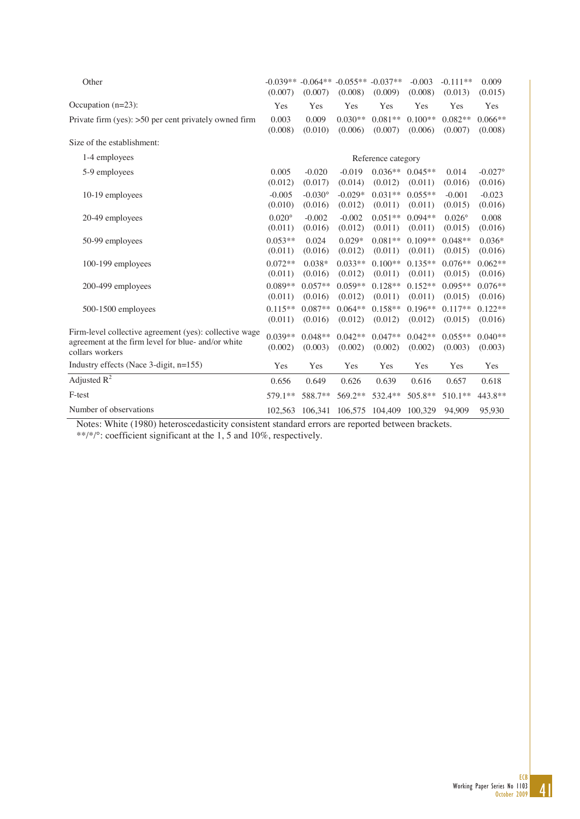| Other                                                                                                                           | (0.007)                  | $-0.039** -0.064** -0.055**$<br>(0.007) | (0.008)              | $-0.037**$<br>(0.009) | $-0.003$<br>(0.008)  | $-0.111**$<br>(0.013)    | 0.009<br>(0.015)      |
|---------------------------------------------------------------------------------------------------------------------------------|--------------------------|-----------------------------------------|----------------------|-----------------------|----------------------|--------------------------|-----------------------|
| Occupation $(n=23)$ :                                                                                                           | Yes                      | Yes                                     | Yes                  | Yes                   | Yes                  | Yes                      | Yes                   |
| Private firm (yes): $>50$ per cent privately owned firm                                                                         | 0.003<br>(0.008)         | 0.009<br>(0.010)                        | $0.030**$<br>(0.006) | $0.081**$<br>(0.007)  | $0.100**$<br>(0.006) | $0.082**$<br>(0.007)     | $0.066**$<br>(0.008)  |
| Size of the establishment:                                                                                                      |                          |                                         |                      |                       |                      |                          |                       |
| 1-4 employees                                                                                                                   |                          |                                         |                      | Reference category    |                      |                          |                       |
| 5-9 employees                                                                                                                   | 0.005<br>(0.012)         | $-0.020$<br>(0.017)                     | $-0.019$<br>(0.014)  | $0.036**$<br>(0.012)  | $0.045**$<br>(0.011) | 0.014<br>(0.016)         | $-0.027$ °<br>(0.016) |
| 10-19 employees                                                                                                                 | $-0.005$<br>(0.010)      | $-0.030$ °<br>(0.016)                   | $-0.029*$<br>(0.012) | $0.031**$<br>(0.011)  | $0.055**$<br>(0.011) | $-0.001$<br>(0.015)      | $-0.023$<br>(0.016)   |
| 20-49 employees                                                                                                                 | $0.020^\circ$<br>(0.011) | $-0.002$<br>(0.016)                     | $-0.002$<br>(0.012)  | $0.051**$<br>(0.011)  | $0.094**$<br>(0.011) | $0.026^\circ$<br>(0.015) | 0.008<br>(0.016)      |
| 50-99 employees                                                                                                                 | $0.053**$<br>(0.011)     | 0.024<br>(0.016)                        | $0.029*$<br>(0.012)  | $0.081**$<br>(0.011)  | $0.109**$<br>(0.011) | $0.048**$<br>(0.015)     | $0.036*$<br>(0.016)   |
| 100-199 employees                                                                                                               | $0.072**$<br>(0.011)     | $0.038*$<br>(0.016)                     | $0.033**$<br>(0.012) | $0.100**$<br>(0.011)  | $0.135**$<br>(0.011) | $0.076**$<br>(0.015)     | $0.062**$<br>(0.016)  |
| 200-499 employees                                                                                                               | $0.089**$<br>(0.011)     | $0.057**$<br>(0.016)                    | $0.059**$<br>(0.012) | $0.128**$<br>(0.011)  | $0.152**$<br>(0.011) | $0.095**$<br>(0.015)     | $0.076**$<br>(0.016)  |
| 500-1500 employees                                                                                                              | $0.115**$<br>(0.011)     | $0.087**$<br>(0.016)                    | $0.064**$<br>(0.012) | $0.158**$<br>(0.012)  | $0.196**$<br>(0.012) | $0.117**$<br>(0.015)     | $0.122**$<br>(0.016)  |
| Firm-level collective agreement (yes): collective wage<br>agreement at the firm level for blue- and/or white<br>collars workers | $0.039**$<br>(0.002)     | $0.048**$<br>(0.003)                    | $0.042**$<br>(0.002) | $0.047**$<br>(0.002)  | $0.042**$<br>(0.002) | $0.055**$<br>(0.003)     | $0.040**$<br>(0.003)  |
| Industry effects (Nace 3-digit, n=155)                                                                                          | Yes                      | Yes                                     | Yes                  | Yes                   | Yes                  | Yes                      | Yes                   |
| Adjusted $R^2$                                                                                                                  | 0.656                    | 0.649                                   | 0.626                | 0.639                 | 0.616                | 0.657                    | 0.618                 |
| F-test                                                                                                                          | 579.1**                  | 588.7**                                 | 569.2**              | 532.4**               | $505.8**$            | $510.1**$                | 443.8**               |
| Number of observations                                                                                                          | 102.563                  | 106.341                                 | 106,575              | 104,409               | 100.329              | 94.909                   | 95,930                |

Notes: White (1980) heteroscedasticity consistent standard errors are reported between brackets.

\*\*/\*/°: coefficient significant at the 1, 5 and 10%, respectively.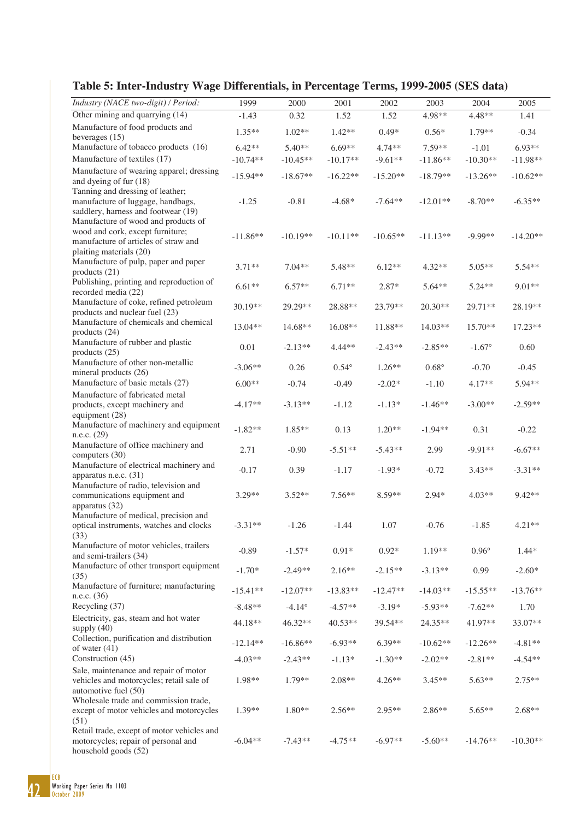| which is the contracted $\mu$ is the contract of $\mu$ is the contract of $\mu$ $\mu$ , $\mu$ , $\mu$           |            |                 |                |            |                |                 |            |
|-----------------------------------------------------------------------------------------------------------------|------------|-----------------|----------------|------------|----------------|-----------------|------------|
| Industry (NACE two-digit) / Period:                                                                             | 1999       | 2000            | 2001           | 2002       | 2003           | 2004            | 2005       |
| Other mining and quarrying (14)                                                                                 | $-1.43$    | 0.32            | 1.52           | 1.52       | 4.98**         | 4.48**          | 1.41       |
| Manufacture of food products and<br>beverages $(15)$                                                            | $1.35**$   | $1.02**$        | $1.42**$       | $0.49*$    | $0.56*$        | 1.79**          | $-0.34$    |
| Manufacture of tobacco products (16)                                                                            | $6.42**$   | $5.40**$        | $6.69**$       | 4.74**     | 7.59**         | $-1.01$         | $6.93**$   |
| Manufacture of textiles (17)                                                                                    | $-10.74**$ | $-10.45**$      | $-10.17**$     | $-9.61**$  | $-11.86**$     | $-10.30**$      | $-11.98**$ |
| Manufacture of wearing apparel; dressing                                                                        |            |                 |                |            |                |                 |            |
| and dyeing of fur (18)                                                                                          | $-15.94**$ | $-18.67**$      | $-16.22**$     | $-15.20**$ | $-18.79**$     | $-13.26**$      | $-10.62**$ |
| Tanning and dressing of leather;<br>manufacture of luggage, handbags,<br>saddlery, harness and footwear (19)    | $-1.25$    | $-0.81$         | $-4.68*$       | $-7.64**$  | $-12.01**$     | $-8.70**$       | $-6.35**$  |
| Manufacture of wood and products of<br>wood and cork, except furniture;<br>manufacture of articles of straw and | $-11.86**$ | $-10.19**$      | $-10.11**$     | $-10.65**$ | $-11.13**$     | $-9.99**$       | $-14.20**$ |
| plaiting materials (20)<br>Manufacture of pulp, paper and paper<br>products (21)                                | $3.71**$   | $7.04**$        | 5.48**         | $6.12**$   | $4.32**$       | $5.05**$        | 5.54**     |
| Publishing, printing and reproduction of<br>recorded media (22)                                                 | $6.61**$   | $6.57**$        | $6.71**$       | $2.87*$    | $5.64**$       | 5.24**          | 9.01**     |
| Manufacture of coke, refined petroleum<br>products and nuclear fuel (23)                                        | 30.19**    | 29.29**         | 28.88**        | 23.79**    | 20.30**        | 29.71**         | 28.19**    |
| Manufacture of chemicals and chemical<br>products $(24)$                                                        | 13.04**    | 14.68**         | $16.08**$      | 11.88**    | $14.03**$      | 15.70**         | 17.23**    |
| Manufacture of rubber and plastic                                                                               | 0.01       | $-2.13**$       | 4.44**         | $-2.43**$  | $-2.85**$      | $-1.67^{\circ}$ | 0.60       |
| products (25)<br>Manufacture of other non-metallic                                                              | $-3.06**$  | 0.26            | $0.54^{\circ}$ | $1.26**$   | $0.68^{\circ}$ | $-0.70$         | $-0.45$    |
| mineral products (26)<br>Manufacture of basic metals (27)                                                       | $6.00**$   | $-0.74$         | $-0.49$        | $-2.02*$   | $-1.10$        | 4.17**          | 5.94**     |
| Manufacture of fabricated metal<br>products, except machinery and<br>equipment (28)                             | $-4.17**$  | $-3.13**$       | $-1.12$        | $-1.13*$   | $-1.46**$      | $-3.00**$       | $-2.59**$  |
| Manufacture of machinery and equipment<br>n.e.c. $(29)$                                                         | $-1.82**$  | 1.85**          | 0.13           | $1.20**$   | $-1.94**$      | 0.31            | $-0.22$    |
| Manufacture of office machinery and<br>computers (30)                                                           | 2.71       | $-0.90$         | $-5.51**$      | $-5.43**$  | 2.99           | $-9.91**$       | $-6.67**$  |
| Manufacture of electrical machinery and<br>apparatus n.e.c. (31)                                                | $-0.17$    | 0.39            | $-1.17$        | $-1.93*$   | $-0.72$        | $3.43**$        | $-3.31**$  |
| Manufacture of radio, television and<br>communications equipment and<br>apparatus (32)                          | 3.29**     | $3.52**$        | 7.56**         | 8.59**     | $2.94*$        | $4.03**$        | 9.42**     |
| Manufacture of medical, precision and<br>optical instruments, watches and clocks<br>(33)                        | $-3.31**$  | $-1.26$         | $-1.44$        | 1.07       | $-0.76$        | $-1.85$         | $4.21**$   |
| Manufacture of motor vehicles, trailers<br>and semi-trailers (34)                                               | $-0.89$    | $-1.57*$        | $0.91*$        | $0.92*$    | $1.19**$       | $0.96^{\circ}$  | $1.44*$    |
| Manufacture of other transport equipment<br>(35)                                                                | $-1.70*$   | $-2.49**$       | $2.16**$       | $-2.15**$  | $-3.13**$      | 0.99            | $-2.60*$   |
| Manufacture of furniture; manufacturing<br>n.e.c. $(36)$                                                        | $-15.41**$ | $-12.07**$      | $-13.83**$     | $-12.47**$ | $-14.03**$     | $-15.55**$      | $-13.76**$ |
| Recycling (37)                                                                                                  | $-8.48**$  | $-4.14^{\circ}$ | $-4.57**$      | $-3.19*$   | $-5.93**$      | $-7.62**$       | 1.70       |
| Electricity, gas, steam and hot water<br>supply $(40)$                                                          | 44.18**    | 46.32**         | 40.53**        | 39.54**    | 24.35**        | 41.97**         | 33.07**    |
| Collection, purification and distribution<br>of water $(41)$                                                    | $-12.14**$ | $-16.86**$      | $-6.93**$      | $6.39**$   | $-10.62**$     | $-12.26**$      | $-4.81**$  |
| Construction (45)                                                                                               | $-4.03**$  | $-2.43**$       | $-1.13*$       | $-1.30**$  | $-2.02**$      | $-2.81**$       | $-4.54**$  |
| Sale, maintenance and repair of motor<br>vehicles and motorcycles; retail sale of<br>automotive fuel (50)       | 1.98**     | $1.79**$        | 2.08**         | $4.26**$   | $3.45**$       | 5.63**          | $2.75**$   |
| Wholesale trade and commission trade,<br>except of motor vehicles and motorcycles<br>(51)                       | 1.39**     | 1.80**          | $2.56**$       | $2.95**$   | 2.86**         | 5.65**          | $2.68**$   |
| Retail trade, except of motor vehicles and<br>motorcycles; repair of personal and<br>household goods (52)       | $-6.04**$  | $-7.43**$       | $-4.75**$      | $-6.97**$  | $-5.60**$      | $-14.76**$      | $-10.30**$ |

#### **Table 5: Inter-Industry Wage Differentials, in Percentage Terms, 1999-2005 (SES data)**

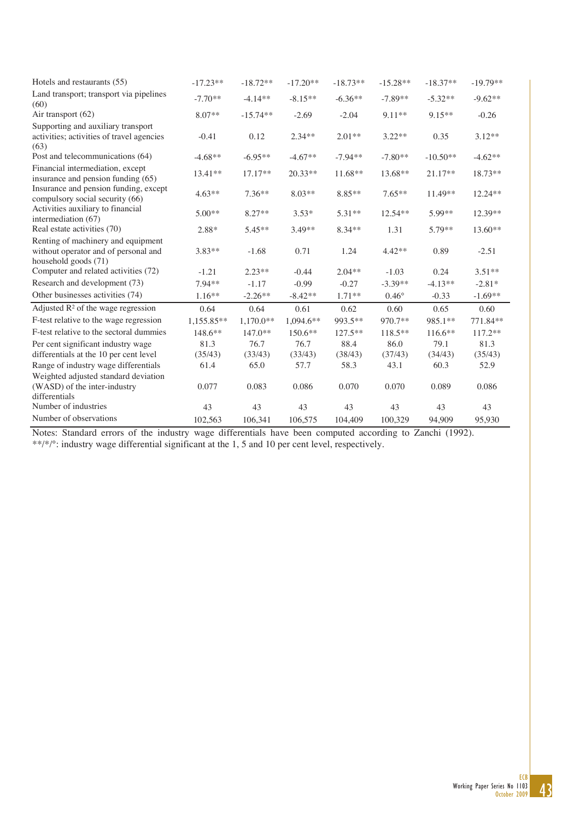| Hotels and restaurants (55)                                                                        | $-17.23**$ | $-18.72**$  | $-17.20**$ | $-18.73**$ | $-15.28**$     | $-18.37**$ | $-19.79**$ |
|----------------------------------------------------------------------------------------------------|------------|-------------|------------|------------|----------------|------------|------------|
| Land transport; transport via pipelines<br>(60)                                                    | $-7.70**$  | $-4.14**$   | $-8.15**$  | $-6.36**$  | $-7.89**$      | $-5.32**$  | $-9.62**$  |
| Air transport (62)                                                                                 | $8.07**$   | $-15.74**$  | $-2.69$    | $-2.04$    | 9.11**         | $9.15**$   | $-0.26$    |
| Supporting and auxiliary transport<br>activities; activities of travel agencies<br>(63)            | $-0.41$    | 0.12        | $2.34**$   | $2.01**$   | $3.22**$       | 0.35       | $3.12**$   |
| Post and telecommunications (64)                                                                   | $-4.68**$  | $-6.95**$   | $-4.67**$  | $-7.94**$  | $-7.80**$      | $-10.50**$ | $-4.62**$  |
| Financial intermediation, except<br>insurance and pension funding (65)                             | $13.41**$  | $17.17**$   | 20.33**    | $11.68**$  | $13.68**$      | 21.17**    | $18.73**$  |
| Insurance and pension funding, except<br>compulsory social security (66)                           | $4.63**$   | $7.36**$    | $8.03**$   | 8.85**     | $7.65**$       | $11.49**$  | $12.24**$  |
| Activities auxiliary to financial<br>intermediation (67)                                           | $5.00**$   | $8.27**$    | $3.53*$    | $5.31**$   | $12.54**$      | 5.99**     | $12.39**$  |
| Real estate activities (70)                                                                        | 2.88*      | $5.45**$    | $3.49**$   | 8.34**     | 1.31           | 5.79**     | $13.60**$  |
| Renting of machinery and equipment<br>without operator and of personal and<br>household goods (71) | $3.83**$   | $-1.68$     | 0.71       | 1.24       | $4.42**$       | 0.89       | $-2.51$    |
| Computer and related activities (72)                                                               | $-1.21$    | $2.23**$    | $-0.44$    | $2.04**$   | $-1.03$        | 0.24       | $3.51**$   |
| Research and development (73)                                                                      | 7.94**     | $-1.17$     | $-0.99$    | $-0.27$    | $-3.39**$      | $-4.13**$  | $-2.81*$   |
| Other businesses activities (74)                                                                   | $1.16**$   | $-2.26**$   | $-8.42**$  | $1.71**$   | $0.46^{\circ}$ | $-0.33$    | $-1.69**$  |
| Adjusted $R^2$ of the wage regression                                                              | 0.64       | 0.64        | 0.61       | 0.62       | 0.60           | 0.65       | 0.60       |
| F-test relative to the wage regression                                                             | 1,155.85** | $1,170.0**$ | 1,094.6**  | 993.5**    | 970.7**        | 985.1**    | 771.84**   |
| F-test relative to the sectoral dummies                                                            | 148.6**    | 147.0**     | 150.6**    | 127.5**    | 118.5**        | $116.6**$  | $117.2**$  |
| Per cent significant industry wage                                                                 | 81.3       | 76.7        | 76.7       | 88.4       | 86.0           | 79.1       | 81.3       |
| differentials at the 10 per cent level                                                             | (35/43)    | (33/43)     | (33/43)    | (38/43)    | (37/43)        | (34/43)    | (35/43)    |
| Range of industry wage differentials                                                               | 61.4       | 65.0        | 57.7       | 58.3       | 43.1           | 60.3       | 52.9       |
| Weighted adjusted standard deviation<br>(WASD) of the inter-industry<br>differentials              | 0.077      | 0.083       | 0.086      | 0.070      | 0.070          | 0.089      | 0.086      |
| Number of industries                                                                               | 43         | 43          | 43         | 43         | 43             | 43         | 43         |
| Number of observations                                                                             | 102,563    | 106,341     | 106,575    | 104,409    | 100,329        | 94,909     | 95,930     |

Notes: Standard errors of the industry wage differentials have been computed according to Zanchi (1992). \*\*/\*/°: industry wage differential significant at the 1, 5 and 10 per cent level, respectively.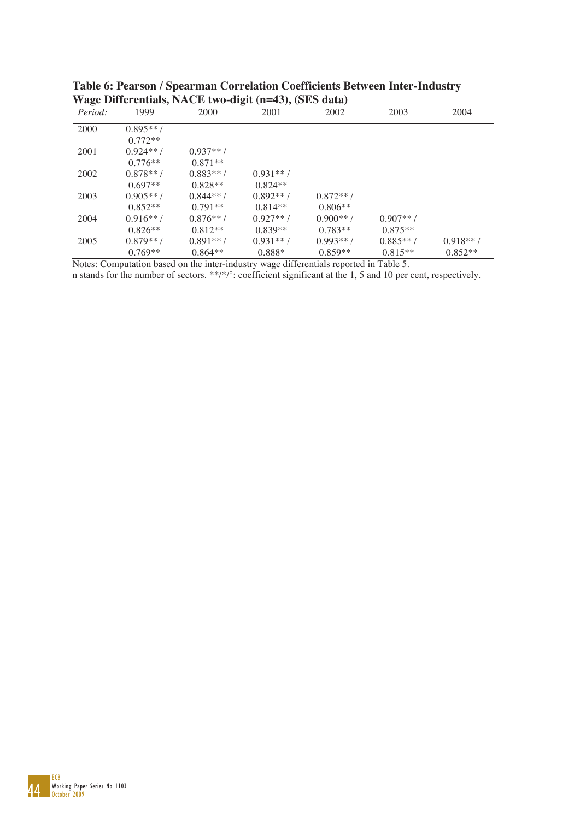| Period: | 1999        | $\frac{1}{2}$ $\frac{1}{2}$ $\frac{1}{2}$ $\frac{1}{2}$ $\frac{1}{2}$ $\frac{1}{2}$ $\frac{1}{2}$ $\frac{1}{2}$ $\frac{1}{2}$ $\frac{1}{2}$ $\frac{1}{2}$ $\frac{1}{2}$ $\frac{1}{2}$ $\frac{1}{2}$ $\frac{1}{2}$ $\frac{1}{2}$ $\frac{1}{2}$ $\frac{1}{2}$ $\frac{1}{2}$ $\frac{1}{2}$ $\frac{1}{2}$ $\frac{1}{2}$<br>2000 | 2001        | $10/9$ ( $0.220$ when $/$<br>2002 | 2003      | 2004      |
|---------|-------------|-----------------------------------------------------------------------------------------------------------------------------------------------------------------------------------------------------------------------------------------------------------------------------------------------------------------------------|-------------|-----------------------------------|-----------|-----------|
| 2000    | $0.895**$   |                                                                                                                                                                                                                                                                                                                             |             |                                   |           |           |
|         | $0.772**$   |                                                                                                                                                                                                                                                                                                                             |             |                                   |           |           |
| 2001    | $0.924**$   | $0.937**/$                                                                                                                                                                                                                                                                                                                  |             |                                   |           |           |
|         | $0.776**$   | $0.871**$                                                                                                                                                                                                                                                                                                                   |             |                                   |           |           |
| 2002    | $0.878**$ / | $0.883**$                                                                                                                                                                                                                                                                                                                   | $0.931**$   |                                   |           |           |
|         | $0.697**$   | $0.828**$                                                                                                                                                                                                                                                                                                                   | $0.824**$   |                                   |           |           |
| 2003    | $0.905**$ / | $0.844**$                                                                                                                                                                                                                                                                                                                   | $0.892**$ / | $0.872**$                         |           |           |
|         | $0.852**$   | $0.791**$                                                                                                                                                                                                                                                                                                                   | $0.814**$   | $0.806**$                         |           |           |
| 2004    | $0.916**$   | $0.876**$ /                                                                                                                                                                                                                                                                                                                 | $0.927**/$  | $0.900**$ /                       | $0.907**$ |           |
|         | $0.826**$   | $0.812**$                                                                                                                                                                                                                                                                                                                   | $0.839**$   | $0.783**$                         | $0.875**$ |           |
| 2005    | $0.879**$   | $0.891**$                                                                                                                                                                                                                                                                                                                   | $0.931**$   | $0.993**$                         | $0.885**$ | $0.918**$ |
|         | $0.769**$   | $0.864**$                                                                                                                                                                                                                                                                                                                   | 0.888*      | $0.859**$                         | $0.815**$ | $0.852**$ |

**Table 6: Pearson / Spearman Correlation Coefficients Between Inter-Industry Wage Differentials, NACE two-digit (n=43), (SES data)** 

Notes: Computation based on the inter-industry wage differentials reported in Table 5.

n stands for the number of sectors. \*\*/\*/°: coefficient significant at the 1, 5 and 10 per cent, respectively.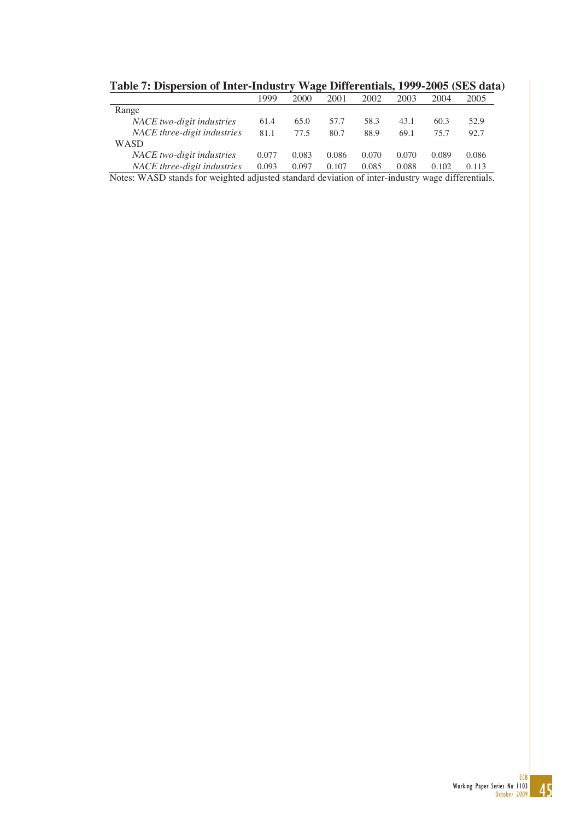|                             | 1999  | 2000  | 2001  | 2002  | 2003  | 2004  | 2005  |
|-----------------------------|-------|-------|-------|-------|-------|-------|-------|
| Range                       |       |       |       |       |       |       |       |
| NACE two-digit industries   | 61.4  | 65.0  | 57.7  | 58.3  | 43.1  | 60.3  | 52.9  |
| NACE three-digit industries | 81.1  | 77.5  | 80.7  | 88.9  | 69.1  | 757   | 92.7  |
| WASD                        |       |       |       |       |       |       |       |
| NACE two-digit industries   | 0.077 | 0.083 | 0.086 | 0.070 | 0.070 | 0.089 | 0.086 |
| NACE three-digit industries | 0.093 | 0.097 | 0.107 | 0.085 | 0.088 | 0.102 | 0.113 |

**Table 7: Dispersion of Inter-Industry Wage Differentials, 1999-2005 (SES data)** 

Notes: WASD stands for weighted adjusted standard deviation of inter-industry wage differentials.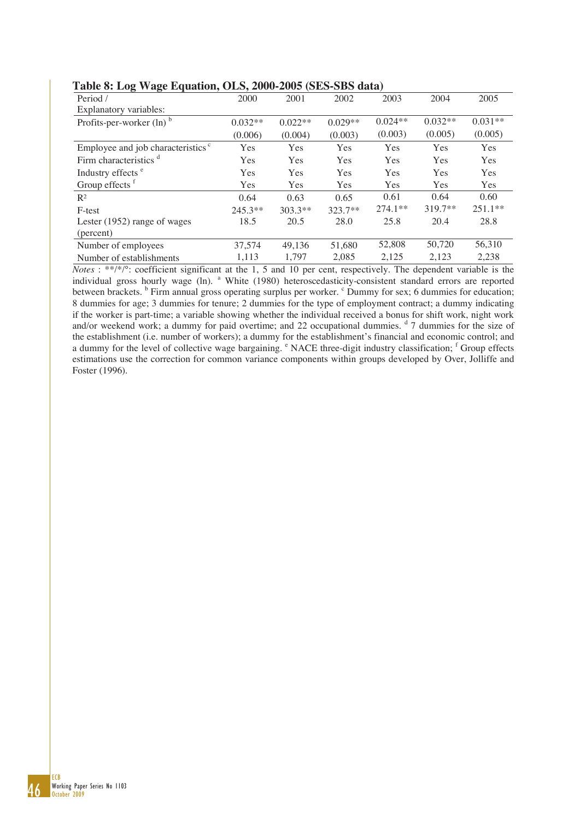| Period /                                      | 2000      | 2001      | 2002      | 2003       | 2004      | 2005      |
|-----------------------------------------------|-----------|-----------|-----------|------------|-----------|-----------|
| Explanatory variables:                        |           |           |           |            |           |           |
| Profits-per-worker $(ln)$ <sup>b</sup>        | $0.032**$ | $0.022**$ | $0.029**$ | $0.024**$  | $0.032**$ | $0.031**$ |
|                                               | (0.006)   | (0.004)   | (0.003)   | (0.003)    | (0.005)   | (0.005)   |
| Employee and job characteristics <sup>c</sup> | Yes       | Yes       | Yes       | <b>Yes</b> | Yes       | Yes       |
| Firm characteristics d                        | Yes       | Yes       | Yes       | Yes        | Yes       | Yes       |
| Industry effects <sup>e</sup>                 | Yes       | Yes       | Yes       | Yes        | Yes       | Yes       |
| Group effects <sup>f</sup>                    | Yes       | Yes       | Yes       | <b>Yes</b> | Yes       | Yes       |
| $R^2$                                         | 0.64      | 0.63      | 0.65      | 0.61       | 0.64      | 0.60      |
| F-test                                        | $245.3**$ | 303.3**   | 323.7**   | $274.1**$  | $319.7**$ | $251.1**$ |
| Lester $(1952)$ range of wages                | 18.5      | 20.5      | 28.0      | 25.8       | 20.4      | 28.8      |
| (percent)                                     |           |           |           |            |           |           |
| Number of employees                           | 37,574    | 49,136    | 51,680    | 52,808     | 50,720    | 56,310    |
| Number of establishments                      | 1,113     | 1,797     | 2,085     | 2,125      | 2,123     | 2,238     |
|                                               |           |           |           |            |           |           |

#### **Table 8: Log Wage Equation, OLS, 2000-2005 (SES-SBS data)**

*Notes* : \*\*/\*/°: coefficient significant at the 1, 5 and 10 per cent, respectively. The dependent variable is the individual gross hourly wage (ln). <sup>a</sup> White (1980) heteroscedasticity-consistent standard errors are reported between brackets. <sup>b</sup> Firm annual gross operating surplus per worker. <sup>c</sup> Dummy for sex; 6 dummies for education; 8 dummies for age; 3 dummies for tenure; 2 dummies for the type of employment contract; a dummy indicating if the worker is part-time; a variable showing whether the individual received a bonus for shift work, night work and/or weekend work; a dummy for paid overtime; and 22 occupational dummies. <sup>d</sup> 7 dummies for the size of the establishment (i.e. number of workers); a dummy for the establishment's financial and economic control; and a dummy for the level of collective wage bargaining. <sup>e</sup> NACE three-digit industry classification; <sup>f</sup> Group effects estimations use the correction for common variance components within groups developed by Over, Jolliffe and Foster (1996).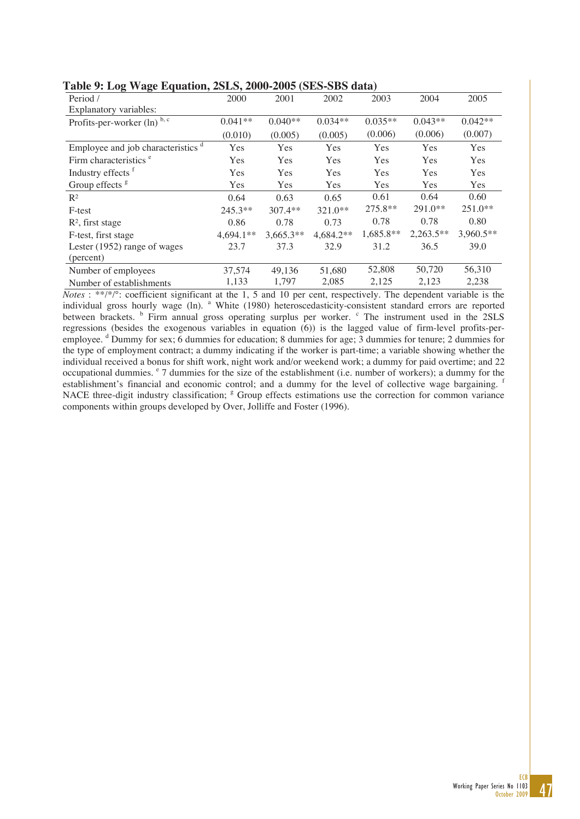| $\overline{\phantom{a}}$<br>ారె<br>Period / | 2000        | 2001        | 2002      | 2003      | 2004        | 2005      |
|---------------------------------------------|-------------|-------------|-----------|-----------|-------------|-----------|
| Explanatory variables:                      |             |             |           |           |             |           |
| Profits-per-worker $(ln)$ <sup>b, c</sup>   | $0.041**$   | $0.040**$   | $0.034**$ | $0.035**$ | $0.043**$   | $0.042**$ |
|                                             | (0.010)     | (0.005)     | (0.005)   | (0.006)   | (0.006)     | (0.007)   |
| Employee and job characteristics d          | Yes         | Yes         | Yes       | Yes       | Yes         | Yes       |
| Firm characteristics <sup>e</sup>           | Yes         | Yes         | Yes       | Yes       | Yes         | Yes       |
| Industry effects <sup>t</sup>               | Yes         | Yes         | Yes       | Yes       | Yes         | Yes       |
| Group effects <sup>g</sup>                  | Yes         | Yes         | Yes       | Yes       | Yes         | Yes       |
| $R^2$                                       | 0.64        | 0.63        | 0.65      | 0.61      | 0.64        | 0.60      |
| F-test                                      | $245.3**$   | $307.4**$   | $321.0**$ | 275.8**   | $291.0**$   | 251.0**   |
| $R2$ , first stage                          | 0.86        | 0.78        | 0.73      | 0.78      | 0.78        | 0.80      |
| F-test, first stage                         | $4,694.1**$ | $3,665.3**$ | 4,684.2** | 1,685.8** | $2,263.5**$ | 3,960.5** |
| Lester (1952) range of wages                | 23.7        | 37.3        | 32.9      | 31.2      | 36.5        | 39.0      |
| (percent)                                   |             |             |           |           |             |           |
| Number of employees                         | 37,574      | 49.136      | 51,680    | 52,808    | 50,720      | 56,310    |
| Number of establishments                    | 1,133       | 1.797       | 2.085     | 2,125     | 2,123       | 2,238     |

**Table 9: Log Wage Equation, 2SLS, 2000-2005 (SES-SBS data)**

*Notes* : \*\*/\*/°: coefficient significant at the 1, 5 and 10 per cent, respectively. The dependent variable is the individual gross hourly wage (ln). <sup>a</sup> White (1980) heteroscedasticity-consistent standard errors are reported between brackets. <sup>b</sup> Firm annual gross operating surplus per worker. <sup>c</sup> The instrument used in the 2SLS regressions (besides the exogenous variables in equation (6)) is the lagged value of firm-level profits-peremployee. <sup>d</sup> Dummy for sex; 6 dummies for education; 8 dummies for age; 3 dummies for tenure; 2 dummies for the type of employment contract; a dummy indicating if the worker is part-time; a variable showing whether the individual received a bonus for shift work, night work and/or weekend work; a dummy for paid overtime; and 22 occupational dummies. <sup>e</sup> 7 dummies for the size of the establishment (i.e. number of workers); a dummy for the establishment's financial and economic control; and a dummy for the level of collective wage bargaining. NACE three-digit industry classification; <sup>g</sup> Group effects estimations use the correction for common variance components within groups developed by Over, Jolliffe and Foster (1996).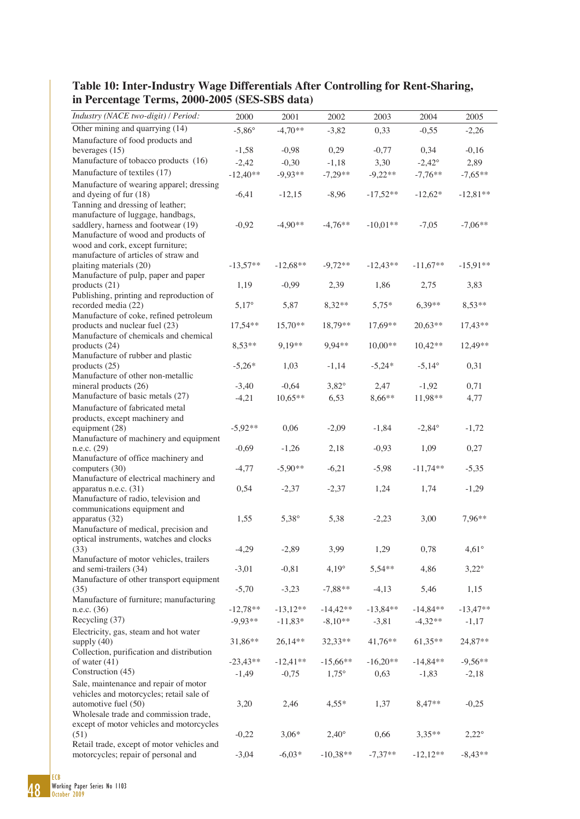| Industry (NACE two-digit) / Period:                                      | 2000            | 2001           | 2002           | 2003       | 2004            | 2005           |
|--------------------------------------------------------------------------|-----------------|----------------|----------------|------------|-----------------|----------------|
| Other mining and quarrying (14)                                          | $-5,86^{\circ}$ | $-4,70**$      | $-3,82$        | 0,33       | $-0,55$         | $-2,26$        |
| Manufacture of food products and                                         |                 |                |                |            |                 |                |
| beverages $(15)$                                                         | $-1,58$         | $-0.98$        | 0,29           | $-0,77$    | 0,34            | $-0,16$        |
| Manufacture of tobacco products (16)                                     | $-2,42$         | $-0,30$        | $-1,18$        | 3,30       | $-2,42^{\circ}$ | 2,89           |
| Manufacture of textiles (17)                                             | $-12,40**$      | $-9,93**$      | $-7,29**$      | $-9,22**$  | $-7,76**$       | $-7,65**$      |
| Manufacture of wearing apparel; dressing                                 |                 |                |                |            |                 |                |
| and dyeing of fur (18)                                                   | $-6,41$         | $-12,15$       | $-8,96$        | $-17,52**$ | $-12,62*$       | $-12,81**$     |
| Tanning and dressing of leather;                                         |                 |                |                |            |                 |                |
| manufacture of luggage, handbags,<br>saddlery, harness and footwear (19) | $-0,92$         | $-4,90**$      | $-4,76**$      | $-10,01**$ | $-7,05$         | $-7,06**$      |
| Manufacture of wood and products of                                      |                 |                |                |            |                 |                |
| wood and cork, except furniture;                                         |                 |                |                |            |                 |                |
| manufacture of articles of straw and                                     |                 |                |                |            |                 |                |
| plaiting materials (20)                                                  | $-13,57**$      | $-12,68**$     | $-9,72**$      | $-12,43**$ | $-11,67**$      | $-15,91**$     |
| Manufacture of pulp, paper and paper                                     |                 |                |                |            |                 |                |
| products $(21)$                                                          | 1,19            | $-0,99$        | 2,39           | 1,86       | 2,75            | 3,83           |
| Publishing, printing and reproduction of                                 |                 |                |                |            |                 |                |
| recorded media (22)<br>Manufacture of coke, refined petroleum            | $5,17^{\circ}$  | 5,87           | 8,32**         | $5,75*$    | $6,39**$        | 8,53**         |
| products and nuclear fuel (23)                                           | $17,54**$       | $15,70**$      | 18,79**        | 17,69**    | $20,63**$       | $17,43**$      |
| Manufacture of chemicals and chemical                                    |                 |                |                |            |                 |                |
| products (24)                                                            | $8,53**$        | 9.19**         | 9.94**         | $10,00**$  | $10,42**$       | 12,49**        |
| Manufacture of rubber and plastic                                        |                 |                |                |            |                 |                |
| products $(25)$                                                          | $-5,26*$        | 1,03           | $-1,14$        | $-5,24*$   | $-5,14^{\circ}$ | 0,31           |
| Manufacture of other non-metallic                                        |                 |                |                |            |                 |                |
| mineral products (26)                                                    | $-3,40$         | $-0,64$        | $3,82^\circ$   | 2,47       | $-1.92$         | 0,71           |
| Manufacture of basic metals (27)                                         | $-4,21$         | $10,65**$      | 6,53           | 8,66**     | 11,98**         | 4,77           |
| Manufacture of fabricated metal                                          |                 |                |                |            |                 |                |
| products, except machinery and                                           |                 |                |                |            |                 |                |
| equipment (28)<br>Manufacture of machinery and equipment                 | $-5,92**$       | 0,06           | $-2,09$        | $-1,84$    | $-2,84^{\circ}$ | $-1,72$        |
| n.e.c. (29)                                                              | $-0,69$         | $-1,26$        | 2,18           | $-0,93$    | 1,09            | 0,27           |
| Manufacture of office machinery and                                      |                 |                |                |            |                 |                |
| computers (30)                                                           | $-4,77$         | $-5,90**$      | $-6,21$        | $-5,98$    | $-11,74**$      | $-5,35$        |
| Manufacture of electrical machinery and                                  |                 |                |                |            |                 |                |
| apparatus n.e.c. (31)                                                    | 0,54            | $-2,37$        | $-2,37$        | 1,24       | 1,74            | $-1,29$        |
| Manufacture of radio, television and                                     |                 |                |                |            |                 |                |
| communications equipment and<br>apparatus (32)                           |                 |                |                |            |                 | 7,96**         |
| Manufacture of medical, precision and                                    | 1,55            | $5,38^{\circ}$ | 5,38           | $-2,23$    | 3,00            |                |
| optical instruments, watches and clocks                                  |                 |                |                |            |                 |                |
| (33)                                                                     | $-4,29$         | $-2,89$        | 3,99           | 1,29       | 0,78            | $4,61^{\circ}$ |
| Manufacture of motor vehicles, trailers                                  |                 |                |                |            |                 |                |
| and semi-trailers (34)                                                   | $-3,01$         | $-0,81$        | $4,19^{\circ}$ | 5,54**     | 4,86            | $3,22^{\circ}$ |
| Manufacture of other transport equipment                                 |                 |                |                |            |                 |                |
| (35)                                                                     | $-5,70$         | $-3,23$        | $-7,88**$      | $-4,13$    | 5,46            | 1,15           |
| Manufacture of furniture; manufacturing<br>n.e.c. $(36)$                 | $-12,78**$      | $-13,12**$     | $-14,42**$     | $-13,84**$ | $-14,84**$      | $-13,47**$     |
| Recycling (37)                                                           | $-9,93**$       | $-11,83*$      | $-8,10**$      | $-3,81$    | $-4,32**$       |                |
| Electricity, gas, steam and hot water                                    |                 |                |                |            |                 | $-1,17$        |
| supply $(40)$                                                            | 31,86**         | $26,14**$      | $32.33**$      | $41,76**$  | $61,35**$       | 24,87**        |
| Collection, purification and distribution                                |                 |                |                |            |                 |                |
| of water $(41)$                                                          | $-23,43**$      | $-12,41**$     | $-15,66**$     | $-16,20**$ | $-14,84**$      | $-9,56**$      |
| Construction (45)                                                        | $-1,49$         | $-0,75$        | $1,75^\circ$   | 0,63       | $-1,83$         | $-2,18$        |
| Sale, maintenance and repair of motor                                    |                 |                |                |            |                 |                |
| vehicles and motorcycles; retail sale of                                 |                 |                |                |            |                 |                |
| automotive fuel (50)                                                     | 3,20            | 2,46           | $4,55*$        | 1,37       | 8,47**          | $-0,25$        |
| Wholesale trade and commission trade,                                    |                 |                |                |            |                 |                |
| except of motor vehicles and motorcycles<br>(51)                         | $-0,22$         | $3,06*$        | $2,40^{\circ}$ | 0,66       | $3,35**$        | $2,22^{\circ}$ |
| Retail trade, except of motor vehicles and                               |                 |                |                |            |                 |                |
| motorcycles; repair of personal and                                      | $-3,04$         | $-6,03*$       | $-10,38**$     | $-7,37**$  | $-12,12**$      | $-8,43**$      |
|                                                                          |                 |                |                |            |                 |                |

**Table 10: Inter-Industry Wage Differentials After Controlling for Rent-Sharing, in Percentage Terms, 2000-2005 (SES-SBS data)** 

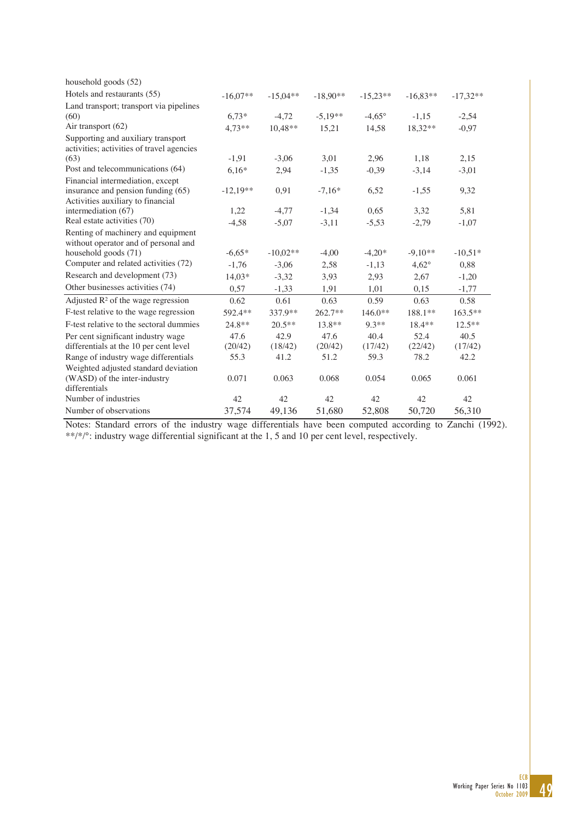| household goods (52)                                                                                        |                 |                 |                 |                 |                 |                 |
|-------------------------------------------------------------------------------------------------------------|-----------------|-----------------|-----------------|-----------------|-----------------|-----------------|
| Hotels and restaurants (55)                                                                                 | $-16.07**$      | $-15.04**$      | $-18.90**$      | $-15,23**$      | $-16,83**$      | $-17,32**$      |
| Land transport; transport via pipelines                                                                     |                 |                 |                 |                 |                 |                 |
| (60)                                                                                                        | $6.73*$         | $-4,72$         | $-5,19**$       | $-4,65^{\circ}$ | $-1,15$         | $-2,54$         |
| Air transport (62)                                                                                          | $4.73**$        | $10,48**$       | 15,21           | 14,58           | 18,32**         | $-0,97$         |
| Supporting and auxiliary transport<br>activities; activities of travel agencies                             |                 |                 |                 |                 |                 |                 |
| (63)                                                                                                        | $-1,91$         | $-3,06$         | 3,01            | 2,96            | 1,18            | 2,15            |
| Post and telecommunications (64)                                                                            | $6,16*$         | 2,94            | $-1,35$         | $-0,39$         | $-3,14$         | $-3,01$         |
| Financial intermediation, except<br>insurance and pension funding (65)<br>Activities auxiliary to financial | $-12,19**$      | 0,91            | $-7,16*$        | 6,52            | $-1,55$         | 9,32            |
| intermediation (67)                                                                                         | 1,22            | $-4,77$         | $-1,34$         | 0,65            | 3,32            | 5,81            |
| Real estate activities (70)                                                                                 | $-4,58$         | $-5,07$         | $-3,11$         | $-5,53$         | $-2,79$         | $-1,07$         |
| Renting of machinery and equipment<br>without operator and of personal and                                  |                 |                 |                 |                 |                 |                 |
| household goods (71)                                                                                        | $-6,65*$        | $-10,02**$      | $-4,00$         | $-4,20*$        | $-9,10**$       | $-10,51*$       |
| Computer and related activities (72)                                                                        | $-1,76$         | $-3,06$         | 2,58            | $-1,13$         | $4,62^\circ$    | 0,88            |
| Research and development (73)                                                                               | $14.03*$        | $-3,32$         | 3.93            | 2,93            | 2,67            | $-1,20$         |
| Other businesses activities (74)                                                                            | 0.57            | $-1,33$         | 1,91            | 1,01            | 0,15            | $-1,77$         |
| Adjusted $R^2$ of the wage regression                                                                       | 0.62            | 0.61            | 0.63            | 0.59            | 0.63            | 0.58            |
| F-test relative to the wage regression                                                                      | 592.4**         | 337.9**         | $262.7**$       | $146.0**$       | $188.1**$       | $163.5**$       |
| F-test relative to the sectoral dummies                                                                     | $24.8**$        | $20.5**$        | 13.8**          | $9.3**$         | 18.4**          | $12.5**$        |
| Per cent significant industry wage<br>differentials at the 10 per cent level                                | 47.6<br>(20/42) | 42.9<br>(18/42) | 47.6<br>(20/42) | 40.4<br>(17/42) | 52.4<br>(22/42) | 40.5<br>(17/42) |
| Range of industry wage differentials                                                                        | 55.3            | 41.2            | 51.2            | 59.3            | 78.2            | 42.2            |
| Weighted adjusted standard deviation                                                                        |                 |                 |                 |                 |                 |                 |
| (WASD) of the inter-industry<br>differentials                                                               | 0.071           | 0.063           | 0.068           | 0.054           | 0.065           | 0.061           |
| Number of industries                                                                                        | 42              | 42              | 42              | 42              | 42              | 42              |
| Number of observations                                                                                      | 37,574          | 49,136          | 51,680          | 52,808          | 50,720          | 56,310          |

Notes: Standard errors of the industry wage differentials have been computed according to Zanchi (1992). \*\*/\*/°: industry wage differential significant at the 1, 5 and 10 per cent level, respectively.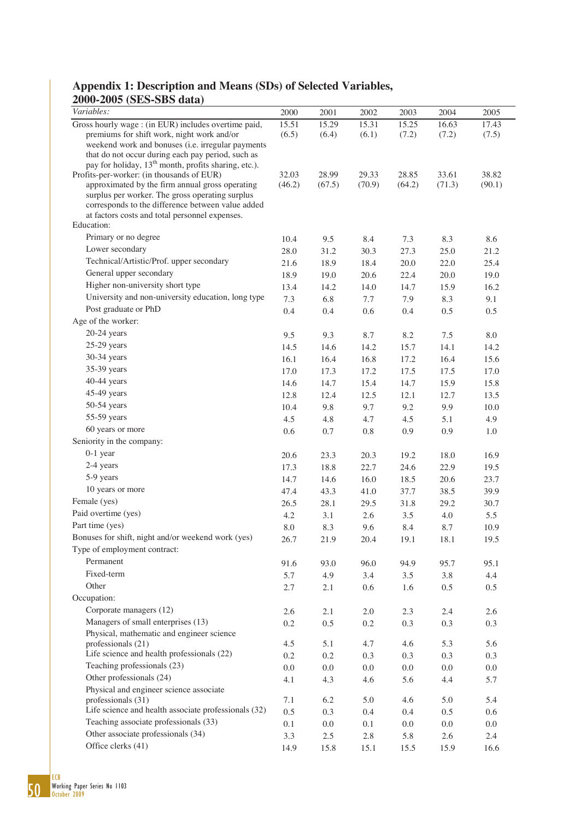## **Appendix 1: Description and Means (SDs) of Selected Variables,**

## **2000-2005 (SES-SBS data)**

| Variables:                                                                                                    | 2000       | 2001           | 2002    | 2003   | 2004    | 2005       |
|---------------------------------------------------------------------------------------------------------------|------------|----------------|---------|--------|---------|------------|
| Gross hourly wage : (in EUR) includes overtime paid,                                                          | 15.51      | 15.29          | 15.31   | 15.25  | 16.63   | 17.43      |
| premiums for shift work, night work and/or                                                                    | (6.5)      | (6.4)          | (6.1)   | (7.2)  | (7.2)   | (7.5)      |
| weekend work and bonuses (i.e. irregular payments                                                             |            |                |         |        |         |            |
| that do not occur during each pay period, such as                                                             |            |                |         |        |         |            |
| pay for holiday, 13 <sup>th</sup> month, profits sharing, etc.).<br>Profits-per-worker: (in thousands of EUR) | 32.03      | 28.99          | 29.33   | 28.85  | 33.61   | 38.82      |
| approximated by the firm annual gross operating                                                               | (46.2)     | (67.5)         | (70.9)  | (64.2) | (71.3)  | (90.1)     |
| surplus per worker. The gross operating surplus                                                               |            |                |         |        |         |            |
| corresponds to the difference between value added                                                             |            |                |         |        |         |            |
| at factors costs and total personnel expenses.                                                                |            |                |         |        |         |            |
| Education:                                                                                                    |            |                |         |        |         |            |
| Primary or no degree<br>Lower secondary                                                                       | 10.4       | 9.5            | 8.4     | 7.3    | 8.3     | 8.6        |
| Technical/Artistic/Prof. upper secondary                                                                      | 28.0       | 31.2           | 30.3    | 27.3   | 25.0    | 21.2       |
| General upper secondary                                                                                       | 21.6       | 18.9           | 18.4    | 20.0   | 22.0    | 25.4       |
| Higher non-university short type                                                                              | 18.9       | 19.0           | 20.6    | 22.4   | 20.0    | 19.0       |
| University and non-university education, long type                                                            | 13.4       | 14.2           | 14.0    | 14.7   | 15.9    | 16.2       |
| Post graduate or PhD                                                                                          | 7.3        | 6.8            | 7.7     | 7.9    | 8.3     | 9.1        |
| Age of the worker:                                                                                            | 0.4        | 0.4            | 0.6     | 0.4    | 0.5     | 0.5        |
| $20-24$ years                                                                                                 | 9.5        | 9.3            | 8.7     | 8.2    | $7.5$   | $\ \, 8.0$ |
| $25-29$ years                                                                                                 | 14.5       | 14.6           | 14.2    | 15.7   | 14.1    | 14.2       |
| 30-34 years                                                                                                   | 16.1       | 16.4           | 16.8    | 17.2   | 16.4    | 15.6       |
| 35-39 years                                                                                                   | 17.0       | 17.3           | 17.2    | 17.5   | 17.5    | 17.0       |
| 40-44 years                                                                                                   | 14.6       | 14.7           | 15.4    | 14.7   | 15.9    | 15.8       |
| 45-49 years                                                                                                   | 12.8       | 12.4           | 12.5    | 12.1   | 12.7    | 13.5       |
| 50-54 years                                                                                                   | 10.4       | 9.8            | 9.7     | 9.2    | 9.9     | 10.0       |
| 55-59 years                                                                                                   | 4.5        | 4.8            | 4.7     | 4.5    | 5.1     | 4.9        |
| 60 years or more                                                                                              | $0.6\,$    | 0.7            | $0.8\,$ | 0.9    | 0.9     | $1.0\,$    |
| Seniority in the company:                                                                                     |            |                |         |        |         |            |
| $0-1$ year                                                                                                    | 20.6       | 23.3           | 20.3    | 19.2   | 18.0    | 16.9       |
| 2-4 years                                                                                                     | 17.3       | 18.8           | 22.7    | 24.6   | 22.9    | 19.5       |
| 5-9 years                                                                                                     | 14.7       | 14.6           | 16.0    | 18.5   | 20.6    | 23.7       |
| 10 years or more                                                                                              | 47.4       | 43.3           | 41.0    | 37.7   | 38.5    | 39.9       |
| Female (yes)                                                                                                  | 26.5       | 28.1           | 29.5    | 31.8   | 29.2    | 30.7       |
| Paid overtime (yes)                                                                                           | 4.2        | 3.1            | 2.6     | 3.5    | 4.0     | 5.5        |
| Part time (yes)                                                                                               | $\ \, 8.0$ | 8.3            | 9.6     | 8.4    | 8.7     | 10.9       |
| Bonuses for shift, night and/or weekend work (yes)                                                            | 26.7       | 21.9           | 20.4    | 19.1   | 18.1    | 19.5       |
| Type of employment contract:                                                                                  |            |                |         |        |         |            |
| Permanent                                                                                                     | 91.6       | 93.0           | 96.0    | 94.9   | 95.7    | 95.1       |
| Fixed-term                                                                                                    | 5.7        | 4.9            | 3.4     | 3.5    | 3.8     | 4.4        |
| Other                                                                                                         | 2.7        | 2.1            | 0.6     | 1.6    | 0.5     | 0.5        |
| Occupation:                                                                                                   |            |                |         |        |         |            |
| Corporate managers (12)                                                                                       | 2.6        | 2.1            | $2.0\,$ | 2.3    | 2.4     | 2.6        |
| Managers of small enterprises (13)                                                                            | 0.2        | 0.5            | 0.2     | 0.3    | 0.3     | 0.3        |
| Physical, mathematic and engineer science                                                                     |            |                |         |        |         |            |
| professionals (21)<br>Life science and health professionals (22)                                              | 4.5        | 5.1            | 4.7     | 4.6    | 5.3     | 5.6        |
| Teaching professionals (23)                                                                                   | 0.2        | 0.2            | 0.3     | 0.3    | 0.3     | 0.3        |
| Other professionals (24)                                                                                      | 0.0<br>4.1 | $0.0\,$<br>4.3 | $0.0\,$ | 0.0    | $0.0\,$ | $0.0\,$    |
| Physical and engineer science associate                                                                       |            |                | 4.6     | 5.6    | 4.4     | 5.7        |
| professionals (31)                                                                                            | 7.1        | 6.2            | 5.0     | 4.6    | 5.0     | 5.4        |
| Life science and health associate professionals (32)                                                          | 0.5        | 0.3            | 0.4     | 0.4    | 0.5     | 0.6        |
| Teaching associate professionals (33)                                                                         | 0.1        | 0.0            | $0.1\,$ | 0.0    | $0.0\,$ | 0.0        |
| Other associate professionals (34)                                                                            | 3.3        | 2.5            | 2.8     | 5.8    | 2.6     | 2.4        |
| Office clerks (41)                                                                                            | 14.9       | 15.8           | 15.1    | 15.5   | 15.9    | 16.6       |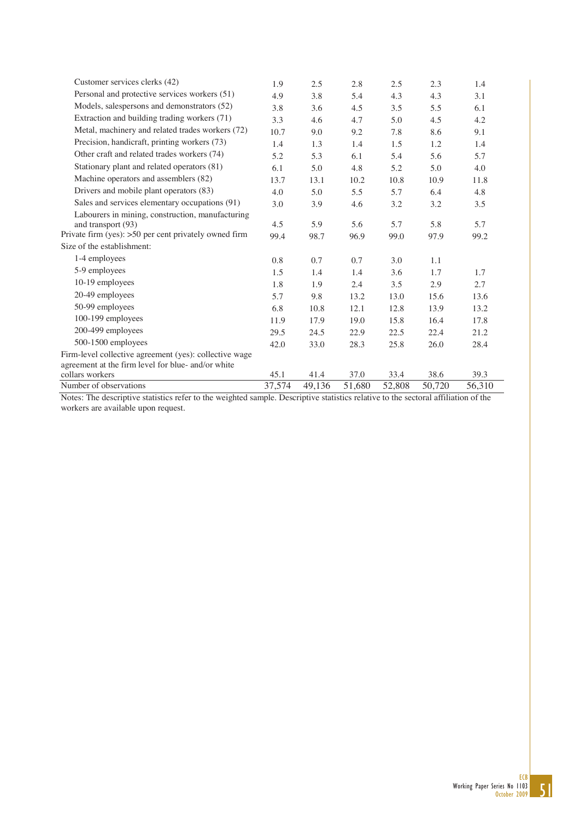| Customer services clerks (42)                          | 1.9    | 2.5    | 2.8    | 2.5    | 2.3    | 1.4    |
|--------------------------------------------------------|--------|--------|--------|--------|--------|--------|
| Personal and protective services workers (51)          | 4.9    | 3.8    | 5.4    | 4.3    | 4.3    | 3.1    |
| Models, salespersons and demonstrators (52)            | 3.8    | 3.6    | 4.5    | 3.5    | 5.5    | 6.1    |
| Extraction and building trading workers (71)           | 3.3    | 4.6    | 4.7    | 5.0    | 4.5    | 4.2    |
| Metal, machinery and related trades workers (72)       | 10.7   | 9.0    | 9.2    | 7.8    | 8.6    | 9.1    |
| Precision, handicraft, printing workers (73)           | 1.4    | 1.3    | 1.4    | 1.5    | 1.2    | 1.4    |
| Other craft and related trades workers (74)            | 5.2    | 5.3    | 6.1    | 5.4    | 5.6    | 5.7    |
| Stationary plant and related operators (81)            | 6.1    | 5.0    | 4.8    | 5.2    | 5.0    | 4.0    |
| Machine operators and assemblers (82)                  | 13.7   | 13.1   | 10.2   | 10.8   | 10.9   | 11.8   |
| Drivers and mobile plant operators (83)                | 4.0    | 5.0    | 5.5    | 5.7    | 6.4    | 4.8    |
| Sales and services elementary occupations (91)         | 3.0    | 3.9    | 4.6    | 3.2    | 3.2    | 3.5    |
| Labourers in mining, construction, manufacturing       |        |        |        |        |        |        |
| and transport (93)                                     | 4.5    | 5.9    | 5.6    | 5.7    | 5.8    | 5.7    |
| Private firm (yes): >50 per cent privately owned firm  | 99.4   | 98.7   | 96.9   | 99.0   | 97.9   | 99.2   |
| Size of the establishment:                             |        |        |        |        |        |        |
| 1-4 employees                                          | 0.8    | 0.7    | 0.7    | 3.0    | 1.1    |        |
| 5-9 employees                                          | 1.5    | 1.4    | 1.4    | 3.6    | 1.7    | 1.7    |
| 10-19 employees                                        | 1.8    | 1.9    | 2.4    | 3.5    | 2.9    | 2.7    |
| 20-49 employees                                        | 5.7    | 9.8    | 13.2   | 13.0   | 15.6   | 13.6   |
| 50-99 employees                                        | 6.8    | 10.8   | 12.1   | 12.8   | 13.9   | 13.2   |
| 100-199 employees                                      | 11.9   | 17.9   | 19.0   | 15.8   | 16.4   | 17.8   |
| 200-499 employees                                      | 29.5   | 24.5   | 22.9   | 22.5   | 22.4   | 21.2   |
| 500-1500 employees                                     | 42.0   | 33.0   | 28.3   | 25.8   | 26.0   | 28.4   |
| Firm-level collective agreement (yes): collective wage |        |        |        |        |        |        |
| agreement at the firm level for blue- and/or white     |        |        |        |        |        |        |
| collars workers                                        | 45.1   | 41.4   | 37.0   | 33.4   | 38.6   | 39.3   |
| Number of observations                                 | 37,574 | 49,136 | 51,680 | 52,808 | 50,720 | 56,310 |
|                                                        |        |        |        |        |        |        |

Notes: The descriptive statistics refer to the weighted sample. Descriptive statistics relative to the sectoral affiliation of the workers are available upon request.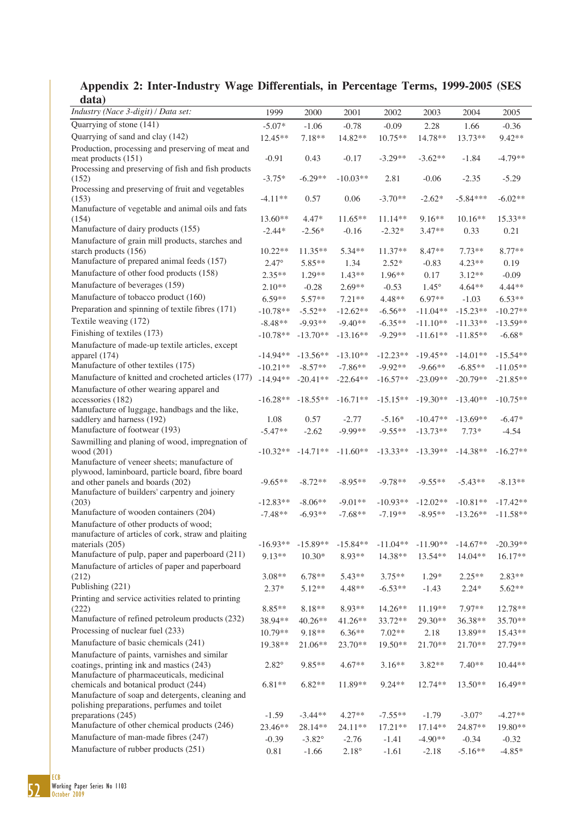| uata)                                                                                     |                |                 |                |            |                |                 |            |
|-------------------------------------------------------------------------------------------|----------------|-----------------|----------------|------------|----------------|-----------------|------------|
| Industry (Nace 3-digit) / Data set:                                                       | 1999           | 2000            | 2001           | 2002       | 2003           | 2004            | 2005       |
| Quarrying of stone (141)                                                                  | $-5.07*$       | $-1.06$         | $-0.78$        | $-0.09$    | 2.28           | 1.66            | $-0.36$    |
| Quarrying of sand and clay (142)                                                          | $12.45**$      | 7.18**          | 14.82**        | $10.75**$  | 14.78**        | $13.73**$       | 9.42**     |
| Production, processing and preserving of meat and                                         |                |                 |                |            |                |                 |            |
| meat products (151)                                                                       | $-0.91$        | 0.43            | $-0.17$        | $-3.29**$  | $-3.62**$      | $-1.84$         | $-4.79**$  |
| Processing and preserving of fish and fish products<br>(152)                              | $-3.75*$       | $-6.29**$       | $-10.03**$     | 2.81       | $-0.06$        | $-2.35$         | $-5.29$    |
| Processing and preserving of fruit and vegetables                                         |                |                 |                |            |                |                 |            |
| (153)                                                                                     | $-4.11**$      | 0.57            | 0.06           | $-3.70**$  | $-2.62*$       | $-5.84***$      | $-6.02**$  |
| Manufacture of vegetable and animal oils and fats                                         |                |                 |                |            |                |                 |            |
| (154)                                                                                     | $13.60**$      | 4.47*           | $11.65**$      | $11.14**$  | $9.16**$       | $10.16**$       | 15.33**    |
| Manufacture of dairy products (155)                                                       | $-2.44*$       | $-2.56*$        | $-0.16$        | $-2.32*$   | $3.47**$       | 0.33            | 0.21       |
| Manufacture of grain mill products, starches and<br>starch products (156)                 | $10.22**$      | $11.35**$       | $5.34**$       | 11.37**    | $8.47**$       | $7.73**$        | 8.77**     |
| Manufacture of prepared animal feeds (157)                                                | $2.47^{\circ}$ | $5.85**$        | 1.34           | $2.52*$    | $-0.83$        | $4.23**$        | 0.19       |
| Manufacture of other food products (158)                                                  | $2.35**$       | $1.29**$        | $1.43**$       | 1.96**     | 0.17           | $3.12**$        | $-0.09$    |
| Manufacture of beverages (159)                                                            | $2.10**$       | $-0.28$         | $2.69**$       | $-0.53$    | $1.45^{\circ}$ | $4.64**$        | $4.44**$   |
| Manufacture of tobacco product (160)                                                      | $6.59**$       | 5.57**          | $7.21**$       | 4.48**     | $6.97**$       | $-1.03$         | $6.53**$   |
| Preparation and spinning of textile fibres (171)                                          | $-10.78**$     | $-5.52**$       | $-12.62**$     | $-6.56**$  | $-11.04**$     | $-15.23**$      | $-10.27**$ |
| Textile weaving (172)                                                                     | $-8.48**$      | $-9.93**$       | $-9.40**$      | $-6.35**$  | $-11.10**$     | $-11.33**$      | $-13.59**$ |
| Finishing of textiles (173)                                                               | $-10.78**$     | $-13.70**$      | $-13.16**$     | $-9.29**$  | $-11.61**$     | $-11.85**$      | $-6.68*$   |
| Manufacture of made-up textile articles, except                                           |                |                 |                |            |                |                 |            |
| apparel (174)                                                                             | $-14.94**$     | $-13.56**$      | $-13.10**$     | $-12.23**$ | $-19.45**$     | $-14.01**$      | $-15.54**$ |
| Manufacture of other textiles (175)                                                       | $-10.21**$     | $-8.57**$       | $-7.86**$      | $-9.92**$  | $-9.66**$      | $-6.85**$       | $-11.05**$ |
| Manufacture of knitted and crocheted articles (177)                                       | $-14.94**$     | $-20.41**$      | $-22.64**$     | $-16.57**$ | $-23.09**$     | $-20.79**$      | $-21.85**$ |
| Manufacture of other wearing apparel and                                                  |                |                 |                |            |                |                 |            |
| accessories (182)                                                                         | $-16.28**$     | $-18.55**$      | $-16.71**$     | $-15.15**$ | $-19.30**$     | $-13.40**$      | $-10.75**$ |
| Manufacture of luggage, handbags and the like,<br>saddlery and harness (192)              | 1.08           | 0.57            | $-2.77$        | $-5.16*$   | $-10.47**$     | $-13.69**$      | $-6.47*$   |
| Manufacture of footwear (193)                                                             | $-5.47**$      | $-2.62$         | $-9.99**$      | $-9.55**$  | $-13.73**$     | $7.73*$         | $-4.54$    |
| Sawmilling and planing of wood, impregnation of                                           |                |                 |                |            |                |                 |            |
| wood (201)                                                                                | $-10.32**$     | $-14.71**$      | $-11.60**$     | $-13.33**$ | $-13.39**$     | $-14.38**$      | $-16.27**$ |
| Manufacture of veneer sheets; manufacture of                                              |                |                 |                |            |                |                 |            |
| plywood, laminboard, particle board, fibre board                                          |                |                 |                |            |                |                 |            |
| and other panels and boards (202)                                                         | $-9.65**$      | $-8.72**$       | $-8.95**$      | $-9.78**$  | $-9.55**$      | $-5.43**$       | $-8.13**$  |
| Manufacture of builders' carpentry and joinery<br>(203)                                   | $-12.83**$     | $-8.06**$       | $-9.01**$      | $-10.93**$ | $-12.02**$     | $-10.81**$      | $-17.42**$ |
| Manufacture of wooden containers (204)                                                    | $-7.48**$      | $-6.93**$       | $-7.68**$      | $-7.19**$  | $-8.95**$      | $-13.26**$      | $-11.58**$ |
| Manufacture of other products of wood;                                                    |                |                 |                |            |                |                 |            |
| manufacture of articles of cork, straw and plaiting                                       |                |                 |                |            |                |                 |            |
| materials (205)                                                                           | $-16.93**$     | $-15.89**$      | $-15.84**$     | $-11.04**$ | $-11.90**$     | $-14.67**$      | $-20.39**$ |
| Manufacture of pulp, paper and paperboard (211)                                           | 9.13**         | $10.30*$        | 8.93**         | 14.38**    | 13.54**        | $14.04**$       | $16.17**$  |
| Manufacture of articles of paper and paperboard<br>(212)                                  | $3.08**$       | $6.78**$        | 5.43**         | $3.75**$   | $1.29*$        | $2.25**$        | 2.83**     |
| Publishing (221)                                                                          | $2.37*$        | $5.12**$        | 4.48**         | $-6.53**$  | $-1.43$        | $2.24*$         | $5.62**$   |
| Printing and service activities related to printing                                       |                |                 |                |            |                |                 |            |
| (222)                                                                                     | 8.85**         | 8.18**          | 8.93**         | 14.26**    | 11.19**        | 7.97**          | 12.78**    |
| Manufacture of refined petroleum products (232)                                           | 38.94**        | 40.26**         | 41.26**        | 33.72**    | $29.30**$      | 36.38**         | 35.70**    |
| Processing of nuclear fuel (233)                                                          | 10.79**        | 9.18**          | $6.36**$       | $7.02**$   | 2.18           | 13.89**         | 15.43**    |
| Manufacture of basic chemicals (241)                                                      | 19.38**        | 21.06**         | 23.70**        | 19.50**    | 21.70**        | 21.70**         | 27.79**    |
| Manufacture of paints, varnishes and similar                                              |                |                 |                |            |                |                 |            |
| coatings, printing ink and mastics (243)                                                  | $2.82^{\circ}$ | 9.85**          | $4.67**$       | $3.16**$   | 3.82**         | $7.40**$        | 10.44**    |
| Manufacture of pharmaceuticals, medicinal                                                 |                |                 |                |            |                |                 |            |
| chemicals and botanical product (244)<br>Manufacture of soap and detergents, cleaning and | $6.81**$       | $6.82**$        | 11.89**        | $9.24**$   | $12.74**$      | $13.50**$       | 16.49**    |
| polishing preparations, perfumes and toilet                                               |                |                 |                |            |                |                 |            |
| preparations (245)                                                                        | $-1.59$        | $-3.44**$       | $4.27**$       | $-7.55**$  | $-1.79$        | $-3.07^{\circ}$ | $-4.27**$  |
| Manufacture of other chemical products (246)                                              | 23.46**        | 28.14**         | 24.11**        | 17.21**    | 17.14**        | 24.87**         | 19.80**    |
| Manufacture of man-made fibres (247)                                                      | $-0.39$        | $-3.82^{\circ}$ | $-2.76$        | $-1.41$    | $-4.90**$      | $-0.34$         | $-0.32$    |
| Manufacture of rubber products (251)                                                      | 0.81           | $-1.66$         | $2.18^{\circ}$ | $-1.61$    | $-2.18$        | $-5.16**$       | $-4.85*$   |

#### **Appendix 2: Inter-Industry Wage Differentials, in Percentage Terms, 1999-2005 (SES data)**

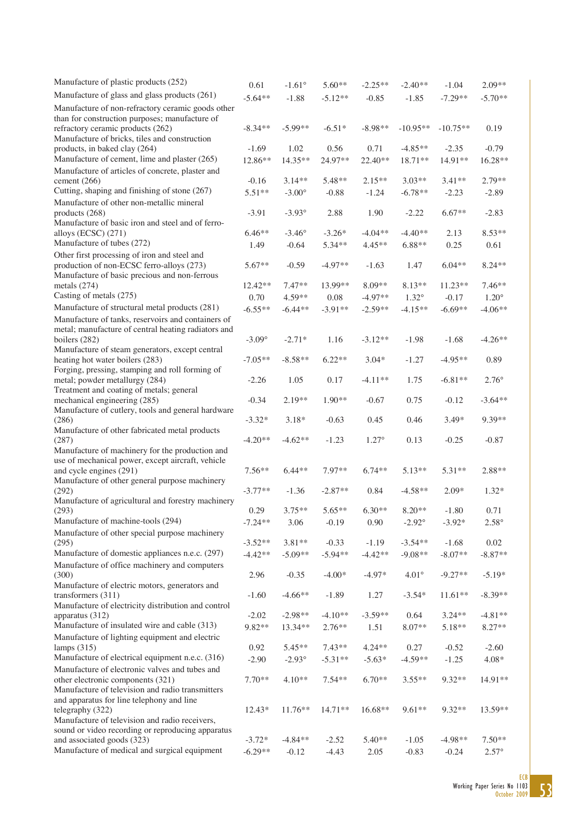| Manufacture of plastic products (252)                                                               | 0.61          | $\text{-}1.61^{\circ}$ | $5.60**$  | $-2.25**$    | $-2.40**$       | $-1.04$    | $2.09**$       |
|-----------------------------------------------------------------------------------------------------|---------------|------------------------|-----------|--------------|-----------------|------------|----------------|
| Manufacture of glass and glass products (261)                                                       | $-5.64**$     | $-1.88$                | $-5.12**$ | $-0.85$      | $-1.85$         | $-7.29**$  | $-5.70**$      |
| Manufacture of non-refractory ceramic goods other<br>than for construction purposes; manufacture of |               |                        |           |              |                 |            |                |
| refractory ceramic products (262)<br>Manufacture of bricks, tiles and construction                  | $-8.34**$     | $-5.99**$              | $-6.51*$  | $-8.98**$    | $-10.95**$      | $-10.75**$ | 0.19           |
| products, in baked clay (264)                                                                       | $-1.69$       | 1.02                   | 0.56      | 0.71         | $-4.85**$       | $-2.35$    | $-0.79$        |
| Manufacture of cement, lime and plaster (265)                                                       | 12.86**       | 14.35**                | 24.97**   | 22.40**      | 18.71**         | 14.91**    | 16.28**        |
| Manufacture of articles of concrete, plaster and                                                    |               |                        |           |              |                 |            |                |
| cement $(266)$                                                                                      | $-0.16$       | $3.14**$               | 5.48**    | $2.15**$     | $3.03**$        | $3.41**$   | $2.79**$       |
| Cutting, shaping and finishing of stone (267)                                                       | $5.51**$      | $-3.00^\circ$          | $-0.88$   | $-1.24$      | $-6.78**$       | $-2.23$    | $-2.89$        |
| Manufacture of other non-metallic mineral                                                           |               |                        |           |              |                 |            |                |
| products (268)                                                                                      | $-3.91$       | $-3.93^{\circ}$        | 2.88      | 1.90         | $-2.22$         | $6.67**$   | $-2.83$        |
| Manufacture of basic iron and steel and of ferro-<br>alloys (ECSC) (271)                            | $6.46**$      | $-3.46^\circ$          | $-3.26*$  | $-4.04**$    | $-4.40**$       | 2.13       | 8.53**         |
| Manufacture of tubes (272)                                                                          | 1.49          | $-0.64$                | 5.34**    | 4.45**       | $6.88**$        | 0.25       | 0.61           |
| Other first processing of iron and steel and                                                        |               |                        |           |              |                 |            |                |
| production of non-ECSC ferro-alloys (273)                                                           | 5.67**        | $-0.59$                | $-4.97**$ | $-1.63$      | 1.47            | $6.04**$   | 8.24**         |
| Manufacture of basic precious and non-ferrous                                                       |               |                        |           |              |                 |            |                |
| metals $(274)$                                                                                      | 12.42**       | $7.47**$               | 13.99**   | 8.09**       | $8.13**$        | 11.23**    | 7.46**         |
| Casting of metals (275)                                                                             | 0.70          | 4.59**                 | 0.08      | $-4.97**$    | $1.32^\circ$    | $-0.17$    | $1.20^{\circ}$ |
| Manufacture of structural metal products (281)                                                      | $-6.55**$     | $-6.44**$              | $-3.91**$ | $-2.59**$    | $-4.15**$       | $-6.69**$  | $-4.06**$      |
| Manufacture of tanks, reservoirs and containers of                                                  |               |                        |           |              |                 |            |                |
| metal; manufacture of central heating radiators and                                                 |               |                        |           |              |                 |            |                |
| boilers (282)                                                                                       | $-3.09^\circ$ | $-2.71*$               | 1.16      | $-3.12**$    | $-1.98$         | $-1.68$    | $-4.26**$      |
| Manufacture of steam generators, except central                                                     |               |                        |           |              |                 |            |                |
| heating hot water boilers (283)                                                                     | $-7.05**$     | $-8.58**$              | $6.22**$  | $3.04*$      | $-1.27$         | $-4.95**$  | 0.89           |
| Forging, pressing, stamping and roll forming of                                                     |               |                        |           |              |                 |            |                |
| metal; powder metallurgy (284)                                                                      | $-2.26$       | 1.05                   | 0.17      | $-4.11**$    | 1.75            | $-6.81**$  | $2.76^{\circ}$ |
| Treatment and coating of metals; general<br>mechanical engineering (285)                            | $-0.34$       | 2.19**                 | $1.90**$  | $-0.67$      | 0.75            | $-0.12$    | $-3.64**$      |
| Manufacture of cutlery, tools and general hardware                                                  |               |                        |           |              |                 |            |                |
| (286)                                                                                               | $-3.32*$      | $3.18*$                | $-0.63$   | 0.45         | 0.46            | $3.49*$    | 9.39**         |
| Manufacture of other fabricated metal products                                                      |               |                        |           |              |                 |            |                |
| (287)                                                                                               | $-4.20**$     | $-4.62**$              | $-1.23$   | $1.27^\circ$ | 0.13            | $-0.25$    | $-0.87$        |
| Manufacture of machinery for the production and                                                     |               |                        |           |              |                 |            |                |
| use of mechanical power, except aircraft, vehicle                                                   | $7.56**$      |                        | 7.97**    | $6.74**$     |                 |            | 2.88**         |
| and cycle engines (291)<br>Manufacture of other general purpose machinery                           |               | $6.44**$               |           |              | 5.13**          | 5.31**     |                |
| (292)                                                                                               | $-3.77**$     | $-1.36$                | $-2.87**$ | 0.84         | $-4.58**$       | $2.09*$    | $1.32*$        |
| Manufacture of agricultural and forestry machinery                                                  |               |                        |           |              |                 |            |                |
| (293)                                                                                               | 0.29          | $3.75**$               | $5.65**$  | $6.30**$     | $8.20**$        | $-1.80$    | 0.71           |
| Manufacture of machine-tools (294)                                                                  | $-7.24**$     | 3.06                   | $-0.19$   | $0.90\,$     | $-2.92^{\circ}$ | $-3.92*$   | $2.58^\circ$   |
| Manufacture of other special purpose machinery                                                      |               |                        |           |              |                 |            |                |
| (295)                                                                                               | $-3.52**$     | $3.81**$               | $-0.33$   | $-1.19$      | $-3.54**$       | $-1.68$    | 0.02           |
| Manufacture of domestic appliances n.e.c. (297)                                                     | $-4.42**$     | $-5.09**$              | $-5.94**$ | $-4.42**$    | $-9.08**$       | $-8.07**$  | $-8.87**$      |
| Manufacture of office machinery and computers                                                       |               |                        |           |              |                 |            |                |
| (300)                                                                                               | 2.96          | $-0.35$                | $-4.00*$  | $-4.97*$     | $4.01^{\circ}$  | $-9.27**$  | $-5.19*$       |
| Manufacture of electric motors, generators and<br>transformers $(311)$                              | $-1.60$       | $-4.66**$              | $-1.89$   | 1.27         | $-3.54*$        | $11.61**$  | $-8.39**$      |
| Manufacture of electricity distribution and control                                                 |               |                        |           |              |                 |            |                |
| apparatus (312)                                                                                     | $-2.02$       | $-2.98**$              | $-4.10**$ | $-3.59**$    | 0.64            | $3.24**$   | $-4.81**$      |
| Manufacture of insulated wire and cable (313)                                                       | 9.82**        | 13.34**                | $2.76**$  | 1.51         | 8.07**          | 5.18**     | $8.27**$       |
| Manufacture of lighting equipment and electric                                                      |               |                        |           |              |                 |            |                |
| lamps $(315)$                                                                                       | 0.92          | 5.45**                 | $7.43**$  | $4.24**$     | 0.27            | $-0.52$    | $-2.60$        |
| Manufacture of electrical equipment n.e.c. (316)                                                    | $-2.90$       | $-2.93^{\circ}$        | $-5.31**$ | $-5.63*$     | $-4.59**$       | $-1.25$    | $4.08*$        |
| Manufacture of electronic valves and tubes and                                                      |               |                        |           |              |                 |            |                |
| other electronic components (321)                                                                   | $7.70**$      | $4.10**$               | $7.54**$  | $6.70**$     | $3.55**$        | 9.32**     | 14.91**        |
| Manufacture of television and radio transmitters                                                    |               |                        |           |              |                 |            |                |
| and apparatus for line telephony and line                                                           |               |                        |           |              |                 |            |                |
| telegraphy (322)<br>Manufacture of television and radio receivers,                                  | $12.43*$      | 11.76**                | 14.71**   | 16.68**      | $9.61**$        | 9.32**     | 13.59**        |
| sound or video recording or reproducing apparatus                                                   |               |                        |           |              |                 |            |                |
| and associated goods (323)                                                                          | $-3.72*$      | $-4.84**$              | $-2.52$   | 5.40**       | $-1.05$         | $-4.98**$  | $7.50**$       |
| Manufacture of medical and surgical equipment                                                       | $-6.29**$     | $-0.12$                | $-4.43$   | 2.05         | $-0.83$         | $-0.24$    | $2.57^\circ$   |
|                                                                                                     |               |                        |           |              |                 |            |                |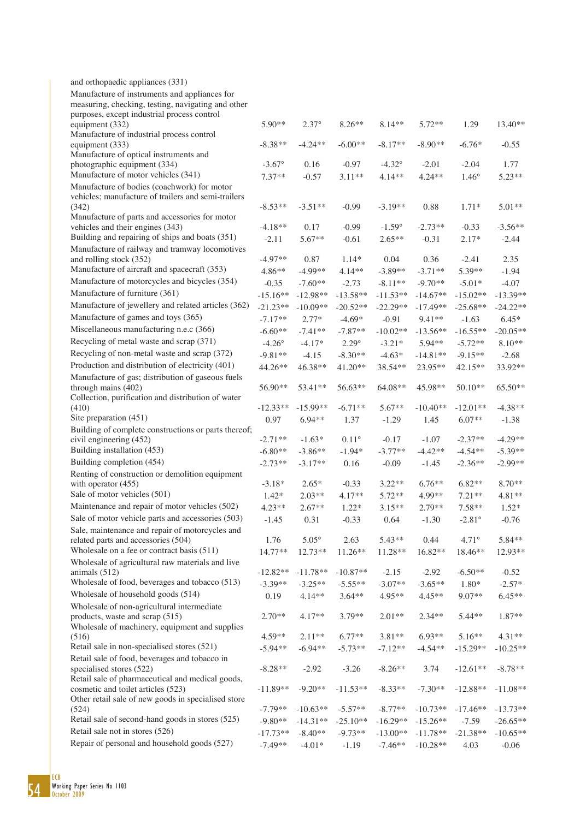| and orthopaedic appliances (331)                                                                   |               |                    |                           |                 |            |                 |                        |
|----------------------------------------------------------------------------------------------------|---------------|--------------------|---------------------------|-----------------|------------|-----------------|------------------------|
| Manufacture of instruments and appliances for                                                      |               |                    |                           |                 |            |                 |                        |
| measuring, checking, testing, navigating and other                                                 |               |                    |                           |                 |            |                 |                        |
| purposes, except industrial process control<br>equipment (332)                                     | $5.90**$      | $2.37^{\circ}$     | $8.26**$                  | $8.14**$        | $5.72**$   | 1.29            | 13.40**                |
| Manufacture of industrial process control                                                          |               |                    |                           |                 |            |                 |                        |
| equipment (333)                                                                                    | $-8.38**$     | $-4.24**$          | $-6.00**$                 | $-8.17**$       | $-8.90**$  | $-6.76*$        | $-0.55$                |
| Manufacture of optical instruments and                                                             |               |                    |                           |                 |            |                 |                        |
| photographic equipment (334)                                                                       | $-3.67$ °     | 0.16               | $-0.97$                   | $-4.32^{\circ}$ | $-2.01$    | $-2.04$         | 1.77                   |
| Manufacture of motor vehicles (341)                                                                | $7.37**$      | $-0.57$            | $3.11**$                  | $4.14**$        | $4.24**$   | $1.46^{\circ}$  | 5.23**                 |
| Manufacture of bodies (coachwork) for motor<br>vehicles; manufacture of trailers and semi-trailers |               |                    |                           |                 |            |                 |                        |
| (342)                                                                                              | $-8.53**$     | $-3.51**$          | $-0.99$                   | $-3.19**$       | 0.88       | $1.71*$         | $5.01**$               |
| Manufacture of parts and accessories for motor                                                     |               |                    |                           |                 |            |                 |                        |
| vehicles and their engines (343)                                                                   | $-4.18**$     | 0.17               | $-0.99$                   | $-1.59^{\circ}$ | $-2.73**$  | $-0.33$         | $-3.56**$              |
| Building and repairing of ships and boats (351)                                                    | $-2.11$       | 5.67**             | $-0.61$                   | $2.65**$        | $-0.31$    | $2.17*$         | $-2.44$                |
| Manufacture of railway and tramway locomotives                                                     |               |                    |                           |                 |            |                 |                        |
| and rolling stock (352)<br>Manufacture of aircraft and spacecraft (353)                            | $-4.97**$     | 0.87               | $1.14*$                   | 0.04            | 0.36       | $-2.41$         | 2.35                   |
| Manufacture of motorcycles and bicycles (354)                                                      | $4.86**$      | $-4.99**$          | 4.14**                    | $-3.89**$       | $-3.71**$  | 5.39**          | $-1.94$                |
| Manufacture of furniture (361)                                                                     | $-0.35$       | $-7.60**$          | $-2.73$                   | $-8.11**$       | $-9.70**$  | $-5.01*$        | $-4.07$                |
| Manufacture of jewellery and related articles (362)                                                | $-15.16**$    | $-12.98**$         | $-13.58**$                | $-11.53**$      | $-14.67**$ | $-15.02**$      | $-13.39**$             |
| Manufacture of games and toys (365)                                                                | $-21.23**$    | $-10.09**$         | $-20.52**$                | $-22.29**$      | $-17.49**$ | $-25.68**$      | $-24.22**$             |
| Miscellaneous manufacturing n.e.c (366)                                                            | $-7.17**$     | $2.77*$            | $-4.69*$                  | $-0.91$         | 9.41**     | $-1.63$         | $6.45*$                |
| Recycling of metal waste and scrap (371)                                                           | $-6.60**$     | $-7.41**$          | $-7.87**$<br>$2.29^\circ$ | $-10.02**$      | $-13.56**$ | $-16.55**$      | $-20.05**$<br>$8.10**$ |
| Recycling of non-metal waste and scrap (372)                                                       | $-4.26^\circ$ | $-4.17*$           |                           | $-3.21*$        | 5.94**     | $-5.72**$       |                        |
| Production and distribution of electricity (401)                                                   | $-9.81**$     | $-4.15$<br>46.38** | $-8.30**$                 | $-4.63*$        | $-14.81**$ | $-9.15**$       | $-2.68$<br>33.92**     |
| Manufacture of gas; distribution of gaseous fuels                                                  | 44.26**       |                    | 41.20**                   | 38.54**         | 23.95**    | 42.15**         |                        |
| through mains (402)                                                                                | 56.90**       | 53.41**            | 56.63**                   | 64.08**         | 45.98**    | $50.10**$       | 65.50**                |
| Collection, purification and distribution of water                                                 |               |                    |                           |                 |            |                 |                        |
| (410)                                                                                              | $-12.33**$    | $-15.99**$         | $-6.71**$                 | 5.67**          | $-10.40**$ | $-12.01**$      | $-4.38**$              |
| Site preparation (451)                                                                             | 0.97          | $6.94**$           | 1.37                      | $-1.29$         | 1.45       | $6.07**$        | $-1.38$                |
| Building of complete constructions or parts thereof;                                               | $-2.71**$     | $-1.63*$           | $0.11^{\circ}$            | $-0.17$         | $-1.07$    | $-2.37**$       | $-4.29**$              |
| civil engineering (452)<br>Building installation (453)                                             | $-6.80**$     | $-3.86**$          | $-1.94*$                  | $-3.77**$       | $-4.42**$  | $-4.54**$       | $-5.39**$              |
| Building completion (454)                                                                          | $-2.73**$     | $-3.17**$          | 0.16                      |                 | $-1.45$    | $-2.36**$       | $-2.99**$              |
| Renting of construction or demolition equipment                                                    |               |                    |                           | $-0.09$         |            |                 |                        |
| with operator (455)                                                                                | $-3.18*$      | $2.65*$            | $-0.33$                   | $3.22**$        | $6.76**$   | $6.82**$        | $8.70**$               |
| Sale of motor vehicles (501)                                                                       | $1.42*$       | $2.03**$           | 4.17**                    | 5.72**          | 4.99**     | $7.21**$        | 4.81**                 |
| Maintenance and repair of motor vehicles (502)                                                     | $4.23**$      | $2.67**$           | $1.22*$                   | $3.15**$        | $2.79**$   | 7.58**          | $1.52*$                |
| Sale of motor vehicle parts and accessories (503)                                                  | $-1.45$       | 0.31               | $-0.33$                   | 0.64            | $-1.30$    | $-2.81^{\circ}$ | $-0.76$                |
| Sale, maintenance and repair of motorcycles and                                                    |               |                    |                           |                 |            |                 |                        |
| related parts and accessories (504)                                                                | 1.76          | $5.05^{\circ}$     | 2.63                      | 5.43**          | 0.44       | $4.71^\circ$    | 5.84**                 |
| Wholesale on a fee or contract basis (511)                                                         | 14.77**       | 12.73**            | 11.26**                   | 11.28**         | 16.82**    | 18.46**         | 12.93**                |
| Wholesale of agricultural raw materials and live<br>animals $(512)$                                | $-12.82**$    | $-11.78**$         | $-10.87**$                | $-2.15$         | $-2.92$    | $-6.50**$       | $-0.52$                |
| Wholesale of food, beverages and tobacco (513)                                                     | $-3.39**$     | $-3.25**$          | $-5.55**$                 | $-3.07**$       | $-3.65**$  | $1.80*$         | $-2.57*$               |
| Wholesale of household goods (514)                                                                 | 0.19          | 4.14**             | $3.64**$                  | 4.95**          | 4.45**     | 9.07**          | $6.45**$               |
| Wholesale of non-agricultural intermediate                                                         |               |                    |                           |                 |            |                 |                        |
| products, waste and scrap (515)                                                                    | $2.70**$      | $4.17**$           | $3.79**$                  | $2.01**$        | $2.34**$   | $5.44**$        | 1.87**                 |
| Wholesale of machinery, equipment and supplies                                                     |               |                    |                           |                 |            |                 |                        |
| (516)                                                                                              | $4.59**$      | $2.11**$           | $6.77**$                  | $3.81**$        | $6.93**$   | 5.16**          | $4.31**$               |
| Retail sale in non-specialised stores (521)                                                        | $-5.94**$     | $-6.94**$          | $-5.73**$                 | $-7.12**$       | $-4.54**$  | $-15.29**$      | $-10.25**$             |
| Retail sale of food, beverages and tobacco in<br>specialised stores (522)                          | $-8.28**$     | $-2.92$            | $-3.26$                   | $-8.26**$       | 3.74       | $-12.61**$      | $-8.78**$              |
| Retail sale of pharmaceutical and medical goods,                                                   |               |                    |                           |                 |            |                 |                        |
| cosmetic and toilet articles (523)                                                                 | $-11.89**$    | $-9.20**$          | $-11.53**$                | $-8.33**$       | $-7.30**$  | $-12.88**$      | $-11.08**$             |
| Other retail sale of new goods in specialised store                                                |               |                    |                           |                 |            |                 |                        |
| (524)                                                                                              | $-7.79**$     | $-10.63**$         | $-5.57**$                 | $-8.77**$       | $-10.73**$ | $-17.46**$      | $-13.73**$             |
| Retail sale of second-hand goods in stores (525)                                                   | $-9.80**$     | $-14.31**$         | $-25.10**$                | $-16.29**$      | $-15.26**$ | $-7.59$         | $-26.65**$             |
| Retail sale not in stores (526)                                                                    | $-17.73**$    | $-8.40**$          | $-9.73**$                 | $-13.00**$      | $-11.78**$ | $-21.38**$      | $-10.65**$             |
| Repair of personal and household goods (527)                                                       | $-7.49**$     | $-4.01*$           | $-1.19$                   | $-7.46**$       | $-10.28**$ | 4.03            | $-0.06$                |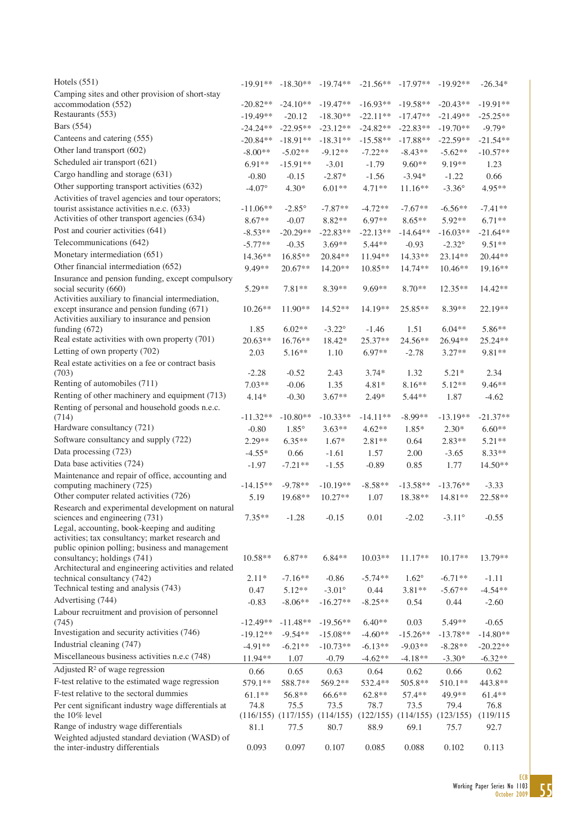| Hotels $(551)$                                                                                                                                                                     | $-19.91**$       | $-18.30**$      | $-19.74**$                          | $-21.56**$     | $-17.97**$                          | $-19.92**$      | $-26.34*$        |
|------------------------------------------------------------------------------------------------------------------------------------------------------------------------------------|------------------|-----------------|-------------------------------------|----------------|-------------------------------------|-----------------|------------------|
| Camping sites and other provision of short-stay<br>accommodation (552)                                                                                                             | $-20.82**$       | $-24.10**$      | $-19.47**$                          | $-16.93**$     | $-19.58**$                          | $-20.43**$      | $-19.91**$       |
| Restaurants (553)                                                                                                                                                                  | $-19.49**$       | $-20.12$        | $-18.30**$                          | $-22.11**$     | $-17.47**$                          | $-21.49**$      | $-25.25**$       |
| <b>Bars</b> (554)                                                                                                                                                                  | $-24.24**$       | $-22.95**$      | $-23.12**$                          | $-24.82**$     | $-22.83**$                          | $-19.70**$      | $-9.79*$         |
| Canteens and catering (555)                                                                                                                                                        | $-20.84**$       | $-18.91**$      | $-18.31**$                          | $-15.58**$     | $-17.88**$                          | $-22.59**$      | $-21.54**$       |
| Other land transport (602)                                                                                                                                                         | $-8.00**$        | $-5.02**$       | $-9.12**$                           | $-7.22**$      | $-8.43**$                           | $-5.62**$       | $-10.57**$       |
| Scheduled air transport (621)                                                                                                                                                      | $6.91**$         | $-15.91**$      | $-3.01$                             | $-1.79$        | $9.60**$                            | 9.19**          | 1.23             |
| Cargo handling and storage (631)                                                                                                                                                   | $-0.80$          | $-0.15$         | $-2.87*$                            | $-1.56$        | $-3.94*$                            | $-1.22$         | 0.66             |
| Other supporting transport activities (632)                                                                                                                                        | $-4.07^{\circ}$  | $4.30*$         | $6.01**$                            | $4.71**$       | $11.16**$                           | $-3.36^{\circ}$ | 4.95**           |
| Activities of travel agencies and tour operators;                                                                                                                                  |                  |                 |                                     |                |                                     |                 |                  |
| tourist assistance activities n.e.c. (633)                                                                                                                                         | $-11.06**$       | $-2.85^{\circ}$ | $-7.87**$                           | $-4.72**$      | $-7.67**$                           | $-6.56**$       | $-7.41**$        |
| Activities of other transport agencies (634)                                                                                                                                       | 8.67**           | $-0.07$         | $8.82**$                            | $6.97**$       | $8.65**$                            | 5.92**          | $6.71**$         |
| Post and courier activities (641)                                                                                                                                                  | $-8.53**$        | $-20.29**$      | $-22.83**$                          | $-22.13**$     | $-14.64**$                          | $-16.03**$      | $-21.64**$       |
| Telecommunications (642)                                                                                                                                                           | $-5.77**$        | $-0.35$         | $3.69**$                            | 5.44**         | $-0.93$                             | $-2.32^{\circ}$ | 9.51**           |
| Monetary intermediation (651)                                                                                                                                                      | 14.36**          | 16.85**         | 20.84**                             | 11.94**        | $14.33**$                           | 23.14**         | 20.44**          |
| Other financial intermediation (652)                                                                                                                                               | 9.49**           | $20.67**$       | 14.20**                             | 10.85**        | 14.74**                             | 10.46**         | 19.16**          |
| Insurance and pension funding, except compulsory<br>social security (660)                                                                                                          | 5.29**           | 7.81**          | 8.39**                              | 9.69**         | $8.70**$                            | 12.35**         | 14.42**          |
| Activities auxiliary to financial intermediation,<br>except insurance and pension funding (671)                                                                                    | $10.26**$        | 11.90**         | 14.52**                             | 14.19**        | 25.85**                             | 8.39**          | 22.19**          |
| Activities auxiliary to insurance and pension<br>funding (672)                                                                                                                     | 1.85             | $6.02**$        | $-3.22^{\circ}$                     | $-1.46$        | 1.51                                | $6.04**$        | 5.86**           |
| Real estate activities with own property (701)                                                                                                                                     | $20.63**$        | 16.76**         | 18.42*                              | 25.37**        | 24.56**                             | 26.94**         | 25.24**          |
| Letting of own property (702)                                                                                                                                                      | 2.03             | 5.16**          | 1.10                                | 6.97**         | $-2.78$                             | $3.27**$        | 9.81**           |
| Real estate activities on a fee or contract basis<br>(703)                                                                                                                         | $-2.28$          | $-0.52$         | 2.43                                | $3.74*$        | 1.32                                | $5.21*$         | 2.34             |
| Renting of automobiles (711)                                                                                                                                                       | $7.03**$         | $-0.06$         | 1.35                                | $4.81*$        | $8.16**$                            | 5.12**          | 9.46**           |
| Renting of other machinery and equipment (713)                                                                                                                                     | $4.14*$          | $-0.30$         | $3.67**$                            | 2.49*          | 5.44**                              | 1.87            | $-4.62$          |
| Renting of personal and household goods n.e.c.<br>(714)                                                                                                                            | $-11.32**$       | $-10.80**$      | $-10.33**$                          | $-14.11**$     | $-8.99**$                           | $-13.19**$      | $-21.37**$       |
| Hardware consultancy (721)                                                                                                                                                         | $-0.80$          | $1.85^\circ$    | $3.63**$                            | $4.62**$       | 1.85*                               | $2.30*$         | $6.60**$         |
| Software consultancy and supply (722)                                                                                                                                              | 2.29**           | $6.35**$        | $1.67*$                             | $2.81**$       | 0.64                                | $2.83**$        | $5.21**$         |
| Data processing (723)                                                                                                                                                              | $-4.55*$         | 0.66            | $-1.61$                             | 1.57           | 2.00                                | $-3.65$         | 8.33**           |
| Data base activities (724)                                                                                                                                                         | $-1.97$          | $-7.21**$       | $-1.55$                             | $-0.89$        | 0.85                                | 1.77            | 14.50**          |
| Maintenance and repair of office, accounting and                                                                                                                                   |                  |                 |                                     |                |                                     |                 |                  |
| computing machinery (725)                                                                                                                                                          | $-14.15**$       | $-9.78**$       | $-10.19**$                          | $-8.58**$      | $-13.58**$                          | $-13.76**$      | $-3.33$          |
| Other computer related activities (726)                                                                                                                                            | 5.19             | 19.68**         | 10.27**                             | 1.07           | 18.38**                             | $14.81**$       | 22.58**          |
| Research and experimental development on natural<br>sciences and engineering (731)                                                                                                 | 7.35**           | $-1.28$         | $-0.15$                             | 0.01           | $-2.02$                             | $-3.11^{\circ}$ | $-0.55$          |
| Legal, accounting, book-keeping and auditing<br>activities; tax consultancy; market research and<br>public opinion polling; business and management<br>consultancy; holdings (741) | 10.58**          | $6.87**$        | $6.84**$                            | $10.03**$      | $11.17**$                           | $10.17**$       | 13.79**          |
| Architectural and engineering activities and related                                                                                                                               |                  |                 |                                     |                |                                     |                 |                  |
| technical consultancy (742)                                                                                                                                                        | $2.11*$          | $-7.16**$       | $-0.86$                             | $-5.74**$      | $1.62^{\circ}$                      | $-6.71**$       | $-1.11$          |
| Technical testing and analysis (743)                                                                                                                                               | 0.47             | $5.12**$        | $-3.01^{\circ}$                     | 0.44           | 3.81**                              | $-5.67**$       | $-4.54**$        |
| Advertising (744)                                                                                                                                                                  | $-0.83$          | $-8.06**$       | $-16.27**$                          | $-8.25**$      | 0.54                                | 0.44            | $-2.60$          |
| Labour recruitment and provision of personnel                                                                                                                                      |                  |                 |                                     |                |                                     |                 |                  |
| (745)<br>Investigation and security activities (746)                                                                                                                               | $-12.49**$       | $-11.48**$      | $-19.56**$                          | $6.40**$       | 0.03                                | 5.49**          | $-0.65$          |
| Industrial cleaning (747)                                                                                                                                                          | $-19.12**$       | $-9.54**$       | $-15.08**$                          | $-4.60**$      | $-15.26**$                          | $-13.78**$      | $-14.80**$       |
| Miscellaneous business activities n.e.c (748)                                                                                                                                      | $-4.91**$        | $-6.21**$       | $-10.73**$                          | $-6.13**$      | $-9.03**$                           | $-8.28**$       | $-20.22**$       |
| Adjusted R <sup>2</sup> of wage regression                                                                                                                                         | 11.94**          | 1.07            | $-0.79$                             | $-4.62**$      | $-4.18**$                           | $-3.30*$        | $-6.32**$        |
| F-test relative to the estimated wage regression                                                                                                                                   | 0.66             | 0.65            | 0.63                                | 0.64           | 0.62                                | 0.66            | 0.62             |
| F-test relative to the sectoral dummies                                                                                                                                            | 579.1**          | 588.7**         | 569.2**                             | 532.4**        | 505.8**                             | $510.1**$       | 443.8**          |
| Per cent significant industry wage differentials at                                                                                                                                | $61.1**$<br>74.8 | 56.8**<br>75.5  | 66.6**<br>73.5                      | 62.8**<br>78.7 | 57.4**<br>73.5                      | 49.9**<br>79.4  | $61.4**$<br>76.8 |
| the 10% level                                                                                                                                                                      |                  |                 | $(116/155)$ $(117/155)$ $(114/155)$ |                | $(122/155)$ $(114/155)$ $(123/155)$ |                 | (119/115         |
| Range of industry wage differentials                                                                                                                                               | 81.1             | 77.5            | 80.7                                | 88.9           | 69.1                                | 75.7            | 92.7             |
| Weighted adjusted standard deviation (WASD) of                                                                                                                                     |                  |                 |                                     |                |                                     |                 |                  |
| the inter-industry differentials                                                                                                                                                   | 0.093            | 0.097           | 0.107                               | 0.085          | 0.088                               | 0.102           | 0.113            |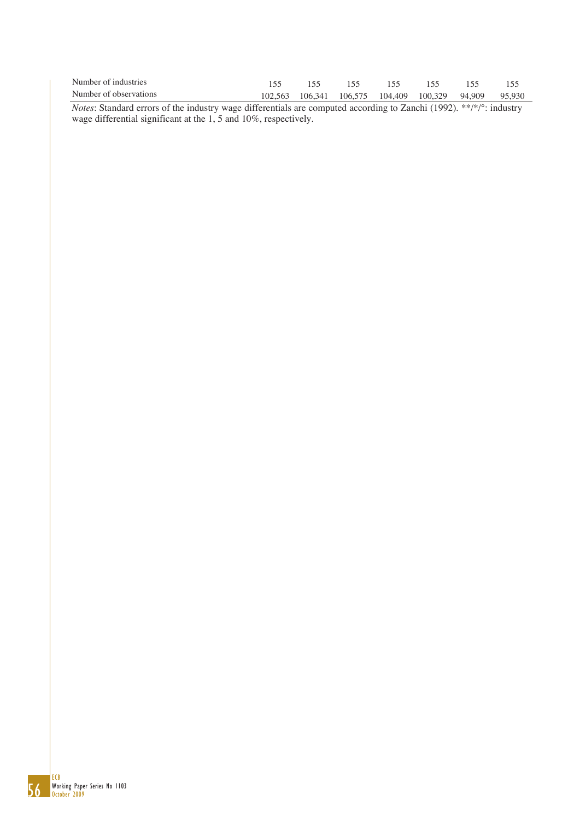| Number of industries   | 155 | 155                                                   | 155 155 |  |
|------------------------|-----|-------------------------------------------------------|---------|--|
| Number of observations |     | 102.563 106.341 106.575 104.409 100.329 94.909 95.930 |         |  |

*Notes*: Standard errors of the industry wage differentials are computed according to Zanchi (1992). \*\*/\*/°: industry wage differential significant at the 1, 5 and 10%, respectively.

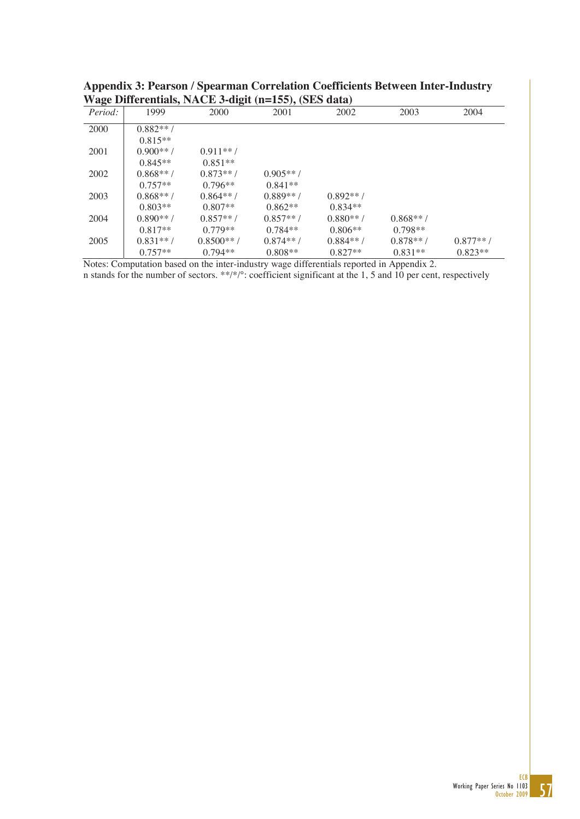|         | 1999        | $\frac{1}{2}$ content environg the content $\frac{1}{2}$ and $\frac{1}{2}$ and $\frac{1}{2}$ and $\frac{1}{2}$ |            |             |             |            |
|---------|-------------|----------------------------------------------------------------------------------------------------------------|------------|-------------|-------------|------------|
| Period: |             | 2000                                                                                                           | 2001       | 2002        | 2003        | 2004       |
| 2000    | $0.882**$   |                                                                                                                |            |             |             |            |
|         | $0.815**$   |                                                                                                                |            |             |             |            |
| 2001    | $0.900**$ / | $0.911**/$                                                                                                     |            |             |             |            |
|         | $0.845**$   | $0.851**$                                                                                                      |            |             |             |            |
| 2002    | $0.868**$ / | $0.873**$                                                                                                      | $0.905**$  |             |             |            |
|         | $0.757**$   | $0.796**$                                                                                                      | $0.841**$  |             |             |            |
| 2003    | $0.868**$ / | $0.864**$                                                                                                      | $0.889**$  | $0.892**$   |             |            |
|         | $0.803**$   | $0.807**$                                                                                                      | $0.862**$  | $0.834**$   |             |            |
| 2004    | $0.890**$   | $0.857**/$                                                                                                     | $0.857**/$ | $0.880**$ / | $0.868**$   |            |
|         | $0.817**$   | $0.779**$                                                                                                      | $0.784**$  | $0.806**$   | $0.798**$   |            |
| 2005    | $0.831**/$  | $0.8500**$ /                                                                                                   | $0.874**/$ | $0.884**$ / | $0.878**$ / | $0.877**/$ |
|         | $0.757**$   | $0.794**$                                                                                                      | $0.808**$  | $0.827**$   | $0.831**$   | $0.823**$  |

**Appendix 3: Pearson / Spearman Correlation Coefficients Between Inter-Industry Wage Differentials, NACE 3-digit (n=155), (SES data)** 

Notes: Computation based on the inter-industry wage differentials reported in Appendix 2.

n stands for the number of sectors. \*\*/\*/°: coefficient significant at the 1, 5 and 10 per cent, respectively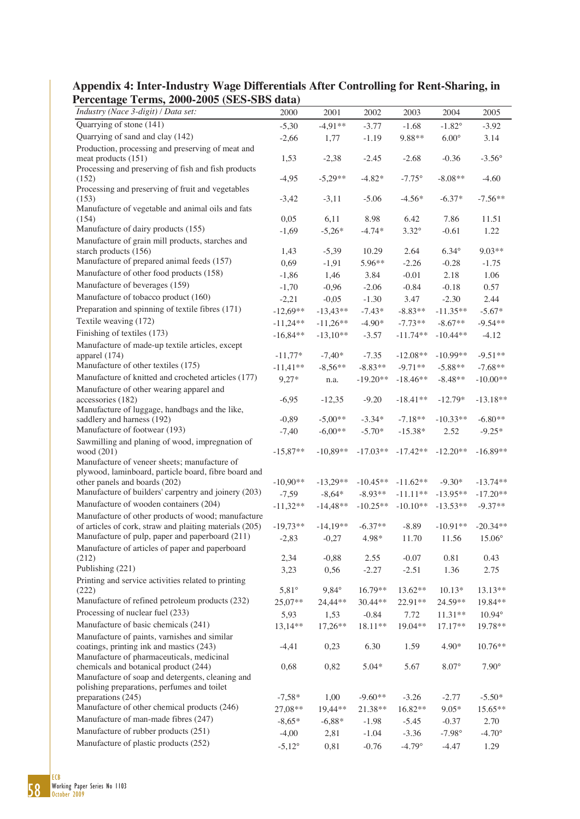| 1 ercentage Terms, 2000-2003 (SES-SDS data)                                                                   |                 |              |            |                 |                 |                 |
|---------------------------------------------------------------------------------------------------------------|-----------------|--------------|------------|-----------------|-----------------|-----------------|
| Industry (Nace 3-digit) / Data set:                                                                           | 2000            | 2001         | 2002       | 2003            | 2004            | 2005            |
| Quarrying of stone (141)                                                                                      | $-5,30$         | $-4.91**$    | $-3.77$    | $-1.68$         | $-1.82^{\circ}$ | $-3.92$         |
| Quarrying of sand and clay (142)                                                                              | $-2,66$         | 1,77         | $-1.19$    | 9.88**          | $6.00^\circ$    | 3.14            |
| Production, processing and preserving of meat and<br>meat products (151)                                      | 1,53            | $-2,38$      | $-2.45$    | $-2.68$         | $-0.36$         | $-3.56^{\circ}$ |
| Processing and preserving of fish and fish products<br>(152)                                                  | $-4,95$         | $-5,29**$    | $-4.82*$   | $-7.75^{\circ}$ | $-8.08**$       | $-4.60$         |
| Processing and preserving of fruit and vegetables<br>(153)                                                    | $-3,42$         | $-3,11$      | $-5.06$    | $-4.56*$        | $-6.37*$        | $-7.56**$       |
| Manufacture of vegetable and animal oils and fats<br>(154)                                                    | 0,05            | 6,11         | 8.98       | 6.42            | 7.86            | 11.51           |
| Manufacture of dairy products (155)                                                                           | $-1,69$         | $-5,26*$     | $-4.74*$   | $3.32^\circ$    | $-0.61$         | 1.22            |
| Manufacture of grain mill products, starches and                                                              |                 |              |            |                 |                 |                 |
| starch products (156)                                                                                         | 1,43            | $-5,39$      | 10.29      | 2.64            | $6.34^\circ$    | $9.03**$        |
| Manufacture of prepared animal feeds (157)                                                                    | 0,69            | $-1,91$      | 5.96**     | $-2.26$         | $-0.28$         | $-1.75$         |
| Manufacture of other food products (158)                                                                      | $-1,86$         | 1,46         | 3.84       | $-0.01$         | 2.18            | 1.06            |
| Manufacture of beverages (159)                                                                                | $-1,70$         | $-0,96$      | $-2.06$    | $-0.84$         | $-0.18$         | 0.57            |
| Manufacture of tobacco product (160)                                                                          | $-2,21$         | $-0,05$      | $-1.30$    | 3.47            | $-2.30$         | 2.44            |
| Preparation and spinning of textile fibres (171)                                                              | $-12,69**$      | $-13,43**$   | $-7.43*$   | $-8.83**$       | $-11.35**$      | $-5.67*$        |
| Textile weaving (172)                                                                                         | $-11,24**$      | $-11,26**$   | $-4.90*$   | $-7.73**$       | $-8.67**$       | $-9.54**$       |
| Finishing of textiles (173)                                                                                   | $-16,84**$      | $-13,10**$   | $-3.57$    | $-11.74**$      | $-10.44**$      | $-4.12$         |
| Manufacture of made-up textile articles, except<br>apparel (174)                                              | $-11,77*$       | $-7,40*$     | $-7.35$    | $-12.08**$      | $-10.99**$      | $-9.51**$       |
| Manufacture of other textiles (175)                                                                           | $-11,41**$      | $-8,56**$    | $-8.83**$  | $-9.71**$       | $-5.88**$       | $-7.68**$       |
| Manufacture of knitted and crocheted articles (177)                                                           | $9,27*$         | n.a.         | $-19.20**$ | $-18.46**$      | $-8.48**$       | $-10.00**$      |
| Manufacture of other wearing apparel and                                                                      |                 |              |            |                 |                 |                 |
| accessories (182)<br>Manufacture of luggage, handbags and the like,                                           | $-6,95$         | $-12,35$     | $-9.20$    | $-18.41**$      | $-12.79*$       | $-13.18**$      |
| saddlery and harness (192)                                                                                    | $-0,89$         | $-5,00**$    | $-3.34*$   | $-7.18**$       | $-10.33**$      | $-6.80**$       |
| Manufacture of footwear (193)                                                                                 | $-7,40$         | $-6,00**$    | $-5.70*$   | $-15.38*$       | 2.52            | $-9.25*$        |
| Sawmilling and planing of wood, impregnation of<br>wood (201)                                                 | $-15,87**$      | $-10,89**$   | $-17.03**$ | $-17.42**$      | $-12.20**$      | $-16.89**$      |
| Manufacture of veneer sheets; manufacture of<br>plywood, laminboard, particle board, fibre board and          |                 |              |            |                 |                 |                 |
| other panels and boards (202)                                                                                 | $-10,90**$      | $-13,29**$   | $-10.45**$ | $-11.62**$      | $-9.30*$        | $-13.74**$      |
| Manufacture of builders' carpentry and joinery (203)                                                          | $-7,59$         | $-8,64*$     | $-8.93**$  | $-11.11**$      | $-13.95**$      | $-17.20**$      |
| Manufacture of wooden containers (204)                                                                        | $-11,32**$      | $-14,48**$   | $-10.25**$ | $-10.10**$      | $-13.53**$      | $-9.37**$       |
| Manufacture of other products of wood; manufacture<br>of articles of cork, straw and plaiting materials (205) | $-19,73**$      | $-14,19**$   | $-6.37**$  | $-8.89$         | $-10.91**$      | $-20.34**$      |
| Manufacture of pulp, paper and paperboard (211)                                                               | $-2,83$         | $-0,27$      | 4.98*      | 11.70           | 11.56           | $15.06^{\circ}$ |
| Manufacture of articles of paper and paperboard                                                               |                 |              |            |                 |                 |                 |
| (212)                                                                                                         | 2,34            | $-0,88$      | 2.55       | $-0.07$         | 0.81            | 0.43            |
| Publishing (221)<br>Printing and service activities related to printing                                       | 3,23            | 0,56         | $-2.27$    | $-2.51$         | 1.36            | 2.75            |
| (222)                                                                                                         | $5,81^\circ$    | $9,84^\circ$ | 16.79**    | $13.62**$       | $10.13*$        | $13.13**$       |
| Manufacture of refined petroleum products (232)                                                               | 25,07**         | 24,44**      | 30.44**    | 22.91**         | 24.59**         | 19.84**         |
| Processing of nuclear fuel (233)                                                                              | 5,93            | 1,53         | $-0.84$    | 7.72            | 11.31**         | $10.94^\circ$   |
| Manufacture of basic chemicals (241)                                                                          | 13,14**         | 17,26**      | 18.11**    | 19.04**         | 17.17**         | 19.78**         |
| Manufacture of paints, varnishes and similar                                                                  |                 |              |            |                 |                 |                 |
| coatings, printing ink and mastics (243)<br>Manufacture of pharmaceuticals, medicinal                         | $-4,41$         | 0,23         | 6.30       | 1.59            | $4.90*$         | 10.76**         |
| chemicals and botanical product (244)                                                                         | 0,68            | 0,82         | $5.04*$    | 5.67            | $8.07^\circ$    | $7.90^\circ$    |
| Manufacture of soap and detergents, cleaning and<br>polishing preparations, perfumes and toilet               |                 |              |            |                 |                 |                 |
| preparations (245)                                                                                            | $-7,58*$        | 1,00         | $-9.60**$  | $-3.26$         | $-2.77$         | $-5.50*$        |
| Manufacture of other chemical products (246)                                                                  | 27,08**         | 19,44**      | 21.38**    | 16.82**         | $9.05*$         | 15.65**         |
| Manufacture of man-made fibres (247)                                                                          | $-8,65*$        | $-6,88*$     | $-1.98$    | $-5.45$         | $-0.37$         | 2.70            |
| Manufacture of rubber products (251)                                                                          | $-4,00$         | 2,81         | $-1.04$    | $-3.36$         | $-7.98^\circ$   | $-4.70^{\circ}$ |
| Manufacture of plastic products (252)                                                                         | $-5,12^{\circ}$ | 0,81         | $-0.76$    | $-4.79^{\circ}$ | $-4.47$         | 1.29            |

**Appendix 4: Inter-Industry Wage Differentials After Controlling for Rent-Sharing, in Percentage Terms, 2000-2005 (SES-SBS data)**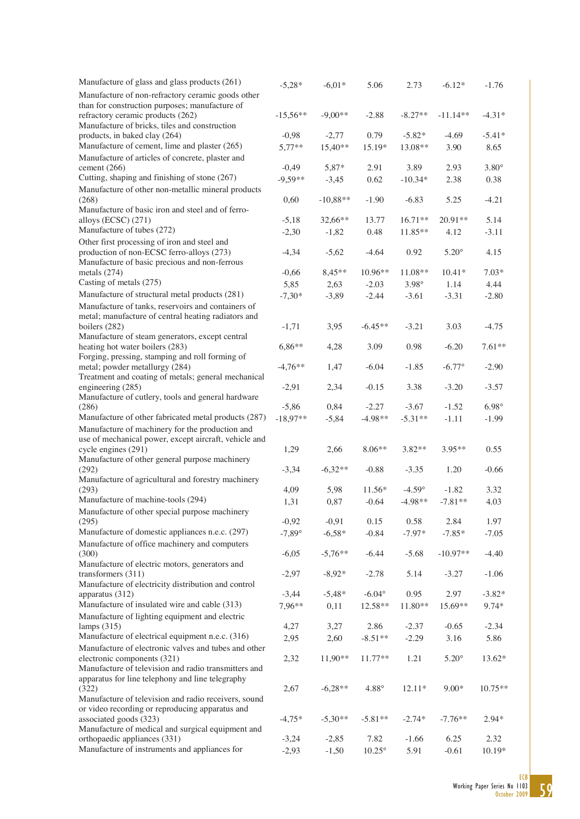| Manufacture of glass and glass products (261)                                                             | $-5,28*$        | $-6.01*$   | 5.06            | 2.73            | $-6.12*$     | $-1.76$      |
|-----------------------------------------------------------------------------------------------------------|-----------------|------------|-----------------|-----------------|--------------|--------------|
| Manufacture of non-refractory ceramic goods other<br>than for construction purposes; manufacture of       |                 |            |                 |                 |              |              |
| refractory ceramic products (262)<br>Manufacture of bricks, tiles and construction                        | $-15,56**$      | $-9.00**$  | $-2.88$         | $-8.27**$       | $-11.14**$   | $-4.31*$     |
| products, in baked clay (264)                                                                             | $-0,98$         | $-2,77$    | 0.79            | $-5.82*$        | $-4.69$      | $-5.41*$     |
| Manufacture of cement, lime and plaster (265)<br>Manufacture of articles of concrete, plaster and         | $5,77**$        | 15,40**    | 15.19*          | 13.08**         | 3.90         | 8.65         |
| cement $(266)$                                                                                            | $-0,49$         | 5,87*      | 2.91            | 3.89            | 2.93         | $3.80^\circ$ |
| Cutting, shaping and finishing of stone (267)                                                             | $-9,59**$       | $-3,45$    | 0.62            | $-10.34*$       | 2.38         | 0.38         |
| Manufacture of other non-metallic mineral products                                                        |                 |            |                 |                 |              |              |
| (268)<br>Manufacture of basic iron and steel and of ferro-                                                | 0,60            | $-10,88**$ | $-1.90$         | $-6.83$         | 5.25         | $-4.21$      |
| alloys (ECSC) (271)                                                                                       | $-5,18$         | 32,66**    | 13.77           | 16.71**         | 20.91**      | 5.14         |
| Manufacture of tubes (272)                                                                                | $-2,30$         | $-1,82$    | 0.48            | 11.85**         | 4.12         | $-3.11$      |
| Other first processing of iron and steel and<br>production of non-ECSC ferro-alloys (273)                 | $-4,34$         | $-5,62$    | $-4.64$         | 0.92            | $5.20^\circ$ | 4.15         |
| Manufacture of basic precious and non-ferrous                                                             |                 |            |                 |                 |              |              |
| metals $(274)$                                                                                            | $-0,66$         | 8,45**     | $10.96**$       | 11.08**         | $10.41*$     | $7.03*$      |
| Casting of metals (275)                                                                                   | 5,85            | 2,63       | $-2.03$         | $3.98^\circ$    | 1.14         | 4.44         |
| Manufacture of structural metal products (281)                                                            | $-7,30*$        | $-3,89$    | $-2.44$         | $-3.61$         | $-3.31$      | $-2.80$      |
| Manufacture of tanks, reservoirs and containers of<br>metal; manufacture of central heating radiators and |                 |            |                 |                 |              |              |
| boilers (282)<br>Manufacture of steam generators, except central                                          | $-1,71$         | 3,95       | $-6.45**$       | $-3.21$         | 3.03         | $-4.75$      |
| heating hot water boilers (283)<br>Forging, pressing, stamping and roll forming of                        | $6,86**$        | 4,28       | 3.09            | 0.98            | $-6.20$      | $7.61**$     |
| metal; powder metallurgy (284)<br>Treatment and coating of metals; general mechanical                     | $-4,76**$       | 1,47       | $-6.04$         | $-1.85$         | $-6.77$ °    | $-2.90$      |
| engineering (285)<br>Manufacture of cutlery, tools and general hardware                                   | $-2,91$         | 2,34       | $-0.15$         | 3.38            | $-3.20$      | $-3.57$      |
| (286)                                                                                                     | $-5,86$         | 0,84       | $-2.27$         | $-3.67$         | $-1.52$      | $6.98^\circ$ |
| Manufacture of other fabricated metal products (287)                                                      | $-18,97**$      | $-5,84$    | $-4.98**$       | $-5.31**$       | $-1.11$      | $-1.99$      |
| Manufacture of machinery for the production and                                                           |                 |            |                 |                 |              |              |
| use of mechanical power, except aircraft, vehicle and<br>cycle engines (291)                              | 1,29            | 2,66       | $8.06**$        | $3.82**$        | $3.95**$     | 0.55         |
| Manufacture of other general purpose machinery<br>(292)                                                   | $-3,34$         | $-6,32**$  | $-0.88$         | $-3.35$         | 1.20         | $-0.66$      |
| Manufacture of agricultural and forestry machinery                                                        |                 |            |                 |                 |              |              |
| (293)<br>Manufacture of machine-tools (294)                                                               | 4,09            | 5,98       | 11.56*          | $-4.59^{\circ}$ | $-1.82$      | 3.32         |
|                                                                                                           | 1,31            | 0,87       | $-0.64$         | $-4.98**$       | $-7.81**$    | 4.03         |
| Manufacture of other special purpose machinery<br>(295)                                                   | $-0,92$         | $-0,91$    | 0.15            | 0.58            | 2.84         | 1.97         |
| Manufacture of domestic appliances n.e.c. (297)                                                           | $-7,89^{\circ}$ | $-6,58*$   | $-0.84$         | $-7.97*$        | $-7.85*$     | $-7.05$      |
| Manufacture of office machinery and computers                                                             |                 |            |                 |                 |              |              |
| (300)<br>Manufacture of electric motors, generators and                                                   | $-6,05$         | $-5,76**$  | $-6.44$         | $-5.68$         | $-10.97**$   | $-4.40$      |
| transformers (311)                                                                                        | $-2,97$         | $-8,92*$   | $-2.78$         | 5.14            | $-3.27$      | $-1.06$      |
| Manufacture of electricity distribution and control<br>apparatus $(312)$                                  | $-3,44$         | $-5,48*$   | $-6.04^{\circ}$ | 0.95            | 2.97         | $-3.82*$     |
| Manufacture of insulated wire and cable (313)                                                             | 7,96**          |            | 12.58**         | 11.80**         | 15.69**      | 9.74*        |
| Manufacture of lighting equipment and electric                                                            |                 | 0,11       |                 |                 |              |              |
| lamps $(315)$                                                                                             | 4,27            | 3,27       | 2.86            | $-2.37$         | $-0.65$      | $-2.34$      |
| Manufacture of electrical equipment n.e.c. (316)                                                          | 2,95            | 2,60       | $-8.51**$       | $-2.29$         | 3.16         | 5.86         |
| Manufacture of electronic valves and tubes and other                                                      |                 |            |                 |                 |              |              |
| electronic components (321)<br>Manufacture of television and radio transmitters and                       | 2,32            | 11,90**    | $11.77**$       | 1.21            | $5.20^\circ$ | 13.62*       |
| apparatus for line telephony and line telegraphy                                                          |                 |            |                 |                 |              |              |
| (322)                                                                                                     | 2,67            | $-6,28**$  | $4.88^\circ$    | $12.11*$        | $9.00*$      | 10.75**      |
| Manufacture of television and radio receivers, sound                                                      |                 |            |                 |                 |              |              |
| or video recording or reproducing apparatus and<br>associated goods (323)                                 | $-4,75*$        | $-5,30**$  | $-5.81**$       | $-2.74*$        | $-7.76**$    | $2.94*$      |
| Manufacture of medical and surgical equipment and                                                         |                 |            |                 |                 |              |              |
| orthopaedic appliances (331)<br>Manufacture of instruments and appliances for                             | $-3,24$         | $-2,85$    | 7.82            | $-1.66$         | 6.25         | 2.32         |
|                                                                                                           | $-2,93$         | $-1,50$    | $10.25^{\circ}$ | 5.91            | $-0.61$      | 10.19*       |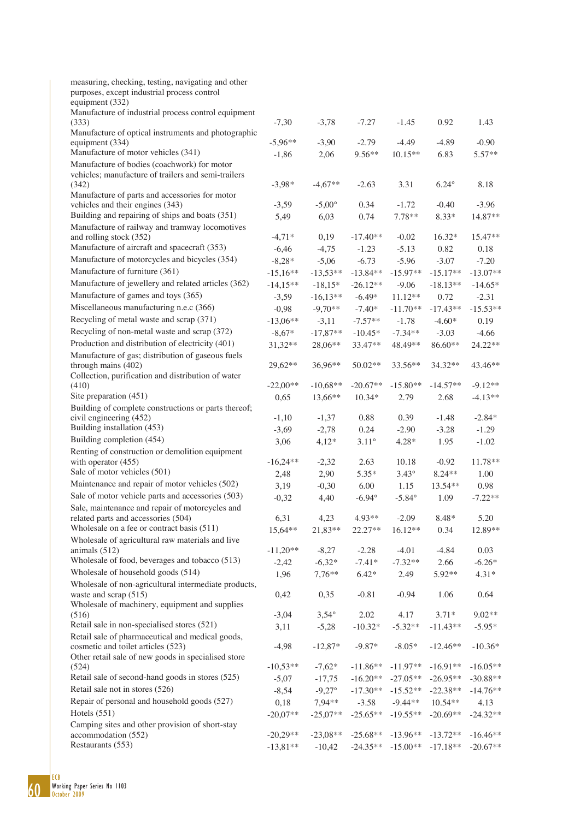| measuring, checking, testing, navigating and other<br>purposes, except industrial process control<br>equipment (332) |                 |                 |                 |                 |              |            |
|----------------------------------------------------------------------------------------------------------------------|-----------------|-----------------|-----------------|-----------------|--------------|------------|
| Manufacture of industrial process control equipment<br>(333)                                                         | $-7,30$         | $-3,78$         | $-7.27$         | $-1.45$         | 0.92         | 1.43       |
| Manufacture of optical instruments and photographic                                                                  |                 |                 |                 |                 |              |            |
| equipment (334)                                                                                                      | $-5,96**$       | $-3,90$         | $-2.79$         | $-4.49$         | $-4.89$      | $-0.90$    |
| Manufacture of motor vehicles (341)<br>Manufacture of bodies (coachwork) for motor                                   | $-1,86$         | 2,06            | $9.56**$        | $10.15**$       | 6.83         | 5.57**     |
| vehicles; manufacture of trailers and semi-trailers<br>(342)                                                         | $-3.98*$        | $-4,67**$       | $-2.63$         | 3.31            | $6.24^\circ$ | 8.18       |
| Manufacture of parts and accessories for motor                                                                       |                 |                 |                 |                 |              |            |
| vehicles and their engines (343)<br>Building and repairing of ships and boats (351)                                  | $-3,59$         | $-5,00^\circ$   | 0.34            | $-1.72$         | $-0.40$      | $-3.96$    |
| Manufacture of railway and tramway locomotives                                                                       | 5,49            | 6,03            | 0.74            | 7.78**          | 8.33*        | 14.87**    |
| and rolling stock (352)                                                                                              | $-4.71*$        | 0,19            | $-17.40**$      | $-0.02$         | $16.32*$     | 15.47**    |
| Manufacture of aircraft and spacecraft (353)                                                                         | $-6,46$         | $-4,75$         | $-1.23$         | $-5.13$         | 0.82         | 0.18       |
| Manufacture of motorcycles and bicycles (354)                                                                        | $-8,28*$        | $-5,06$         | $-6.73$         | $-5.96$         | $-3.07$      | $-7.20$    |
| Manufacture of furniture (361)                                                                                       | $-15,16**$      | $-13,53**$      | $-13.84**$      | $-15.97**$      | $-15.17**$   | $-13.07**$ |
| Manufacture of jewellery and related articles (362)                                                                  | $-14,15**$      | $-18,15*$       | $-26.12**$      | $-9.06$         | $-18.13**$   | $-14.65*$  |
| Manufacture of games and toys (365)                                                                                  | $-3,59$         | $-16,13**$      | $-6.49*$        | $11.12**$       | 0.72         | $-2.31$    |
| Miscellaneous manufacturing n.e.c (366)                                                                              | $-0.98$         | $-9,70**$       | $-7.40*$        | $-11.70**$      | $-17.43**$   | $-15.53**$ |
| Recycling of metal waste and scrap (371)                                                                             | $-13,06**$      | $-3,11$         | $-7.57**$       | $-1.78$         | $-4.60*$     | 0.19       |
| Recycling of non-metal waste and scrap (372)                                                                         | $-8,67*$        | $-17,87**$      | $-10.45*$       | $-7.34**$       | $-3.03$      | $-4.66$    |
| Production and distribution of electricity (401)                                                                     | 31,32**         | 28,06**         | 33.47**         | 48.49**         | 86.60**      | 24.22**    |
| Manufacture of gas; distribution of gaseous fuels                                                                    |                 |                 |                 |                 |              |            |
| through mains (402)<br>Collection, purification and distribution of water                                            | 29,62**         | 36,96**         | $50.02**$       | 33.56**         | 34.32**      | 43.46**    |
| (410)                                                                                                                | $-22.00**$      | $-10,68**$      | $-20.67**$      | $-15.80**$      | $-14.57**$   | $-9.12**$  |
| Site preparation (451)<br>Building of complete constructions or parts thereof;                                       | 0,65            | 13,66**         | $10.34*$        | 2.79            | 2.68         | $-4.13**$  |
| civil engineering (452)                                                                                              | $-1,10$         | $-1,37$         | 0.88            | 0.39            | $-1.48$      | $-2.84*$   |
| Building installation (453)                                                                                          | $-3,69$         | $-2,78$         | 0.24            | $-2.90$         | $-3.28$      | $-1.29$    |
| Building completion (454)                                                                                            | 3,06            | $4,12*$         | $3.11^\circ$    | $4.28*$         | 1.95         | $-1.02$    |
| Renting of construction or demolition equipment                                                                      |                 |                 |                 |                 |              |            |
| with operator (455)                                                                                                  | $-16,24**$      | $-2,32$         | 2.63            | 10.18           | $-0.92$      | 11.78**    |
| Sale of motor vehicles (501)                                                                                         | 2,48            | 2,90            | 5.35*           | $3.43^\circ$    | 8.24**       | 1.00       |
| Maintenance and repair of motor vehicles (502)                                                                       | 3,19            | $-0,30$         | 6.00            | 1.15            | $13.54**$    | 0.98       |
| Sale of motor vehicle parts and accessories (503)                                                                    | $-0,32$         | 4,40            | $-6.94^{\circ}$ | $-5.84^{\circ}$ | 1.09         | $-7.22**$  |
| Sale, maintenance and repair of motorcycles and                                                                      |                 |                 |                 |                 |              |            |
| related parts and accessories (504)<br>Wholesale on a fee or contract basis (511)                                    | 6,31<br>15,64** | 4,23            | 4.93**          | $-2.09$         | 8.48*        | 5.20       |
| Wholesale of agricultural raw materials and live                                                                     |                 | 21,83**         | 22.27**         | 16.12**         | 0.34         | 12.89**    |
| animals $(512)$                                                                                                      | $-11,20**$      | $-8,27$         | $-2.28$         | $-4.01$         | $-4.84$      | 0.03       |
| Wholesale of food, beverages and tobacco (513)                                                                       | $-2,42$         | $-6,32*$        | $-7.41*$        | $-7.32**$       | 2.66         | $-6.26*$   |
| Wholesale of household goods (514)                                                                                   | 1,96            | $7,76**$        | $6.42*$         | 2.49            | 5.92**       | $4.31*$    |
| Wholesale of non-agricultural intermediate products,<br>waste and scrap $(515)$                                      | 0,42            | 0,35            | $-0.81$         | $-0.94$         | 1.06         | 0.64       |
| Wholesale of machinery, equipment and supplies                                                                       |                 |                 |                 |                 |              |            |
| (516)<br>Retail sale in non-specialised stores (521)                                                                 | $-3,04$         | $3,54^{\circ}$  | 2.02            | 4.17            | $3.71*$      | $9.02**$   |
| Retail sale of pharmaceutical and medical goods,                                                                     | 3,11            | $-5,28$         | $-10.32*$       | $-5.32**$       | $-11.43**$   | $-5.95*$   |
| cosmetic and toilet articles (523)<br>Other retail sale of new goods in specialised store                            | $-4,98$         | $-12,87*$       | $-9.87*$        | $-8.05*$        | $-12.46**$   | $-10.36*$  |
| (524)                                                                                                                | $-10,53**$      | $-7,62*$        | $-11.86**$      | $-11.97**$      | $-16.91**$   | $-16.05**$ |
| Retail sale of second-hand goods in stores (525)                                                                     | $-5,07$         | $-17,75$        | $-16.20**$      | $-27.05**$      | $-26.95**$   | $-30.88**$ |
| Retail sale not in stores (526)                                                                                      | $-8,54$         | $-9,27^{\circ}$ | $-17.30**$      | $-15.52**$      | $-22.38**$   | $-14.76**$ |
| Repair of personal and household goods (527)                                                                         | 0,18            | 7,94**          | $-3.58$         | $-9.44**$       | $10.54**$    | 4.13       |
| Hotels (551)                                                                                                         | $-20,07**$      | $-25,07**$      | $-25.65**$      | $-19.55**$      | $-20.69**$   | $-24.32**$ |
| Camping sites and other provision of short-stay                                                                      |                 |                 |                 |                 |              |            |
| accommodation (552)                                                                                                  | $-20,29**$      | $-23,08**$      | $-25.68**$      | $-13.96**$      | $-13.72**$   | $-16.46**$ |
| Restaurants (553)                                                                                                    | $-13,81**$      | $-10,42$        | $-24.35**$      | $-15.00**$      | $-17.18**$   | $-20.67**$ |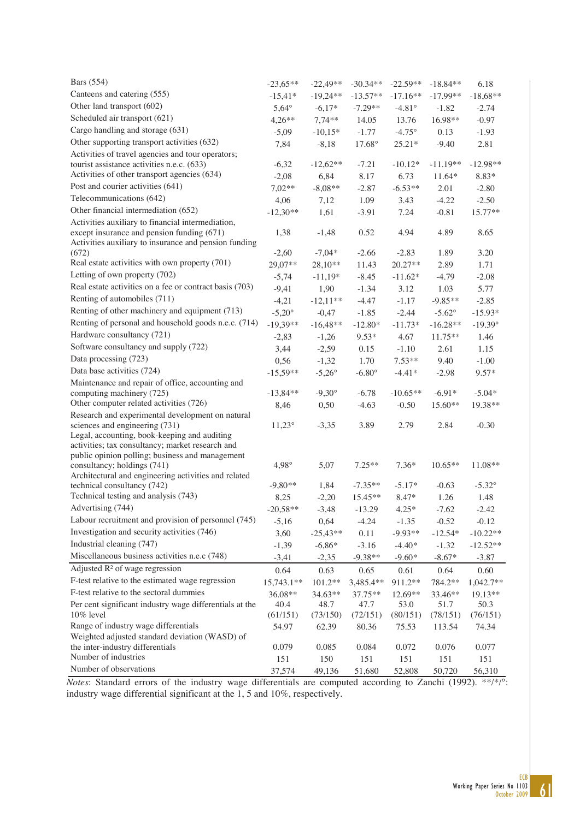| Bars (554)                                                                                                                             | $-23,65**$      | $-22,49**$        | $-30.34**$      | $-22.59**$      | $-18.84**$      | 6.18              |
|----------------------------------------------------------------------------------------------------------------------------------------|-----------------|-------------------|-----------------|-----------------|-----------------|-------------------|
| Canteens and catering (555)                                                                                                            | $-15,41*$       | $-19,24**$        | $-13.57**$      | $-17.16**$      | $-17.99**$      | $-18,68**$        |
| Other land transport (602)                                                                                                             | $5,64^\circ$    | $-6,17*$          | $-7.29**$       | $-4.81^{\circ}$ | $-1.82$         | $-2.74$           |
| Scheduled air transport (621)                                                                                                          | $4,26**$        | $7,74**$          | 14.05           | 13.76           | 16.98**         | $-0.97$           |
| Cargo handling and storage (631)                                                                                                       | $-5,09$         | $-10,15*$         | $-1.77$         | $-4.75^{\circ}$ | 0.13            | $-1.93$           |
| Other supporting transport activities (632)                                                                                            | 7,84            | $-8,18$           | 17.68°          | 25.21*          | $-9.40$         | 2.81              |
| Activities of travel agencies and tour operators;                                                                                      |                 |                   |                 |                 |                 |                   |
| tourist assistance activities n.e.c. (633)                                                                                             | $-6,32$         | $-12,62**$        | $-7.21$         | $-10.12*$       | $-11.19**$      | $-12.98**$        |
| Activities of other transport agencies (634)                                                                                           | $-2,08$         | 6,84              | 8.17            | 6.73            | 11.64*          | 8.83*             |
| Post and courier activities (641)                                                                                                      | $7,02**$        | $-8,08**$         | $-2.87$         | $-6.53**$       | 2.01            | $-2.80$           |
| Telecommunications (642)                                                                                                               | 4,06            | 7,12              | 1.09            | 3.43            | $-4.22$         | $-2.50$           |
| Other financial intermediation (652)                                                                                                   | $-12,30**$      | 1,61              | $-3.91$         | 7.24            | $-0.81$         | 15.77**           |
| Activities auxiliary to financial intermediation,                                                                                      |                 |                   |                 |                 |                 |                   |
| except insurance and pension funding (671)<br>Activities auxiliary to insurance and pension funding                                    | 1,38            | $-1,48$           | 0.52            | 4.94            | 4.89            | 8.65              |
| (672)                                                                                                                                  | $-2,60$         | $-7,04*$          | $-2.66$         | $-2.83$         | 1.89            | 3.20              |
| Real estate activities with own property (701)                                                                                         | 29,07**         | 28,10**           | 11.43           | 20.27**         | 2.89            | 1.71              |
| Letting of own property (702)                                                                                                          | $-5,74$         | $-11,19*$         | $-8.45$         | $-11.62*$       | $-4.79$         | $-2.08$           |
| Real estate activities on a fee or contract basis (703)                                                                                | $-9,41$         | 1,90              | $-1.34$         | 3.12            | 1.03            | 5.77              |
| Renting of automobiles (711)                                                                                                           | $-4,21$         | $-12,11**$        | $-4.47$         | $-1.17$         | $-9.85**$       | $-2.85$           |
| Renting of other machinery and equipment (713)                                                                                         | $-5,20^{\circ}$ | $-0,47$           | $-1.85$         | $-2.44$         | $-5.62^{\circ}$ | $-15.93*$         |
| Renting of personal and household goods n.e.c. (714)                                                                                   | $-19,39**$      | $-16,48**$        | $-12.80*$       | $-11.73*$       | $-16.28**$      | $-19.39^{\circ}$  |
| Hardware consultancy (721)                                                                                                             | $-2.83$         | $-1,26$           | $9.53*$         | 4.67            | 11.75**         | 1.46              |
| Software consultancy and supply (722)                                                                                                  | 3,44            | $-2,59$           | 0.15            | $-1.10$         | 2.61            | 1.15              |
| Data processing (723)                                                                                                                  | 0,56            | $-1,32$           | 1.70            | $7.53**$        | 9.40            | $-1.00$           |
| Data base activities (724)                                                                                                             | $-15,59**$      | $-5,26^{\circ}$   | $-6.80^\circ$   | $-4.41*$        | $-2.98$         | 9.57*             |
| Maintenance and repair of office, accounting and                                                                                       |                 |                   |                 |                 |                 |                   |
| computing machinery (725)                                                                                                              | $-13,84**$      | $-9,30^{\circ}$   | $-6.78$         | $-10.65**$      | $-6.91*$        | $-5.04*$          |
| Other computer related activities (726)                                                                                                | 8,46            | 0,50              | $-4.63$         | $-0.50$         | $15.60**$       | 19.38**           |
| Research and experimental development on natural<br>sciences and engineering (731)                                                     | $11,23^{\circ}$ | $-3,35$           | 3.89            | 2.79            | 2.84            | $-0.30$           |
| Legal, accounting, book-keeping and auditing<br>activities; tax consultancy; market research and                                       |                 |                   |                 |                 |                 |                   |
| public opinion polling; business and management<br>consultancy; holdings (741)<br>Architectural and engineering activities and related | $4,98^\circ$    | 5,07              | $7.25**$        | $7.36*$         | $10.65**$       | 11.08**           |
| technical consultancy (742)                                                                                                            | $-9,80**$       | 1,84              | $-7.35**$       | $-5.17*$        | $-0.63$         | $-5.32^{\circ}$   |
| Technical testing and analysis (743)                                                                                                   | 8,25            | $-2,20$           | 15.45**         | 8.47*           | 1.26            | 1.48              |
| Advertising (744)                                                                                                                      | $-20,58**$      | $-3,48$           | $-13.29$        | $4.25*$         | $-7.62$         | $-2.42$           |
| Labour recruitment and provision of personnel (745)                                                                                    | $-5,16$         | 0,64              | $-4.24$         | $-1.35$         | $-0.52$         | $-0.12$           |
| Investigation and security activities (746)                                                                                            | 3,60            | $-25,43**$        | 0.11            | $-9.93**$       | $-12.54*$       | $-10.22**$        |
| Industrial cleaning (747)                                                                                                              | $-1,39$         | $-6,86*$          | $-3.16$         | $-4.40*$        | $-1.32$         | $-12.52**$        |
| Miscellaneous business activities n.e.c (748)                                                                                          | $-3,41$         |                   | $-9.38**$       | $-9.60*$        | $-8.67*$        |                   |
| Adjusted R <sup>2</sup> of wage regression                                                                                             |                 | $-2,35$           |                 |                 |                 | $-3.87$           |
| F-test relative to the estimated wage regression                                                                                       | 0.64            | 0.63              | 0.65            | 0.61            | 0.64            | 0.60              |
| F-test relative to the sectoral dummies                                                                                                | 15,743.1**      | 101.2**           | 3,485.4**       | 911.2**         | 784.2**         | 1,042.7**         |
| Per cent significant industry wage differentials at the                                                                                | 36.08**<br>40.4 | $34.63**$<br>48.7 | 37.75**<br>47.7 | 12.69**<br>53.0 | 33.46**<br>51.7 | $19.13**$<br>50.3 |
| $10\%$ level                                                                                                                           | (61/151)        | (73/150)          | (72/151)        | (80/151)        | (78/151)        | (76/151)          |
| Range of industry wage differentials                                                                                                   | 54.97           | 62.39             | 80.36           | 75.53           | 113.54          | 74.34             |
| Weighted adjusted standard deviation (WASD) of                                                                                         |                 |                   |                 |                 |                 |                   |
| the inter-industry differentials                                                                                                       | 0.079           | 0.085             | 0.084           | 0.072           | 0.076           | 0.077             |
| Number of industries                                                                                                                   | 151             | 150               | 151             | 151             | 151             | 151               |
| Number of observations                                                                                                                 | 37,574          | 49,136            | 51,680          | 52,808          | 50,720          | 56,310            |

*Notes*: Standard errors of the industry wage differentials are computed according to Zanchi (1992). \*\*/\*/°: industry wage differential significant at the 1, 5 and 10%, respectively.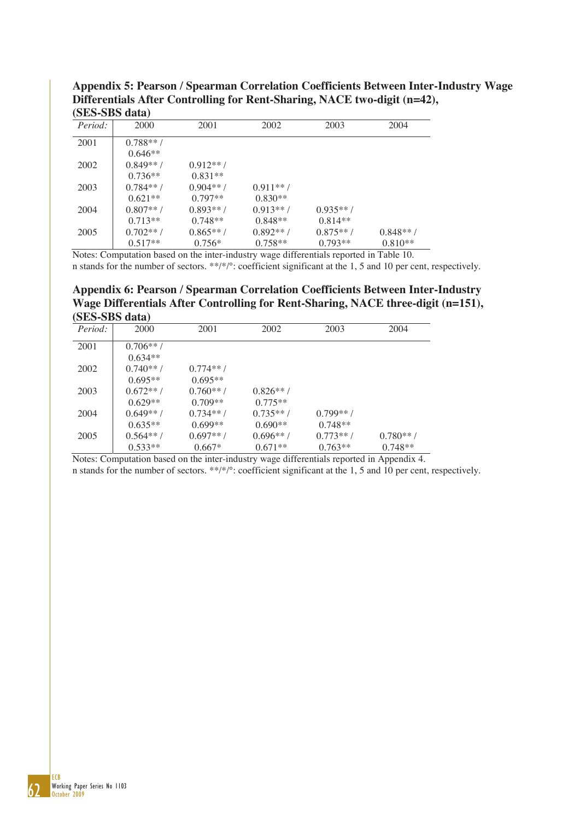| $(DLD-DDD \text{ data})$ |             |             |            |            |             |
|--------------------------|-------------|-------------|------------|------------|-------------|
| Period:                  | 2000        | 2001        | 2002       | 2003       | 2004        |
| 2001                     | $0.788**$   |             |            |            |             |
|                          | $0.646**$   |             |            |            |             |
| 2002                     | $0.849**$   | $0.912**/$  |            |            |             |
|                          | $0.736**$   | $0.831**$   |            |            |             |
| 2003                     | $0.784**/$  | $0.904**$ / | $0.911**/$ |            |             |
|                          | $0.621**$   | $0.797**$   | $0.830**$  |            |             |
| 2004                     | $0.807**/$  | $0.893**$   | $0.913**$  | $0.935**$  |             |
|                          | $0.713**$   | $0.748**$   | $0.848**$  | $0.814**$  |             |
| 2005                     | $0.702**$ / | $0.865**$   | $0.892**$  | $0.875**/$ | $0.848**$ / |
|                          | $0.517**$   | $0.756*$    | $0.758**$  | $0.793**$  | $0.810**$   |

**Appendix 5: Pearson / Spearman Correlation Coefficients Between Inter-Industry Wage Differentials After Controlling for Rent-Sharing, NACE two-digit (n=42), (SES-SBS data)** 

Notes: Computation based on the inter-industry wage differentials reported in Table 10.

n stands for the number of sectors. \*\*/\*/°: coefficient significant at the 1, 5 and 10 per cent, respectively.

**Appendix 6: Pearson / Spearman Correlation Coefficients Between Inter-Industry Wage Differentials After Controlling for Rent-Sharing, NACE three-digit (n=151), (SES-SBS data)** 

| $(010)$ - $010$ uata |             |             |             |            |             |
|----------------------|-------------|-------------|-------------|------------|-------------|
| Period:              | 2000        | 2001        | 2002        | 2003       | 2004        |
| 2001                 | $0.706**$   |             |             |            |             |
|                      | $0.634**$   |             |             |            |             |
| 2002                 | $0.740**$ / | $0.774**/$  |             |            |             |
|                      | $0.695**$   | $0.695**$   |             |            |             |
| 2003                 | $0.672**/$  | $0.760**$ / | $0.826**$   |            |             |
|                      | $0.629**$   | $0.709**$   | $0.775**$   |            |             |
| 2004                 | $0.649**$   | $0.734**/$  | $0.735**$   | $0.799**$  |             |
|                      | $0.635**$   | $0.699**$   | $0.690**$   | $0.748**$  |             |
| 2005                 | $0.564**$ / | $0.697**/$  | $0.696**$ / | $0.773**/$ | $0.780**$ / |
|                      | $0.533**$   | $0.667*$    | $0.671**$   | $0.763**$  | $0.748**$   |

Notes: Computation based on the inter-industry wage differentials reported in Appendix 4.

n stands for the number of sectors. \*\*/\*/°: coefficient significant at the 1, 5 and 10 per cent, respectively.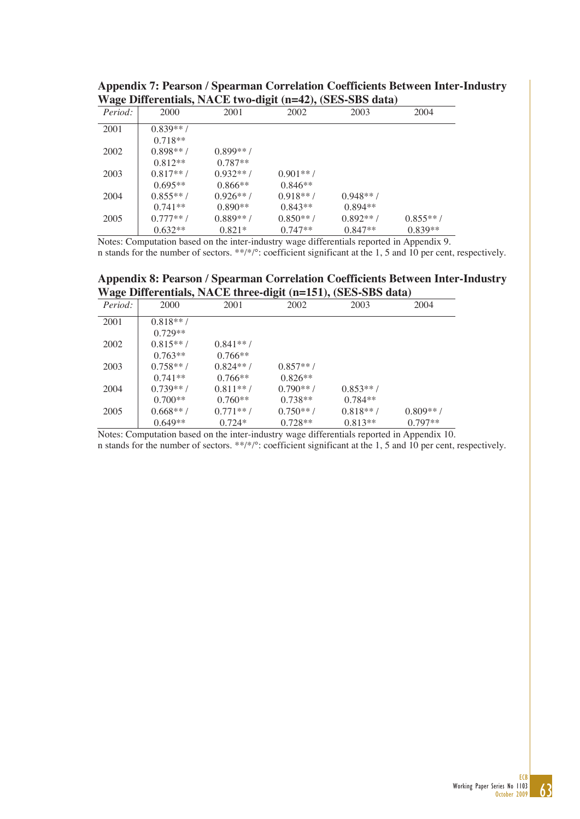| $\mathbf{W}$ age Differentially function $\mathbf{W}$ and $\mathbf{W}$ and $\mathbf{W}$ |             |             |             |           |            |  |  |  |  |  |
|-----------------------------------------------------------------------------------------|-------------|-------------|-------------|-----------|------------|--|--|--|--|--|
| Period:                                                                                 | 2000        | 2001        | 2002        | 2003      | 2004       |  |  |  |  |  |
| 2001                                                                                    | $0.839**$   |             |             |           |            |  |  |  |  |  |
|                                                                                         | $0.718**$   |             |             |           |            |  |  |  |  |  |
| 2002                                                                                    | $0.898**$ / | $0.899**$   |             |           |            |  |  |  |  |  |
|                                                                                         | $0.812**$   | $0.787**$   |             |           |            |  |  |  |  |  |
| 2003                                                                                    | $0.817**/$  | $0.932**$   | $0.901**$   |           |            |  |  |  |  |  |
|                                                                                         | $0.695**$   | $0.866**$   | $0.846**$   |           |            |  |  |  |  |  |
| 2004                                                                                    | $0.855**$ / | $0.926**$   | $0.918**$ / | $0.948**$ |            |  |  |  |  |  |
|                                                                                         | $0.741**$   | $0.890**$   | $0.843**$   | $0.894**$ |            |  |  |  |  |  |
| 2005                                                                                    | $0.777**/$  | $0.889**$ / | $0.850**$ / | $0.892**$ | $0.855**/$ |  |  |  |  |  |
|                                                                                         | $0.632**$   | $0.821*$    | $0.747**$   | $0.847**$ | $0.839**$  |  |  |  |  |  |

**Appendix 7: Pearson / Spearman Correlation Coefficients Between Inter-Industry Wage Differentials, NACE two-digit (n=42), (SES-SBS data)** 

Notes: Computation based on the inter-industry wage differentials reported in Appendix 9. n stands for the number of sectors. \*\*/\*/°: coefficient significant at the 1, 5 and 10 per cent, respectively.

**Appendix 8: Pearson / Spearman Correlation Coefficients Between Inter-Industry Wage Differentials, NACE three-digit (n=151), (SES-SBS data)** 

| $\frac{1}{2}$ of the common contract $\frac{1}{2}$ and $\frac{1}{2}$ and $\frac{1}{2}$ and $\frac{1}{2}$ and $\frac{1}{2}$ |             |            |             |             |             |  |  |  |  |  |
|----------------------------------------------------------------------------------------------------------------------------|-------------|------------|-------------|-------------|-------------|--|--|--|--|--|
| Period:                                                                                                                    | 2000        | 2001       | 2002        | 2003        | 2004        |  |  |  |  |  |
| 2001                                                                                                                       | $0.818**$ / |            |             |             |             |  |  |  |  |  |
|                                                                                                                            | $0.729**$   |            |             |             |             |  |  |  |  |  |
| 2002                                                                                                                       | $0.815**$ / | $0.841**$  |             |             |             |  |  |  |  |  |
|                                                                                                                            | $0.763**$   | $0.766**$  |             |             |             |  |  |  |  |  |
| 2003                                                                                                                       | $0.758**/$  | $0.824**$  | $0.857**/$  |             |             |  |  |  |  |  |
|                                                                                                                            | $0.741**$   | $0.766**$  | $0.826**$   |             |             |  |  |  |  |  |
| 2004                                                                                                                       | $0.739**/$  | $0.811**/$ | $0.790**$ / | $0.853**$   |             |  |  |  |  |  |
|                                                                                                                            | $0.700**$   | $0.760**$  | $0.738**$   | $0.784**$   |             |  |  |  |  |  |
| 2005                                                                                                                       | $0.668**$ / | $0.771**/$ | $0.750**$ / | $0.818**$ / | $0.809**$ / |  |  |  |  |  |
|                                                                                                                            | $0.649**$   | $0.724*$   | $0.728**$   | $0.813**$   | $0.797**$   |  |  |  |  |  |

Notes: Computation based on the inter-industry wage differentials reported in Appendix 10. n stands for the number of sectors. \*\*/\*/°: coefficient significant at the 1, 5 and 10 per cent, respectively.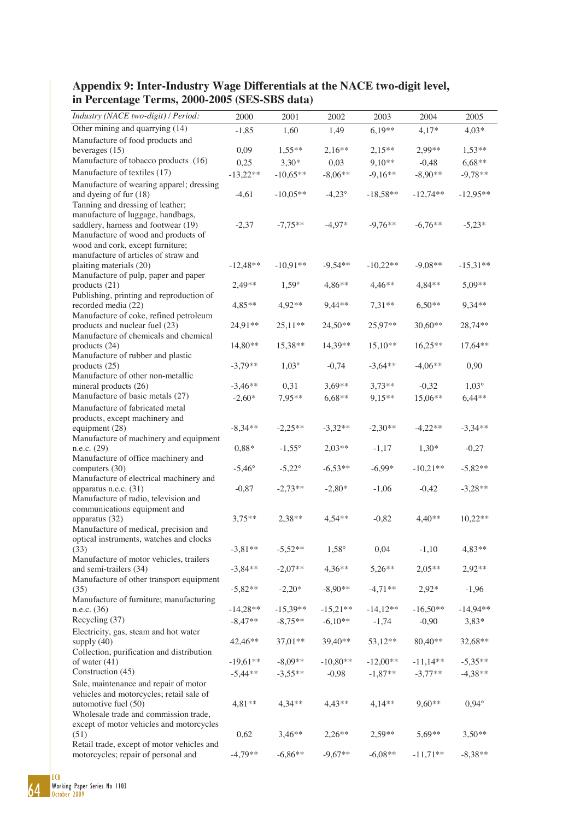| Industry (NACE two-digit) / Period:                                   | 2000            | 2001            | 2002            | 2003       | 2004       | 2005         |
|-----------------------------------------------------------------------|-----------------|-----------------|-----------------|------------|------------|--------------|
| Other mining and quarrying (14)                                       | $-1,85$         | 1,60            | 1,49            | $6,19**$   | $4,17*$    | $4,03*$      |
| Manufacture of food products and                                      |                 |                 |                 |            |            |              |
| beverages $(15)$                                                      | 0,09            | $1,55**$        | $2,16**$        | $2.15**$   | 2.99**     | $1,53**$     |
| Manufacture of tobacco products (16)                                  | 0,25            | $3,30*$         | 0,03            | $9,10**$   | $-0,48$    | 6,68**       |
| Manufacture of textiles (17)                                          | $-13,22**$      | $-10,65**$      | $-8,06**$       | $-9,16**$  | $-8,90**$  | $-9,78**$    |
| Manufacture of wearing apparel; dressing                              |                 |                 |                 |            |            |              |
| and dyeing of fur (18)                                                | $-4,61$         | $-10,05**$      | $-4,23^{\circ}$ | $-18,58**$ | $-12,74**$ | $-12,95**$   |
| Tanning and dressing of leather;<br>manufacture of luggage, handbags, |                 |                 |                 |            |            |              |
| saddlery, harness and footwear (19)                                   | $-2,37$         | $-7,75**$       | $-4.97*$        | $-9.76**$  | $-6,76**$  | $-5,23*$     |
| Manufacture of wood and products of                                   |                 |                 |                 |            |            |              |
| wood and cork, except furniture;                                      |                 |                 |                 |            |            |              |
| manufacture of articles of straw and                                  |                 |                 |                 |            |            |              |
| plaiting materials (20)                                               | $-12,48**$      | $-10,91**$      | $-9,54**$       | $-10,22**$ | $-9,08**$  | $-15,31**$   |
| Manufacture of pulp, paper and paper                                  |                 |                 |                 |            |            |              |
| products $(21)$                                                       | $2,49**$        | $1,59^\circ$    | $4,86**$        | $4,46**$   | 4,84**     | 5,09**       |
| Publishing, printing and reproduction of<br>recorded media (22)       |                 |                 | 9.44**          |            |            | 9.34**       |
| Manufacture of coke, refined petroleum                                | $4,85**$        | $4.92**$        |                 | $7,31**$   | $6,50**$   |              |
| products and nuclear fuel (23)                                        | 24,91**         | $25.11**$       | $24,50**$       | 25,97**    | $30,60**$  | 28,74**      |
| Manufacture of chemicals and chemical                                 |                 |                 |                 |            |            |              |
| products $(24)$                                                       | 14,80**         | $15,38**$       | 14,39**         | $15,10**$  | $16,25**$  | 17,64**      |
| Manufacture of rubber and plastic                                     |                 |                 |                 |            |            |              |
| products $(25)$                                                       | $-3,79**$       | $1,03^\circ$    | $-0,74$         | $-3.64**$  | $-4.06**$  | 0,90         |
| Manufacture of other non-metallic                                     |                 |                 |                 |            |            |              |
| mineral products (26)<br>Manufacture of basic metals (27)             | $-3,46**$       | 0,31            | $3,69**$        | $3,73**$   | $-0,32$    | $1,03^\circ$ |
|                                                                       | $-2,60*$        | 7,95**          | $6,68**$        | $9,15**$   | 15,06**    | $6,44**$     |
| Manufacture of fabricated metal                                       |                 |                 |                 |            |            |              |
| products, except machinery and<br>equipment (28)                      | $-8,34**$       | $-2,25**$       | $-3,32**$       | $-2,30**$  | $-4,22**$  | $-3,34**$    |
| Manufacture of machinery and equipment                                |                 |                 |                 |            |            |              |
| n.e.c. (29)                                                           | 0,88*           | $-1,55^{\circ}$ | $2.03**$        | $-1,17$    | $1,30*$    | $-0,27$      |
| Manufacture of office machinery and                                   |                 |                 |                 |            |            |              |
| computers (30)                                                        | $-5,46^{\circ}$ | $-5,22^{\circ}$ | $-6,53**$       | $-6,99*$   | $-10,21**$ | $-5,82**$    |
| Manufacture of electrical machinery and                               |                 |                 |                 |            |            |              |
| apparatus n.e.c. (31)                                                 | $-0,87$         | $-2.73**$       | $-2.80*$        | $-1,06$    | $-0,42$    | $-3.28**$    |
| Manufacture of radio, television and<br>communications equipment and  |                 |                 |                 |            |            |              |
| apparatus (32)                                                        | $3,75**$        | 2,38**          | $4.54**$        | $-0,82$    | $4,40**$   | $10,22**$    |
| Manufacture of medical, precision and                                 |                 |                 |                 |            |            |              |
| optical instruments, watches and clocks                               |                 |                 |                 |            |            |              |
| (33)                                                                  | $-3,81**$       | $-5,52**$       | $1,58^\circ$    | 0,04       | $-1,10$    | 4,83**       |
| Manufacture of motor vehicles, trailers                               |                 |                 |                 |            |            |              |
| and semi-trailers (34)                                                | $-3,84**$       | $-2,07**$       | 4,36**          | 5,26**     | $2,05**$   | 2,92**       |
| Manufacture of other transport equipment                              |                 |                 |                 |            |            |              |
| (35)                                                                  | $-5,82**$       | $-2,20*$        | $-8,90**$       | $-4,71**$  | $2,92*$    | $-1,96$      |
| Manufacture of furniture; manufacturing<br>n.e.c. $(36)$              | $-14,28**$      | $-15,39**$      | $-15,21**$      | $-14,12**$ | $-16,50**$ | $-14,94**$   |
| Recycling (37)                                                        | $-8,47**$       | $-8,75**$       | $-6,10**$       | $-1,74$    | $-0,90$    | $3,83*$      |
| Electricity, gas, steam and hot water                                 |                 |                 |                 |            |            |              |
| supply $(40)$                                                         | $42,46**$       | $37.01**$       | $39,40**$       | 53,12**    | $80,40**$  | 32,68**      |
| Collection, purification and distribution                             |                 |                 |                 |            |            |              |
| of water $(41)$                                                       | $-19,61**$      | $-8,09**$       | $-10,80**$      | $-12,00**$ | $-11,14**$ | $-5,35**$    |
| Construction (45)                                                     | $-5,44**$       | $-3,55**$       | $-0,98$         | $-1,87**$  | $-3,77**$  | $-4,38**$    |
| Sale, maintenance and repair of motor                                 |                 |                 |                 |            |            |              |
| vehicles and motorcycles; retail sale of                              |                 |                 |                 |            |            |              |
| automotive fuel (50)                                                  | $4,81**$        | $4,34**$        | $4.43**$        | $4,14**$   | $9,60**$   | $0.94^\circ$ |
| Wholesale trade and commission trade,                                 |                 |                 |                 |            |            |              |
| except of motor vehicles and motorcycles<br>(51)                      | 0,62            | $3,46**$        | $2,26**$        | $2,59**$   | 5,69**     | $3,50**$     |
| Retail trade, except of motor vehicles and                            |                 |                 |                 |            |            |              |
| motorcycles; repair of personal and                                   | $-4,79**$       | $-6,86**$       | $-9,67**$       | $-6.08**$  | $-11,71**$ | $-8,38**$    |
|                                                                       |                 |                 |                 |            |            |              |

# **Appendix 9: Inter-Industry Wage Differentials at the NACE two-digit level, in Percentage Terms, 2000-2005 (SES-SBS data)**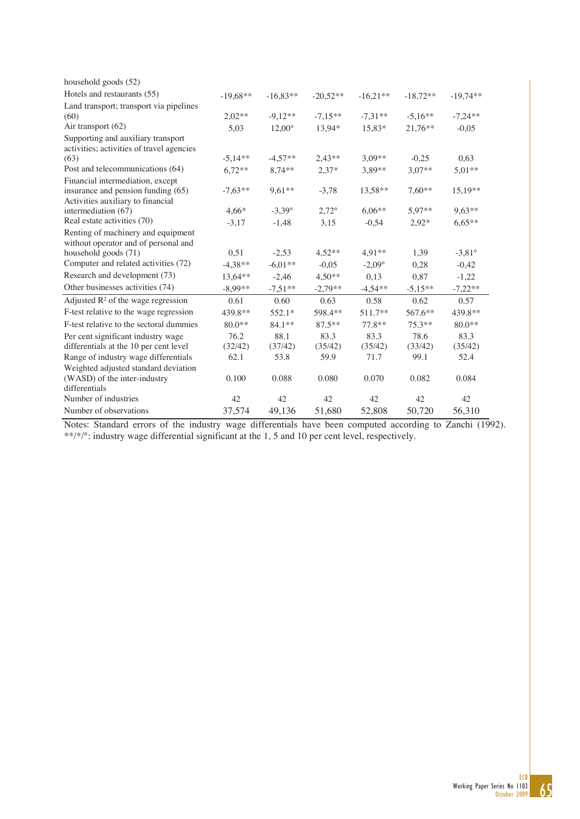| household goods (52)                                                                                        |                 |                 |                 |                 |                 |                 |
|-------------------------------------------------------------------------------------------------------------|-----------------|-----------------|-----------------|-----------------|-----------------|-----------------|
| Hotels and restaurants (55)                                                                                 | $-19.68**$      | $-16,83**$      | $-20.52**$      | $-16,21**$      | $-18,72**$      | $-19,74**$      |
| Land transport; transport via pipelines                                                                     |                 |                 |                 |                 |                 |                 |
| (60)                                                                                                        | $2.02**$        | $-9.12**$       | $-7.15**$       | $-7.31**$       | $-5.16**$       | $-7,24**$       |
| Air transport (62)                                                                                          | 5,03            | $12,00^{\circ}$ | 13,94*          | 15,83*          | 21,76**         | $-0.05$         |
| Supporting and auxiliary transport<br>activities; activities of travel agencies                             |                 |                 |                 |                 |                 |                 |
| (63)                                                                                                        | $-5.14**$       | $-4.57**$       | $2,43**$        | $3.09**$        | $-0.25$         | 0.63            |
| Post and telecommunications (64)                                                                            | $6.72**$        | 8,74**          | $2.37*$         | 3.89**          | $3.07**$        | $5.01**$        |
| Financial intermediation, except<br>insurance and pension funding (65)<br>Activities auxiliary to financial | $-7,63**$       | $9.61**$        | $-3,78$         | 13,58**         | $7.60**$        | 15,19**         |
| intermediation (67)                                                                                         | $4.66*$         | $-3,39^{\circ}$ | $2,72^{\circ}$  | $6.06**$        | 5,97**          | $9.63**$        |
| Real estate activities (70)                                                                                 | $-3,17$         | $-1,48$         | 3,15            | $-0.54$         | $2.92*$         | $6.65**$        |
| Renting of machinery and equipment<br>without operator and of personal and                                  |                 |                 |                 |                 |                 |                 |
| household goods (71)                                                                                        | 0,51            | $-2,53$         | $4,52**$        | $4.91**$        | 1,39            | $-3,81^{\circ}$ |
| Computer and related activities (72)                                                                        | $-4.38**$       | $-6.01**$       | $-0.05$         | $-2,09^{\circ}$ | 0,28            | $-0,42$         |
| Research and development (73)                                                                               | 13,64**         | $-2,46$         | $4.50**$        | 0.13            | 0.87            | $-1,22$         |
| Other businesses activities (74)                                                                            | $-8,99**$       | $-7,51**$       | $-2.79**$       | $-4.54**$       | $-5.15**$       | $-7,22**$       |
| Adjusted $R^2$ of the wage regression                                                                       | 0.61            | 0.60            | 0.63            | 0.58            | 0.62            | 0.57            |
| F-test relative to the wage regression                                                                      | 439.8**         | $552.1*$        | 598.4**         | $511.7**$       | 567.6**         | 439.8**         |
| F-test relative to the sectoral dummies                                                                     | $80.0**$        | $84.1**$        | $87.5**$        | 77.8**          | $75.3**$        | 80.0**          |
| Per cent significant industry wage<br>differentials at the 10 per cent level                                | 76.2<br>(32/42) | 88.1<br>(37/42) | 83.3<br>(35/42) | 83.3<br>(35/42) | 78.6<br>(33/42) | 83.3<br>(35/42) |
| Range of industry wage differentials                                                                        | 62.1            | 53.8            | 59.9            | 71.7            | 99.1            | 52.4            |
| Weighted adjusted standard deviation                                                                        |                 |                 |                 |                 |                 |                 |
| (WASD) of the inter-industry<br>differentials                                                               | 0.100           | 0.088           | 0.080           | 0.070           | 0.082           | 0.084           |
| Number of industries                                                                                        | 42              | 42              | 42              | 42              | 42              | 42              |
| Number of observations                                                                                      | 37,574          | 49,136          | 51,680          | 52,808          | 50,720          | 56,310          |

Notes: Standard errors of the industry wage differentials have been computed according to Zanchi (1992). \*\*/\*/°: industry wage differential significant at the 1, 5 and 10 per cent level, respectively.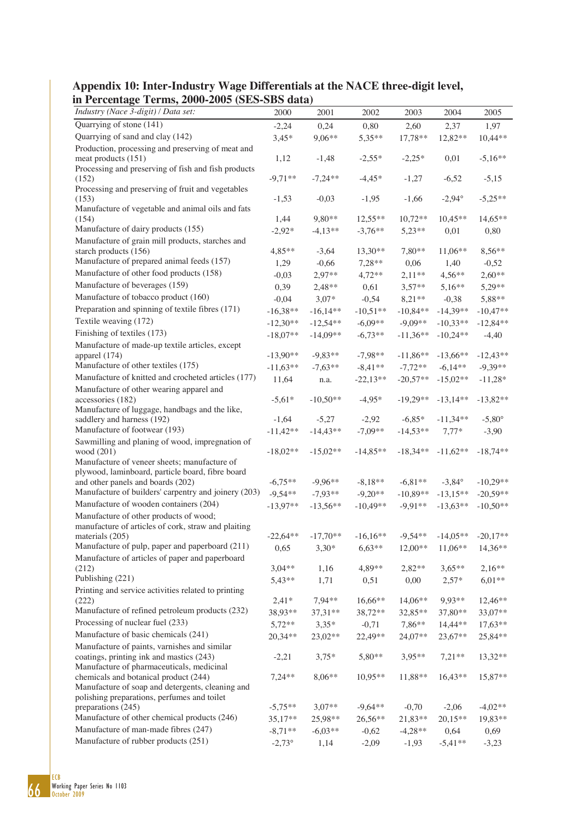| Appendix 10: Inter-Industry Wage Differentials at the NACE three-digit level, |
|-------------------------------------------------------------------------------|
| in Percentage Terms, 2000-2005 (SES-SBS data)                                 |

| $\mathbf{m}$ is contagent in $\mathbf{m}$ , so $\mathbf{v}$ and $\mathbf{v}$ and $\mathbf{v}$<br>Industry (Nace 3-digit) / Data set: | 2000            | 2001       | 2002       | 2003       | 2004            | 2005            |
|--------------------------------------------------------------------------------------------------------------------------------------|-----------------|------------|------------|------------|-----------------|-----------------|
| Quarrying of stone (141)                                                                                                             |                 |            |            |            |                 |                 |
| Quarrying of sand and clay (142)                                                                                                     | $-2,24$         | 0,24       | 0,80       | 2,60       | 2,37            | 1,97            |
| Production, processing and preserving of meat and                                                                                    | $3,45*$         | 9,06**     | 5,35**     | 17,78**    | 12,82**         | $10,44**$       |
| meat products (151)<br>Processing and preserving of fish and fish products                                                           | 1,12            | $-1,48$    | $-2,55*$   | $-2,25*$   | 0,01            | $-5,16**$       |
| (152)                                                                                                                                | $-9,71**$       | $-7,24**$  | $-4,45*$   | $-1,27$    | $-6,52$         | $-5,15$         |
| Processing and preserving of fruit and vegetables<br>(153)                                                                           | $-1,53$         | $-0,03$    | $-1,95$    | $-1,66$    | $-2,94^{\circ}$ | $-5,25**$       |
| Manufacture of vegetable and animal oils and fats<br>(154)                                                                           | 1,44            | 9,80**     | $12.55**$  | $10,72**$  | $10,45**$       | 14,65**         |
| Manufacture of dairy products (155)                                                                                                  | $-2,92*$        | $-4,13**$  | $-3,76**$  | $5,23**$   | 0,01            | 0,80            |
| Manufacture of grain mill products, starches and<br>starch products (156)                                                            | 4,85**          | $-3,64$    | 13,30**    | 7,80**     | $11,06**$       | $8,56**$        |
| Manufacture of prepared animal feeds (157)                                                                                           | 1,29            | $-0,66$    | 7,28**     | 0,06       | 1,40            | $-0,52$         |
| Manufacture of other food products (158)                                                                                             | $-0,03$         | 2,97**     | $4,72**$   | $2,11**$   | $4,56**$        | $2,60**$        |
| Manufacture of beverages (159)                                                                                                       | 0,39            | 2,48**     | 0,61       | $3,57**$   | $5,16**$        | 5,29**          |
| Manufacture of tobacco product (160)                                                                                                 | $-0,04$         | $3,07*$    | $-0,54$    | $8,21**$   | $-0,38$         | 5,88**          |
| Preparation and spinning of textile fibres (171)                                                                                     | $-16,38**$      | $-16,14**$ | $-10,51**$ | $-10,84**$ | $-14,39**$      | $-10,47**$      |
| Textile weaving (172)                                                                                                                | $-12,30**$      | $-12,54**$ | $-6,09**$  | $-9,09**$  | $-10,33**$      | $-12,84**$      |
| Finishing of textiles (173)                                                                                                          | $-18,07**$      | $-14,09**$ | $-6,73**$  | $-11,36**$ | $-10,24**$      | $-4,40$         |
| Manufacture of made-up textile articles, except<br>apparel $(174)$                                                                   | $-13.90**$      | $-9,83**$  | $-7,98**$  | $-11,86**$ | $-13,66**$      | $-12,43**$      |
| Manufacture of other textiles (175)                                                                                                  | $-11,63**$      | $-7,63**$  | $-8,41**$  | $-7,72**$  | $-6,14**$       | $-9,39**$       |
| Manufacture of knitted and crocheted articles (177)                                                                                  | 11,64           |            | $-22,13**$ | $-20,57**$ | $-15,02**$      | $-11,28*$       |
| Manufacture of other wearing apparel and                                                                                             |                 | n.a.       |            |            |                 |                 |
| accessories (182)<br>Manufacture of luggage, handbags and the like,                                                                  | $-5,61*$        | $-10,50**$ | $-4,95*$   | $-19,29**$ | $-13,14**$      | $-13,82**$      |
| saddlery and harness (192)                                                                                                           | $-1,64$         | $-5,27$    | $-2,92$    | $-6,85*$   | $-11,34**$      | $-5,80^{\circ}$ |
| Manufacture of footwear (193)                                                                                                        | $-11,42**$      | $-14,43**$ | $-7.09**$  | $-14,53**$ | $7,77*$         | $-3,90$         |
| Sawmilling and planing of wood, impregnation of<br>wood (201)                                                                        | $-18,02**$      | $-15,02**$ | $-14,85**$ | $-18,34**$ | $-11,62**$      | $-18,74**$      |
| Manufacture of veneer sheets; manufacture of<br>plywood, laminboard, particle board, fibre board                                     |                 |            |            |            |                 |                 |
| and other panels and boards (202)                                                                                                    | $-6,75**$       | $-9,96**$  | $-8,18**$  | $-6,81**$  | $-3,84^{\circ}$ | $-10,29**$      |
| Manufacture of builders' carpentry and joinery (203)                                                                                 | $-9,54**$       | $-7,93**$  | $-9,20**$  | $-10,89**$ | $-13,15**$      | $-20,59**$      |
| Manufacture of wooden containers (204)                                                                                               | $-13,97**$      | $-13,56**$ | $-10,49**$ | $-9,91**$  | $-13,63**$      | $-10,50**$      |
| Manufacture of other products of wood;<br>manufacture of articles of cork, straw and plaiting                                        |                 |            |            |            |                 |                 |
| materials $(205)$                                                                                                                    | $-22.64**$      | $-17,70**$ | $-16,16**$ | $-9,54**$  | $-14,05**$      | $-20,17**$      |
| Manufacture of pulp, paper and paperboard (211)<br>Manufacture of articles of paper and paperboard                                   | 0,65            | $3,30*$    | $6,63**$   | $12,00**$  | $11.06**$       | 14,36**         |
| (212)                                                                                                                                | $3,04**$        | 1,16       | 4,89**     | $2,82**$   | $3,65**$        | $2,16**$        |
| Publishing (221)                                                                                                                     | 5,43**          | 1,71       | 0,51       | 0,00       | $2,57*$         | $6,01**$        |
| Printing and service activities related to printing<br>(222)                                                                         | $2,41*$         | 7,94**     | 16,66**    | $14,06**$  | 9,93**          | $12,46**$       |
| Manufacture of refined petroleum products (232)                                                                                      | 38,93**         | 37,31**    | 38,72**    | 32,85**    | 37,80**         | 33,07**         |
| Processing of nuclear fuel (233)                                                                                                     | $5,72**$        | $3,35*$    | $-0,71$    | 7,86**     | 14,44**         | $17,63**$       |
| Manufacture of basic chemicals (241)                                                                                                 | 20,34**         | 23,02**    | 22,49**    | 24,07**    | 23,67**         | 25,84**         |
| Manufacture of paints, varnishes and similar                                                                                         |                 |            |            |            |                 |                 |
| coatings, printing ink and mastics (243)<br>Manufacture of pharmaceuticals, medicinal                                                | $-2,21$         | $3,75*$    | $5,80**$   | $3,95**$   | $7,21**$        | 13,32**         |
| chemicals and botanical product (244)<br>Manufacture of soap and detergents, cleaning and                                            | $7,24**$        | 8,06**     | 10,95**    | 11,88**    | $16,43**$       | 15,87**         |
| polishing preparations, perfumes and toilet                                                                                          |                 |            |            |            |                 |                 |
| preparations (245)                                                                                                                   | $-5,75**$       | $3,07**$   | $-9,64**$  | $-0,70$    | $-2,06$         | $-4,02**$       |
| Manufacture of other chemical products (246)                                                                                         | 35,17**         | 25,98**    | 26,56**    | 21,83**    | 20,15**         | 19,83**         |
| Manufacture of man-made fibres (247)                                                                                                 | $-8,71**$       | $-6,03**$  | $-0,62$    | $-4,28**$  | 0,64            | 0,69            |
| Manufacture of rubber products (251)                                                                                                 | $-2,73^{\circ}$ | 1,14       | $-2,09$    | $-1,93$    | $-5,41**$       | $-3,23$         |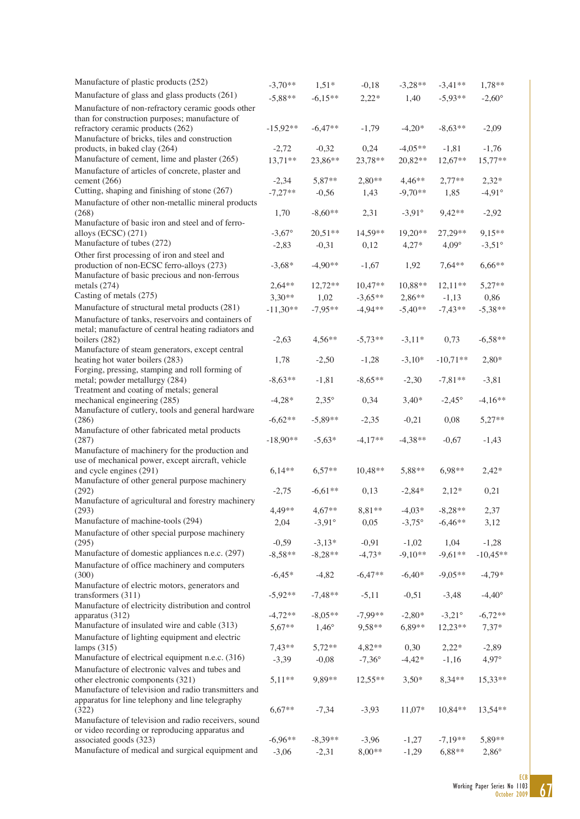| Manufacture of plastic products (252)                                      | $-3,70**$       | $1,51*$         | $-0,18$         | $-3,28**$       | $-3.41**$       | 1,78**          |
|----------------------------------------------------------------------------|-----------------|-----------------|-----------------|-----------------|-----------------|-----------------|
| Manufacture of glass and glass products (261)                              | $-5,88**$       | $-6,15**$       | $2,22*$         | 1,40            | $-5,93**$       | $-2,60^{\circ}$ |
| Manufacture of non-refractory ceramic goods other                          |                 |                 |                 |                 |                 |                 |
| than for construction purposes; manufacture of                             |                 |                 |                 |                 |                 |                 |
| refractory ceramic products (262)                                          | $-15,92**$      | $-6,47**$       | $-1,79$         | $-4,20*$        | $-8,63**$       | $-2,09$         |
| Manufacture of bricks, tiles and construction                              |                 |                 |                 |                 |                 |                 |
| products, in baked clay (264)                                              | $-2,72$         | $-0,32$         | 0,24            | $-4,05**$       | $-1,81$         | $-1,76$         |
| Manufacture of cement, lime and plaster (265)                              | $13,71**$       | 23,86**         | 23,78**         | 20,82**         | 12,67**         | 15,77**         |
| Manufacture of articles of concrete, plaster and                           |                 |                 |                 |                 |                 |                 |
| cement $(266)$                                                             | $-2,34$         | 5,87**          | $2,80**$        | $4,46**$        | $2,77**$        | $2,32*$         |
| Cutting, shaping and finishing of stone (267)                              | $-7,27**$       | $-0,56$         | 1,43            | $-9,70**$       | 1,85            | $-4,91^{\circ}$ |
| Manufacture of other non-metallic mineral products                         |                 | $-8,60**$       |                 |                 |                 |                 |
| (268)<br>Manufacture of basic iron and steel and of ferro-                 | 1,70            |                 | 2,31            | $-3,91^{\circ}$ | 9,42**          | $-2,92$         |
| alloys (ECSC) (271)                                                        | $-3,67^{\circ}$ | $20,51**$       | 14,59**         | 19,20**         | 27,29**         | $9,15**$        |
| Manufacture of tubes (272)                                                 | $-2,83$         | $-0,31$         | 0,12            | $4,27*$         | $4,09^\circ$    | $-3,51^{\circ}$ |
| Other first processing of iron and steel and                               |                 |                 |                 |                 |                 |                 |
| production of non-ECSC ferro-alloys (273)                                  | $-3,68*$        | $-4,90**$       | $-1,67$         | 1,92            | $7,64**$        | $6,66**$        |
| Manufacture of basic precious and non-ferrous                              |                 |                 |                 |                 |                 |                 |
| metals $(274)$                                                             | $2,64**$        | $12,72**$       | 10,47**         | 10,88**         | $12.11**$       | $5,27**$        |
| Casting of metals (275)                                                    | $3,30**$        | 1,02            | $-3,65**$       | 2,86**          | $-1,13$         | 0,86            |
| Manufacture of structural metal products (281)                             | $-11,30**$      | $-7,95**$       | $-4,94**$       | $-5,40**$       | $-7,43**$       | $-5,38**$       |
| Manufacture of tanks, reservoirs and containers of                         |                 |                 |                 |                 |                 |                 |
| metal; manufacture of central heating radiators and                        |                 |                 |                 |                 |                 |                 |
| boilers (282)                                                              | $-2,63$         | $4,56**$        | $-5,73**$       | $-3,11*$        | 0,73            | $-6,58**$       |
| Manufacture of steam generators, except central                            |                 |                 |                 |                 |                 |                 |
| heating hot water boilers (283)                                            | 1,78            | $-2,50$         | $-1,28$         | $-3,10*$        | $-10,71**$      | $2,80*$         |
| Forging, pressing, stamping and roll forming of                            | $-8,63**$       |                 |                 |                 | $-7,81**$       |                 |
| metal; powder metallurgy (284)<br>Treatment and coating of metals; general |                 | $-1,81$         | $-8,65**$       | $-2,30$         |                 | $-3,81$         |
| mechanical engineering (285)                                               | $-4,28*$        | $2,35^{\circ}$  | 0,34            | $3,40*$         | $-2,45^{\circ}$ | $-4,16**$       |
| Manufacture of cutlery, tools and general hardware                         |                 |                 |                 |                 |                 |                 |
| (286)                                                                      | $-6,62**$       | $-5,89**$       | $-2,35$         | $-0,21$         | 0,08            | $5,27**$        |
| Manufacture of other fabricated metal products                             |                 |                 |                 |                 |                 |                 |
| (287)                                                                      | $-18,90**$      | $-5,63*$        | $-4,17**$       | $-4,38**$       | $-0,67$         | $-1,43$         |
| Manufacture of machinery for the production and                            |                 |                 |                 |                 |                 |                 |
| use of mechanical power, except aircraft, vehicle                          |                 |                 |                 |                 |                 |                 |
| and cycle engines (291)                                                    | $6,14**$        | $6.57**$        | 10,48**         | 5,88**          | 6,98**          | $2,42*$         |
| Manufacture of other general purpose machinery<br>(292)                    | $-2,75$         | $-6,61**$       | 0,13            | $-2,84*$        | $2,12*$         | 0,21            |
| Manufacture of agricultural and forestry machinery                         |                 |                 |                 |                 |                 |                 |
| (293)                                                                      | 4.49**          | $4.67**$        | 8.81**          | $-4.03*$        | $-8,28**$       | 2,37            |
| Manufacture of machine-tools (294)                                         | 2,04            | $-3,91^{\circ}$ | 0,05            | $-3,75^{\circ}$ | $-6,46**$       | 3,12            |
| Manufacture of other special purpose machinery                             |                 |                 |                 |                 |                 |                 |
| (295)                                                                      | $-0,59$         | $-3,13*$        | $-0,91$         | $-1,02$         | 1,04            | $-1,28$         |
| Manufacture of domestic appliances n.e.c. (297)                            | $-8,58**$       | $-8,28**$       | $-4,73*$        | $-9,10**$       | $-9,61**$       | $-10,45**$      |
| Manufacture of office machinery and computers                              |                 |                 |                 |                 |                 |                 |
| (300)                                                                      | $-6,45*$        | $-4,82$         | $-6,47**$       | $-6,40*$        | $-9,05**$       | $-4,79*$        |
| Manufacture of electric motors, generators and                             |                 |                 |                 |                 |                 |                 |
| transformers $(311)$                                                       | $-5,92**$       | $-7,48**$       | $-5,11$         | $-0,51$         | $-3,48$         | $-4,40^{\circ}$ |
| Manufacture of electricity distribution and control                        |                 |                 |                 |                 |                 |                 |
| apparatus (312)<br>Manufacture of insulated wire and cable (313)           | $-4,72**$       | $-8,05**$       | $-7,99**$       | $-2,80*$        | $-3,21^{\circ}$ | $-6,72**$       |
|                                                                            | 5,67**          | $1,46^{\circ}$  | 9,58**          | 6,89**          | $12,23**$       | $7,37*$         |
| Manufacture of lighting equipment and electric                             | $7,43**$        | $5,72**$        | 4,82**          | 0,30            | $2,22*$         | $-2,89$         |
| lamps $(315)$<br>Manufacture of electrical equipment n.e.c. (316)          |                 |                 |                 |                 |                 |                 |
| Manufacture of electronic valves and tubes and                             | $-3,39$         | $-0,08$         | $-7,36^{\circ}$ | $-4,42*$        | $-1,16$         | $4,97^\circ$    |
| other electronic components (321)                                          | $5,11**$        | 9.89**          | 12,55**         | $3,50*$         | 8,34**          | $15,33**$       |
| Manufacture of television and radio transmitters and                       |                 |                 |                 |                 |                 |                 |
| apparatus for line telephony and line telegraphy                           |                 |                 |                 |                 |                 |                 |
| (322)                                                                      | $6,67**$        | $-7,34$         | $-3,93$         | $11,07*$        | $10,84**$       | $13,54**$       |
| Manufacture of television and radio receivers, sound                       |                 |                 |                 |                 |                 |                 |
| or video recording or reproducing apparatus and                            |                 |                 |                 |                 |                 |                 |
| associated goods (323)                                                     | $-6,96**$       | $-8,39**$       | $-3,96$         | $-1,27$         | $-7,19**$       | 5,89**          |
| Manufacture of medical and surgical equipment and                          | $-3,06$         | $-2,31$         | 8,00**          | $-1,29$         | 6,88**          | $2,86^\circ$    |
|                                                                            |                 |                 |                 |                 |                 |                 |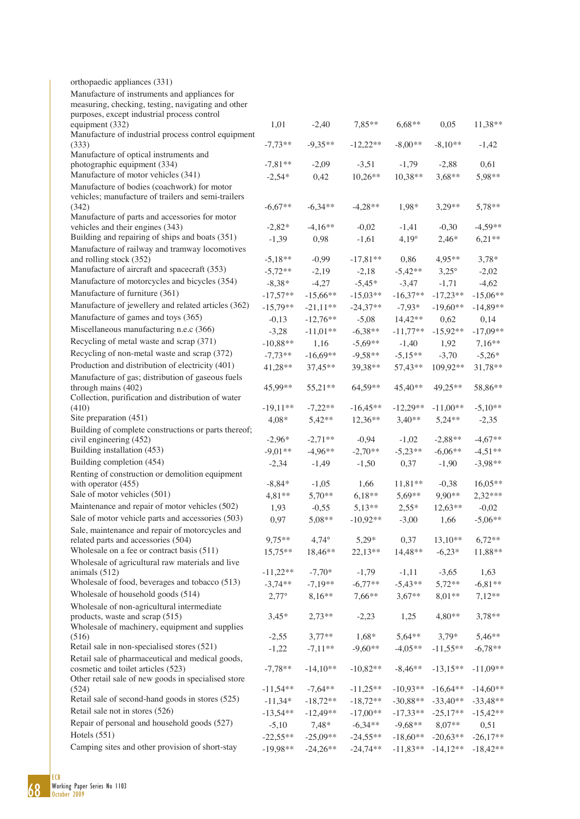| orthopaedic appliances (331)                                                                                                   |                |                |            |                |              |            |
|--------------------------------------------------------------------------------------------------------------------------------|----------------|----------------|------------|----------------|--------------|------------|
| Manufacture of instruments and appliances for                                                                                  |                |                |            |                |              |            |
| measuring, checking, testing, navigating and other                                                                             |                |                |            |                |              |            |
| purposes, except industrial process control<br>equipment (332)                                                                 | 1,01           | $-2,40$        | 7.85**     | $6,68**$       | 0,05         | $11,38**$  |
| Manufacture of industrial process control equipment<br>(333)<br>Manufacture of optical instruments and                         | $-7,73**$      | $-9,35**$      | $-12,22**$ | $-8,00**$      | $-8,10**$    | $-1,42$    |
| photographic equipment (334)                                                                                                   | $-7,81**$      | $-2,09$        | $-3,51$    | $-1,79$        | $-2,88$      | 0,61       |
| Manufacture of motor vehicles (341)                                                                                            | $-2,54*$       | 0,42           | $10,26**$  | $10,38**$      | $3,68**$     | 5,98**     |
| Manufacture of bodies (coachwork) for motor                                                                                    |                |                |            |                |              |            |
| vehicles; manufacture of trailers and semi-trailers                                                                            |                |                |            |                |              |            |
| (342)                                                                                                                          | $-6,67**$      | $-6,34**$      | $-4,28**$  | 1.98*          | $3,29**$     | 5,78**     |
| Manufacture of parts and accessories for motor<br>vehicles and their engines (343)                                             | $-2,82*$       | $-4,16**$      | $-0,02$    | $-1,41$        | $-0,30$      | $-4,59**$  |
| Building and repairing of ships and boats (351)                                                                                | $-1,39$        | 0,98           | $-1,61$    | $4,19^{\circ}$ | $2,46*$      | $6,21**$   |
| Manufacture of railway and tramway locomotives                                                                                 |                |                |            |                |              |            |
| and rolling stock (352)                                                                                                        | $-5,18**$      | $-0,99$        | $-17,81**$ | 0,86           | 4,95**       | $3,78*$    |
| Manufacture of aircraft and spacecraft (353)                                                                                   | $-5,72**$      | $-2,19$        | $-2,18$    | $-5,42**$      | $3,25^\circ$ | $-2,02$    |
| Manufacture of motorcycles and bicycles (354)                                                                                  | $-8,38*$       | $-4,27$        | $-5,45*$   | $-3,47$        | $-1,71$      | $-4,62$    |
| Manufacture of furniture (361)                                                                                                 | $-17,57**$     | $-15,66**$     | $-15,03**$ | $-16,37**$     | $-17,23**$   | $-15,06**$ |
| Manufacture of jewellery and related articles (362)                                                                            | $-15,79**$     | $-21,11**$     | $-24,37**$ | $-7,93*$       | $-19,60**$   | $-14,89**$ |
| Manufacture of games and toys (365)                                                                                            | $-0,13$        | $-12,76**$     | $-5,08$    | 14,42**        | 0,62         | 0,14       |
| Miscellaneous manufacturing n.e.c (366)                                                                                        | $-3,28$        | $-11,01**$     | $-6,38**$  | $-11,77**$     | $-15,92**$   | $-17,09**$ |
| Recycling of metal waste and scrap (371)                                                                                       | $-10,88**$     | 1,16           | $-5,69**$  | $-1,40$        | 1,92         | $7,16**$   |
| Recycling of non-metal waste and scrap (372)                                                                                   | $-7,73**$      | $-16,69**$     | $-9,58**$  | $-5,15**$      | $-3,70$      | $-5,26*$   |
| Production and distribution of electricity (401)                                                                               | 41,28**        | 37,45**        | 39,38**    | 57,43**        | 109,92**     | $31,78**$  |
| Manufacture of gas; distribution of gaseous fuels<br>through mains (402)<br>Collection, purification and distribution of water | 45,99**        | 55,21**        | 64,59**    | 45,40**        | 49,25**      | 58,86**    |
| (410)                                                                                                                          | $-19,11**$     | $-7,22**$      | $-16,45**$ | $-12,29**$     | $-11,00**$   | $-5,10**$  |
| Site preparation (451)                                                                                                         | $4,08*$        | $5,42**$       | $12,36**$  | $3,40**$       | $5,24**$     | $-2,35$    |
| Building of complete constructions or parts thereof;<br>civil engineering (452)                                                | $-2.96*$       | $-2,71**$      | $-0.94$    | $-1,02$        | $-2,88**$    | $-4,67**$  |
| Building installation (453)                                                                                                    | $-9.01**$      | $-4,96**$      | $-2,70**$  | $-5,23**$      | $-6,06**$    | $-4,51**$  |
| Building completion (454)                                                                                                      | $-2,34$        | $-1,49$        | $-1,50$    | 0,37           | $-1,90$      | $-3,98**$  |
| Renting of construction or demolition equipment                                                                                |                |                |            |                |              |            |
| with operator (455)                                                                                                            | $-8,84*$       | $-1,05$        | 1,66       | $11,81**$      | $-0,38$      | $16,05**$  |
| Sale of motor vehicles (501)                                                                                                   | 4,81**         | $5,70**$       | $6,18**$   | 5,69**         | 9,90**       | $2.32***$  |
| Maintenance and repair of motor vehicles (502)                                                                                 | 1,93           | $-0,55$        | $5,13**$   | $2,55*$        | $12,63**$    | $-0,02$    |
| Sale of motor vehicle parts and accessories (503)                                                                              | 0,97           | 5,08**         | $-10,92**$ | $-3,00$        | 1,66         | $-5,06**$  |
| Sale, maintenance and repair of motorcycles and                                                                                |                |                |            |                |              |            |
| related parts and accessories (504)<br>Wholesale on a fee or contract basis (511)                                              | 9,75**         | $4,74^{\circ}$ | $5,29*$    | 0,37           | $13,10**$    | $6,72**$   |
| Wholesale of agricultural raw materials and live                                                                               | $15,75**$      | 18,46**        | $22,13**$  | 14,48**        | $-6,23*$     | 11,88**    |
| animals $(512)$                                                                                                                | $-11,22**$     | $-7,70*$       | $-1,79$    | $-1,11$        | $-3,65$      | 1,63       |
| Wholesale of food, beverages and tobacco (513)                                                                                 | $-3,74**$      | $-7,19**$      | $-6,77**$  | $-5,43**$      | $5,72**$     | $-6,81**$  |
| Wholesale of household goods (514)                                                                                             | $2,77^{\circ}$ | 8,16**         | 7,66**     | $3,67**$       | 8,01**       | $7,12**$   |
| Wholesale of non-agricultural intermediate                                                                                     |                |                |            |                |              |            |
| products, waste and scrap (515)<br>Wholesale of machinery, equipment and supplies                                              | $3,45*$        | $2,73**$       | $-2,23$    | 1,25           | $4,80**$     | 3,78**     |
| (516)                                                                                                                          | $-2,55$        | $3,77**$       | $1,68*$    | 5,64**         | $3,79*$      | 5,46**     |
| Retail sale in non-specialised stores (521)                                                                                    | $-1,22$        | $-7,11**$      | $-9,60**$  | $-4,05**$      | $-11,55**$   | $-6,78**$  |
| Retail sale of pharmaceutical and medical goods,<br>cosmetic and toilet articles (523)                                         | $-7,78**$      | $-14,10**$     | $-10,82**$ | $-8,46**$      | $-13,15**$   | $-11,09**$ |
| Other retail sale of new goods in specialised store<br>(524)                                                                   | $-11,54**$     | $-7,64**$      | $-11,25**$ | $-10,93**$     | $-16,64**$   | $-14,60**$ |
| Retail sale of second-hand goods in stores (525)                                                                               | $-11,34*$      | $-18,72**$     | $-18,72**$ | $-30,88**$     | $-33,40**$   | $-33,48**$ |
| Retail sale not in stores (526)                                                                                                | $-13,54**$     | $-12,49**$     | $-17,00**$ | $-17,33**$     | $-25,17**$   | $-15,42**$ |
| Repair of personal and household goods (527)                                                                                   | $-5,10$        | $7,48*$        | $-6,34**$  | $-9,68**$      | 8,07**       | 0,51       |
| Hotels (551)                                                                                                                   | $-22,55**$     | $-25,09**$     | $-24,55**$ | $-18,60**$     | $-20,63**$   | $-26,17**$ |
| Camping sites and other provision of short-stay                                                                                | $-19,98**$     | $-24,26**$     | $-24,74**$ | $-11,83**$     | $-14,12**$   | $-18,42**$ |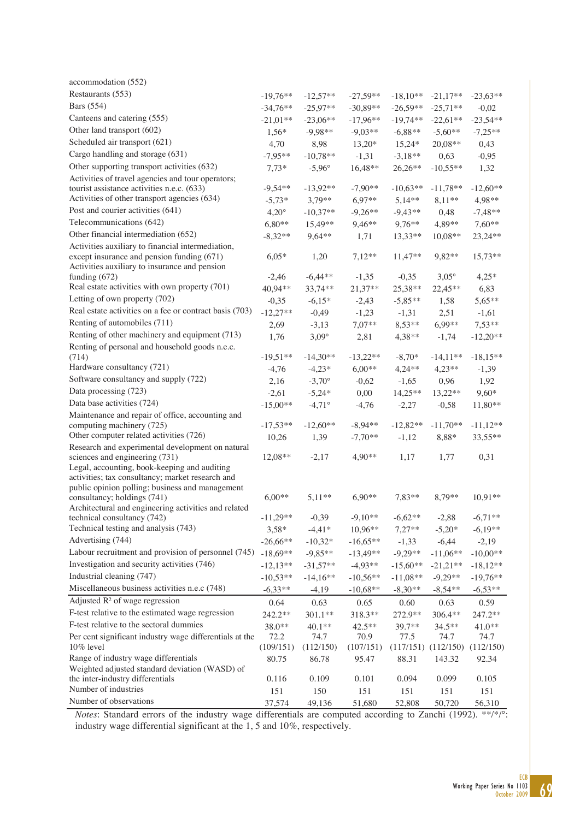| accommodation (552)                                                                         |              |                 |            |            |                         |            |
|---------------------------------------------------------------------------------------------|--------------|-----------------|------------|------------|-------------------------|------------|
| Restaurants (553)                                                                           | $-19,76**$   | $-12,57**$      | $-27,59**$ | $-18,10**$ | $-21,17**$              | $-23.63**$ |
| Bars (554)                                                                                  | $-34,76**$   | $-25,97**$      | $-30,89**$ | $-26,59**$ | $-25,71**$              | $-0,02$    |
| Canteens and catering (555)                                                                 | $-21.01**$   | $-23,06**$      | $-17,96**$ | $-19,74**$ | $-22,61**$              | $-23,54**$ |
| Other land transport (602)                                                                  | $1,56*$      | $-9,98**$       | $-9,03**$  | $-6,88**$  | $-5,60**$               | $-7,25**$  |
| Scheduled air transport (621)                                                               | 4,70         | 8,98            | $13,20*$   | $15,24*$   | 20,08**                 | 0,43       |
| Cargo handling and storage (631)                                                            | $-7.95**$    | $-10,78**$      | $-1,31$    | $-3,18**$  | 0,63                    | $-0,95$    |
| Other supporting transport activities (632)                                                 | $7,73*$      | $-5,96^{\circ}$ | 16,48**    | 26,26**    | $-10,55**$              | 1,32       |
| Activities of travel agencies and tour operators;                                           |              |                 |            |            |                         |            |
| tourist assistance activities n.e.c. (633)                                                  | $-9,54**$    | $-13.92**$      | $-7,90**$  | $-10,63**$ | $-11,78**$              | $-12,60**$ |
| Activities of other transport agencies (634)                                                | $-5,73*$     | $3.79**$        | $6,97**$   | $5,14**$   | $8,11**$                | 4,98**     |
| Post and courier activities (641)                                                           | $4,20^\circ$ | $-10,37**$      | $-9,26**$  | $-9,43**$  | 0,48                    | $-7,48**$  |
| Telecommunications (642)                                                                    | $6,80**$     | 15,49**         | $9,46**$   | $9,76**$   | 4,89**                  | $7,60**$   |
| Other financial intermediation (652)                                                        | $-8,32**$    | $9.64**$        | 1,71       | 13,33**    | 10,08**                 | 23,24**    |
| Activities auxiliary to financial intermediation,                                           |              |                 |            |            |                         |            |
| except insurance and pension funding (671)<br>Activities auxiliary to insurance and pension | $6.05*$      | 1,20            | $7,12**$   | $11,47**$  | 9.82**                  | 15,73**    |
| funding $(672)$                                                                             | $-2,46$      | $-6,44**$       | $-1,35$    | $-0.35$    | $3,05^{\circ}$          | $4,25*$    |
| Real estate activities with own property (701)                                              | 40.94**      | 33,74**         | 21,37**    | 25,38**    | 22,45**                 | 6,83       |
| Letting of own property (702)                                                               | $-0,35$      | $-6,15*$        | $-2,43$    | $-5,85**$  | 1,58                    | 5,65**     |
| Real estate activities on a fee or contract basis (703)                                     | $-12,27**$   | $-0,49$         | $-1,23$    | $-1,31$    | 2,51                    | $-1,61$    |
| Renting of automobiles (711)                                                                | 2,69         | $-3,13$         | 7,07**     | 8,53**     | 6,99**                  | $7,53**$   |
| Renting of other machinery and equipment (713)                                              | 1,76         | $3,09^{\circ}$  | 2,81       | 4,38**     | $-1,74$                 | $-12,20**$ |
| Renting of personal and household goods n.e.c.                                              |              |                 |            |            |                         |            |
| (714)                                                                                       | $-19,51**$   | $-14,30**$      | $-13,22**$ | $-8,70*$   | $-14,11**$              | $-18,15**$ |
| Hardware consultancy (721)                                                                  | $-4,76$      | $-4,23*$        | $6,00**$   | $4,24**$   | $4,23**$                | $-1,39$    |
| Software consultancy and supply (722)                                                       | 2,16         | $-3,70^{\circ}$ | $-0,62$    | $-1,65$    | 0,96                    | 1,92       |
| Data processing (723)                                                                       | $-2,61$      | $-5,24*$        | 0,00       | $14,25**$  | 13,22**                 | $9,60*$    |
| Data base activities (724)                                                                  | $-15,00**$   | $-4,71^{\circ}$ | $-4,76$    | $-2,27$    | $-0,58$                 | 11,80**    |
| Maintenance and repair of office, accounting and                                            |              |                 |            |            |                         |            |
| computing machinery (725)                                                                   | $-17,53**$   | $-12,60**$      | $-8,94**$  | $-12.82**$ | $-11,70**$              | $-11,12**$ |
| Other computer related activities (726)                                                     | 10,26        | 1,39            | $-7,70**$  | $-1,12$    | 8,88*                   | 33,55**    |
| Research and experimental development on natural                                            | 12,08**      |                 | $4,90**$   |            |                         |            |
| sciences and engineering (731)<br>Legal, accounting, book-keeping and auditing              |              | $-2,17$         |            | 1,17       | 1,77                    | 0,31       |
| activities; tax consultancy; market research and                                            |              |                 |            |            |                         |            |
| public opinion polling; business and management                                             |              |                 |            |            |                         |            |
| consultancy; holdings (741)                                                                 | $6.00**$     | $5.11**$        | $6,90**$   | 7.83**     | $8.79**$                | $10,91**$  |
| Architectural and engineering activities and related                                        |              |                 |            |            |                         |            |
| technical consultancy (742)                                                                 | $-11,29**$   | $-0,39$         | $-9,10**$  | $-6,62**$  | $-2,88$                 | $-6,71**$  |
| Technical testing and analysis (743)                                                        | $3,58*$      | $-4,41*$        | 10,96**    | $7,27**$   | $-5,20*$                | $-6,19**$  |
| Advertising (744)                                                                           | $-26,66**$   | $-10,32*$       | $-16,65**$ | $-1,33$    | $-6,44$                 | $-2,19$    |
| Labour recruitment and provision of personnel (745)                                         | $-18,69**$   | $-9,85**$       | $-13,49**$ | $-9,29**$  | $-11,06**$              | $-10,00**$ |
| Investigation and security activities (746)                                                 | $-12,13**$   | $-31,57**$      | $-4,93**$  | $-15,60**$ | $-21,21**$              | $-18,12**$ |
| Industrial cleaning (747)                                                                   | $-10,53**$   | $-14,16**$      | $-10.56**$ | $-11,08**$ | $-9,29**$               | $-19,76**$ |
| Miscellaneous business activities n.e.c (748)                                               | $-6,33**$    | $-4,19$         | $-10,68**$ | $-8,30**$  | $-8,54**$               | $-6,53**$  |
| Adjusted $R^2$ of wage regression                                                           | 0.64         | 0.63            | 0.65       | 0.60       | 0.63                    | 0.59       |
| F-test relative to the estimated wage regression                                            | 242.2**      | 301.1**         | 318.3**    | 272.9**    | 306.4**                 | 247.2**    |
| F-test relative to the sectoral dummies                                                     | 38.0**       | $40.1**$        | $42.5***$  | 39.7**     | $34.5***$               | $41.0**$   |
| Per cent significant industry wage differentials at the                                     | 72.2         | 74.7            | 70.9       | 77.5       | 74.7                    | 74.7       |
| 10% level                                                                                   | (109/151)    | (112/150)       | (107/151)  |            | $(117/151)$ $(112/150)$ | (112/150)  |
| Range of industry wage differentials                                                        | 80.75        | 86.78           | 95.47      | 88.31      | 143.32                  | 92.34      |
| Weighted adjusted standard deviation (WASD) of                                              |              |                 |            |            |                         |            |
| the inter-industry differentials                                                            | 0.116        | 0.109           | 0.101      | 0.094      | 0.099                   | 0.105      |
| Number of industries                                                                        | 151          | 150             | 151        | 151        | 151                     | 151        |
| Number of observations                                                                      | 37,574       | 49,136          | 51,680     | 52,808     | 50,720                  | 56,310     |

*Notes*: Standard errors of the industry wage differentials are computed according to Zanchi (1992). \*\*/\*/°: industry wage differential significant at the 1, 5 and 10%, respectively.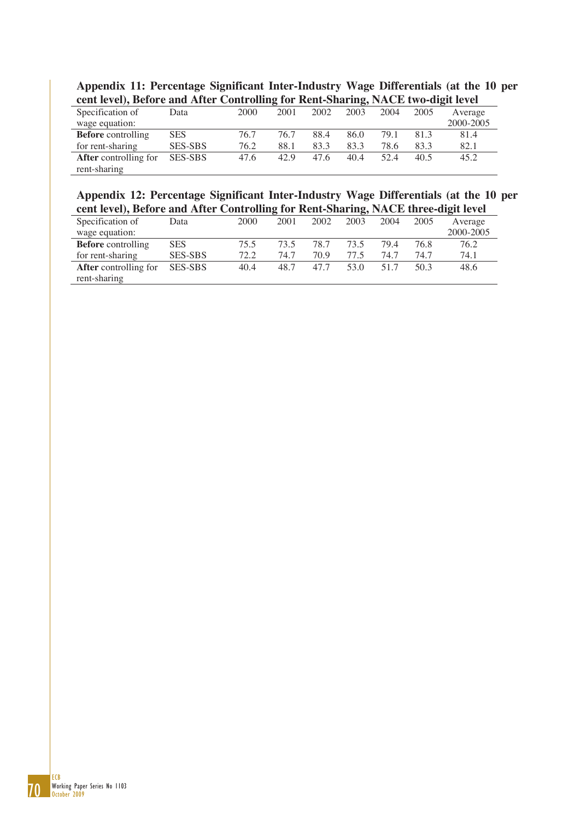| cent level), Before and After Controlling for Rent-Sharing, NACE two-digit level |                |      |      |      |      |      |         |           |
|----------------------------------------------------------------------------------|----------------|------|------|------|------|------|---------|-----------|
| Specification of                                                                 | Data           | 2000 | 2001 | 2002 | 2003 | 2004 | 2005    | Average   |
| wage equation:                                                                   |                |      |      |      |      |      |         | 2000-2005 |
| <b>Before</b> controlling                                                        | <b>SES</b>     | 76.7 | 76.7 | 88.4 | 86.0 | 79.1 | 813     | 81.4      |
| for rent-sharing                                                                 | <b>SES-SBS</b> | 76.2 | 88.1 | 83.3 | 83.3 | 78.6 | 83.3    | 82.1      |
| <b>After</b> controlling for                                                     | <b>SES-SBS</b> | 47.6 | 42.9 | 47.6 | 40.4 | 52.4 | $40\,5$ | 45.2      |
| rent-sharing                                                                     |                |      |      |      |      |      |         |           |

| Appendix 11: Percentage Significant Inter-Industry Wage Differentials (at the 10 per |  |  |  |
|--------------------------------------------------------------------------------------|--|--|--|
| cent level). Before and After Controlling for Rent-Sharing. NACE two-digit level     |  |  |  |

**Appendix 12: Percentage Significant Inter-Industry Wage Differentials (at the 10 per cent level), Before and After Controlling for Rent-Sharing, NACE three-digit level** 

| $\frac{1}{2}$ and $\frac{1}{2}$ and $\frac{1}{2}$ and $\frac{1}{2}$ and $\frac{1}{2}$ and $\frac{1}{2}$ and $\frac{1}{2}$ and $\frac{1}{2}$ and $\frac{1}{2}$ and $\frac{1}{2}$ and $\frac{1}{2}$ and $\frac{1}{2}$ and $\frac{1}{2}$ and $\frac{1}{2}$ and $\frac{1}{2}$ and $\frac{1}{2}$ a |                |      |      |      |      |      |        |           |
|-----------------------------------------------------------------------------------------------------------------------------------------------------------------------------------------------------------------------------------------------------------------------------------------------|----------------|------|------|------|------|------|--------|-----------|
| Specification of                                                                                                                                                                                                                                                                              | Data           | 2000 | 2001 | 2002 | 2003 | 2004 | 2005   | Average   |
| wage equation:                                                                                                                                                                                                                                                                                |                |      |      |      |      |      |        | 2000-2005 |
| <b>Before</b> controlling                                                                                                                                                                                                                                                                     | <b>SES</b>     | 75.5 | 73.5 | 78.7 | 73.5 | 794  | 76.8   | 76.2      |
| for rent-sharing                                                                                                                                                                                                                                                                              | <b>SES-SBS</b> | 72.2 | 74.7 | 70.9 | 77.5 | 74.7 | 74.7   | 74.1      |
| <b>After</b> controlling for                                                                                                                                                                                                                                                                  | <b>SES-SBS</b> | 40.4 | 48.7 | 47.7 | 53 O | 517  | 50 $3$ | 48.6      |
| rent-sharing                                                                                                                                                                                                                                                                                  |                |      |      |      |      |      |        |           |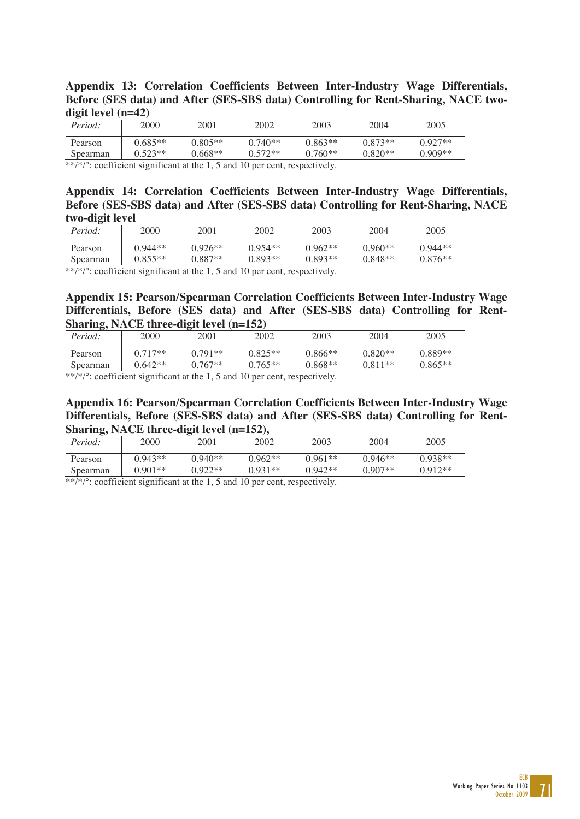**Appendix 13: Correlation Coefficients Between Inter-Industry Wage Differentials, Before (SES data) and After (SES-SBS data) Controlling for Rent-Sharing, NACE twodigit level (n=42)** 

| Period:  | 2000      | 2001    | 2002      | 2003      | 2004      | 2005      |
|----------|-----------|---------|-----------|-----------|-----------|-----------|
| Pearson  | $0.685**$ | 0.805** | $0.740**$ | $0.863**$ | 0.873**   | $0.927**$ |
| Spearman | $0.523**$ | 9.668** | 0.572**   | $0.760**$ | $0.820**$ | $0.909**$ |

\*\*/\*/°: coefficient significant at the 1, 5 and 10 per cent, respectively.

**Appendix 14: Correlation Coefficients Between Inter-Industry Wage Differentials, Before (SES-SBS data) and After (SES-SBS data) Controlling for Rent-Sharing, NACE two-digit level** 

| Period:                                                                                | 2000      | 2001      | 2002      | 2003      | 2004      | 2005      |  |
|----------------------------------------------------------------------------------------|-----------|-----------|-----------|-----------|-----------|-----------|--|
| Pearson                                                                                | $0.944**$ | $0.926**$ | $0.954**$ | $0.962**$ | $0.960**$ | $0.944**$ |  |
| Spearman                                                                               | $0.855**$ | $0.887**$ | $0.893**$ | $0.893**$ | $0.848**$ | $0.876**$ |  |
| $*$ /*/ $\frac{10}{2}$ coefficient significant at the 1.5 and 10 per cent respectively |           |           |           |           |           |           |  |

\*\*/\*/°: coefficient significant at the 1, 5 and 10 per cent, respectively.

**Appendix 15: Pearson/Spearman Correlation Coefficients Between Inter-Industry Wage Differentials, Before (SES data) and After (SES-SBS data) Controlling for Rent-Sharing, NACE three-digit level (n=152)** 

| Period:       | 2000      | 2001      | 2002      | 2003      | 2004      | 2005      |
|---------------|-----------|-----------|-----------|-----------|-----------|-----------|
| Pearson       | $0.717**$ | $0.791**$ | $0.825**$ | $0.866**$ | $0.820**$ | $0.889**$ |
| Spearman      | $0.642**$ | $0.767**$ | $0.765**$ | $0.868**$ | $0.811**$ | $0.865**$ |
| $\sim$ $\sim$ | $\cdots$  | .         |           |           |           |           |

\*\*/\*/°: coefficient significant at the 1, 5 and 10 per cent, respectively.

**Appendix 16: Pearson/Spearman Correlation Coefficients Between Inter-Industry Wage Differentials, Before (SES-SBS data) and After (SES-SBS data) Controlling for Rent-Sharing, NACE three-digit level (n=152),** 

| .        |           |           |           |           |           |           |
|----------|-----------|-----------|-----------|-----------|-----------|-----------|
| Period:  | 2000      | 2001      | 2002      | 2003      | 2004      | 2005      |
| Pearson  | $0.943**$ | $0.940**$ | $0.962**$ | $0.961**$ | $0.946**$ | $0.938**$ |
| Spearman | $0.901**$ | $0.922**$ | $0.931**$ | $0.942**$ | $0.907**$ | $0.912**$ |
|          |           |           |           |           |           |           |

\*\*/\*/°: coefficient significant at the 1, 5 and 10 per cent, respectively.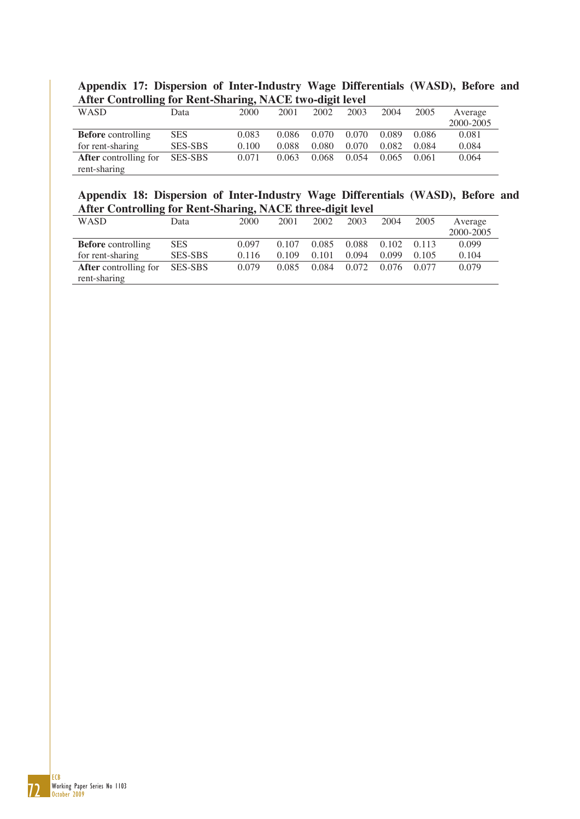| THE COMPUTING TO ACHE DRIMING, I WALL TWO TIGHT IN YOU |                |       |       |       |       |       |       |           |
|--------------------------------------------------------|----------------|-------|-------|-------|-------|-------|-------|-----------|
| <b>WASD</b>                                            | Data           | 2000  | 2001  | 2002  | 2003  | 2004  | 2005  | Average   |
|                                                        |                |       |       |       |       |       |       | 2000-2005 |
| <b>Before</b> controlling                              | <b>SES</b>     | 0.083 | 0.086 | 0.070 | 0.070 | 0.089 | 0.086 | 0.081     |
| for rent-sharing                                       | <b>SES-SBS</b> | 0.100 | 0.088 | 0.080 | 0.070 | 0.082 | 0.084 | 0.084     |
| <b>After</b> controlling for                           | <b>SES-SBS</b> | 0.071 | 0.063 | 0.068 | 0.054 | 0.065 | 0.061 | 0.064     |
| rent-sharing                                           |                |       |       |       |       |       |       |           |

| Appendix 17: Dispersion of Inter-Industry Wage Differentials (WASD), Before and |  |  |
|---------------------------------------------------------------------------------|--|--|
| After Controlling for Rent-Sharing, NACE two-digit level                        |  |  |

## **Appendix 18: Dispersion of Inter-Industry Wage Differentials (WASD), Before and After Controlling for Rent-Sharing, NACE three-digit level**

| Data           | 2000  | 2001  | 2002  | 2003  | 2004  | 2005           | Average                         |
|----------------|-------|-------|-------|-------|-------|----------------|---------------------------------|
|                |       |       |       |       |       |                | 2000-2005                       |
| <b>SES</b>     | 0.097 | 0.107 | 0.085 |       |       |                | 0.099                           |
| <b>SES-SBS</b> | 0.116 | 0.109 | 0.101 | 0.094 | 0.099 | 0.105          | 0.104                           |
| SES-SBS        | 0.079 | 0.085 | 0.084 |       |       |                | 0.079                           |
|                |       |       |       |       |       |                |                                 |
|                |       |       |       |       |       | 0.088<br>0.072 | .<br>0.102 0.113<br>0.076 0.077 |

72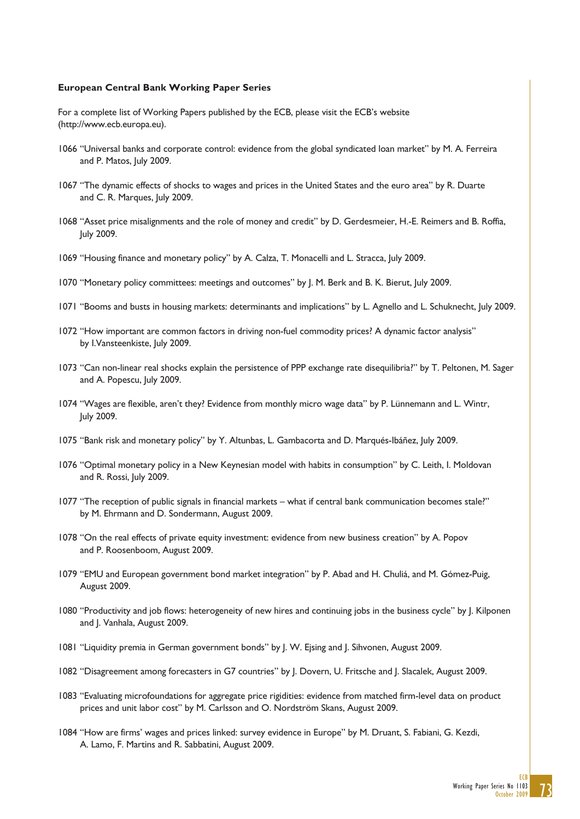## **European Central Bank Working Paper Series**

For a complete list of Working Papers published by the ECB, please visit the ECB's website (http://www.ecb.europa.eu).

- 1066 "Universal banks and corporate control: evidence from the global syndicated loan market" by M. A. Ferreira and P. Matos, July 2009.
- 1067 "The dynamic effects of shocks to wages and prices in the United States and the euro area" by R. Duarte and C. R. Marques, July 2009.
- 1068 "Asset price misalignments and the role of money and credit" by D. Gerdesmeier, H.-E. Reimers and B. Roffia, July 2009.
- 1069 "Housing finance and monetary policy" by A. Calza, T. Monacelli and L. Stracca, July 2009.
- 1070 "Monetary policy committees: meetings and outcomes" by J. M. Berk and B. K. Bierut, July 2009.
- 1071 "Booms and busts in housing markets: determinants and implications" by L. Agnello and L. Schuknecht, July 2009.
- 1072 "How important are common factors in driving non-fuel commodity prices? A dynamic factor analysis" by I.Vansteenkiste, July 2009.
- 1073 "Can non-linear real shocks explain the persistence of PPP exchange rate disequilibria?" by T. Peltonen, M. Sager and A. Popescu, July 2009.
- 1074 "Wages are flexible, aren't they? Evidence from monthly micro wage data" by P. Lünnemann and L. Wintr, July 2009.
- 1075 "Bank risk and monetary policy" by Y. Altunbas, L. Gambacorta and D. Marqués-Ibáñez, July 2009.
- 1076 "Optimal monetary policy in a New Keynesian model with habits in consumption" by C. Leith, I. Moldovan and R. Rossi, July 2009.
- 1077 "The reception of public signals in financial markets what if central bank communication becomes stale?" by M. Ehrmann and D. Sondermann, August 2009.
- 1078 "On the real effects of private equity investment: evidence from new business creation" by A. Popov and P. Roosenboom, August 2009.
- 1079 "EMU and European government bond market integration" by P. Abad and H. Chuliá, and M. Gómez-Puig, August 2009.
- 1080 "Productivity and job flows: heterogeneity of new hires and continuing jobs in the business cycle" by J. Kilponen and J. Vanhala, August 2009.
- 1081 "Liquidity premia in German government bonds" by J. W. Ejsing and J. Sihvonen, August 2009.
- 1082 "Disagreement among forecasters in G7 countries" by J. Dovern, U. Fritsche and J. Slacalek, August 2009.
- 1083 "Evaluating microfoundations for aggregate price rigidities: evidence from matched firm-level data on product prices and unit labor cost" by M. Carlsson and O. Nordström Skans, August 2009.
- 1084 "How are firms' wages and prices linked: survey evidence in Europe" by M. Druant, S. Fabiani, G. Kezdi, A. Lamo, F. Martins and R. Sabbatini, August 2009.